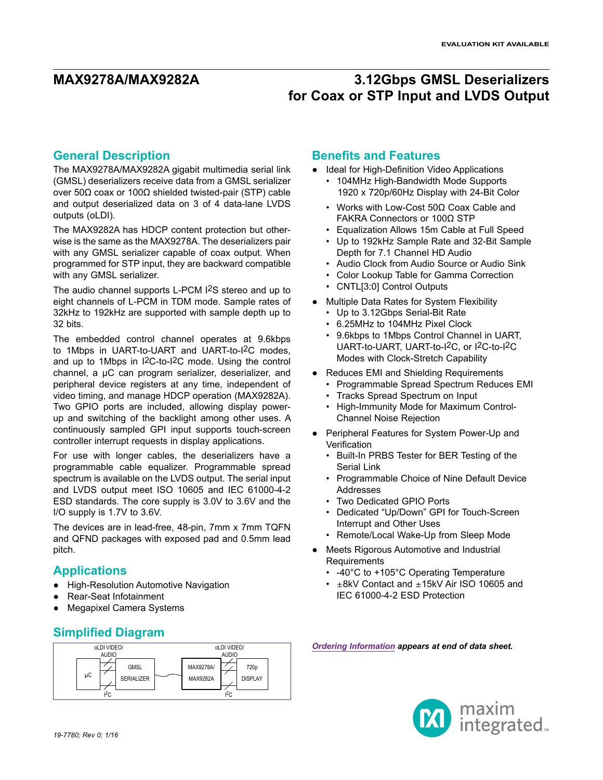### **General Description**

The MAX9278A/MAX9282A gigabit multimedia serial link (GMSL) deserializers receive data from a GMSL serializer over 50Ω coax or 100Ω shielded twisted-pair (STP) cable and output deserialized data on 3 of 4 data-lane LVDS outputs (oLDI).

The MAX9282A has HDCP content protection but otherwise is the same as the MAX9278A. The deserializers pair with any GMSL serializer capable of coax output. When programmed for STP input, they are backward compatible with any GMSL serializer.

The audio channel supports L-PCM I2S stereo and up to eight channels of L-PCM in TDM mode. Sample rates of 32kHz to 192kHz are supported with sample depth up to 32 bits.

The embedded control channel operates at 9.6kbps to 1Mbps in UART-to-UART and UART-to-I2C modes, and up to 1Mbps in I2C-to-I2C mode. Using the control channel, a µC can program serializer, deserializer, and peripheral device registers at any time, independent of video timing, and manage HDCP operation (MAX9282A). Two GPIO ports are included, allowing display powerup and switching of the backlight among other uses. A continuously sampled GPI input supports touch-screen controller interrupt requests in display applications.

For use with longer cables, the deserializers have a programmable cable equalizer. Programmable spread spectrum is available on the LVDS output. The serial input and LVDS output meet ISO 10605 and IEC 61000-4-2 ESD standards. The core supply is 3.0V to 3.6V and the I/O supply is 1.7V to 3.6V.

The devices are in lead-free, 48-pin, 7mm x 7mm TQFN and QFND packages with exposed pad and 0.5mm lead pitch.

### **Applications**

- **High-Resolution Automotive Navigation**
- Rear-Seat Infotainment
- **Megapixel Camera Systems**

### **Simplified Diagram**



### **Benefits and Features**

- Ideal for High-Definition Video Applications
	- 104MHz High-Bandwidth Mode Supports 1920 x 720p/60Hz Display with 24-Bit Color
	- Works with Low-Cost 50Ω Coax Cable and FAKRA Connectors or 100Ω STP
	- Equalization Allows 15m Cable at Full Speed
	- Up to 192kHz Sample Rate and 32-Bit Sample Depth for 7.1 Channel HD Audio
	- Audio Clock from Audio Source or Audio Sink
	- Color Lookup Table for Gamma Correction
	- CNTL[3:0] Control Outputs
- Multiple Data Rates for System Flexibility
	- Up to 3.12Gbps Serial-Bit Rate
	- 6.25MHz to 104MHz Pixel Clock
	- 9.6kbps to 1Mbps Control Channel in UART, UART-to-UART, UART-to-I2C, or I2C-to-I2C Modes with Clock-Stretch Capability
- Reduces EMI and Shielding Requirements
	- Programmable Spread Spectrum Reduces EMI
	- Tracks Spread Spectrum on Input
	- High-Immunity Mode for Maximum Control-Channel Noise Rejection
- Peripheral Features for System Power-Up and **Verification** 
	- Built-In PRBS Tester for BER Testing of the Serial Link
	- Programmable Choice of Nine Default Device Addresses
	- Two Dedicated GPIO Ports
	- Dedicated "Up/Down" GPI for Touch-Screen Interrupt and Other Uses
	- Remote/Local Wake-Up from Sleep Mode
- Meets Rigorous Automotive and Industrial Requirements
	- -40°C to +105°C Operating Temperature
	- ±8kV Contact and ±15kV Air ISO 10605 and IEC 61000-4-2 ESD Protection

*Ordering Information appears at end of data sheet.*

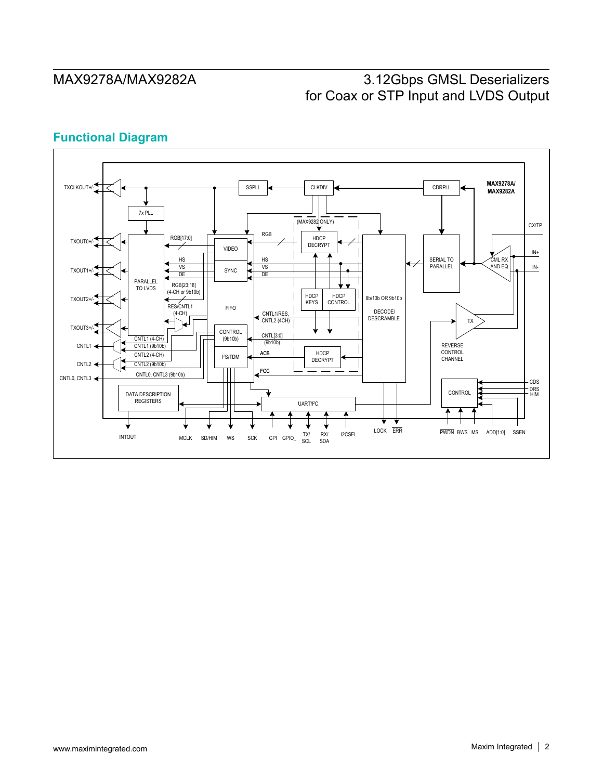## **Functional Diagram**

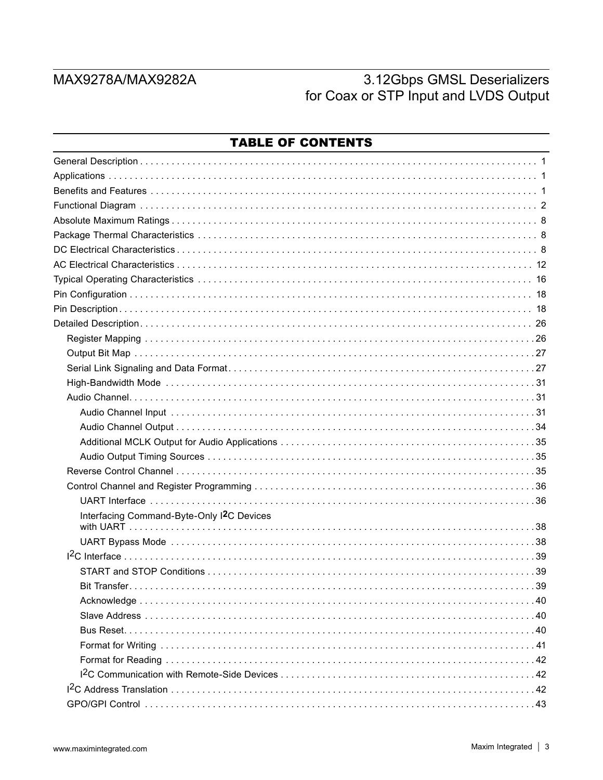| Interfacing Command-Byte-Only I2C Devices |  |
|-------------------------------------------|--|
|                                           |  |
|                                           |  |
|                                           |  |
|                                           |  |
|                                           |  |
|                                           |  |
|                                           |  |
|                                           |  |
|                                           |  |
|                                           |  |
|                                           |  |
|                                           |  |
|                                           |  |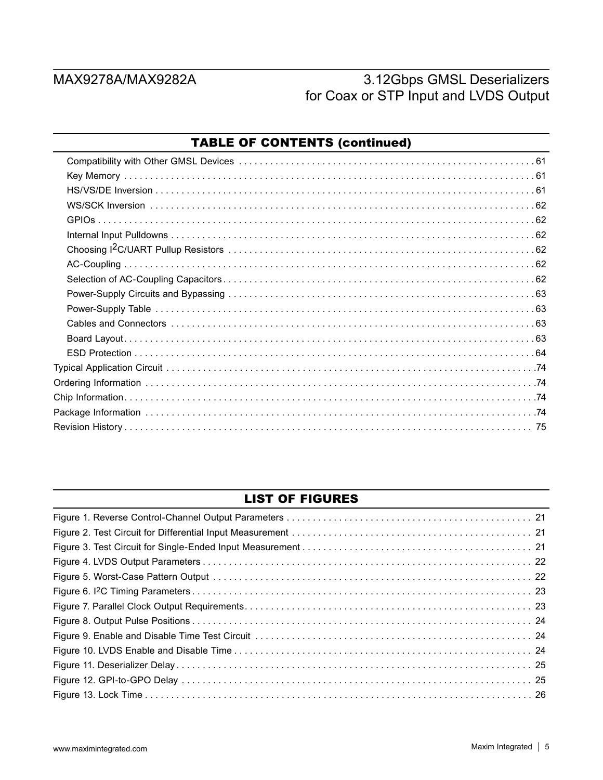### LIST OF FIGURES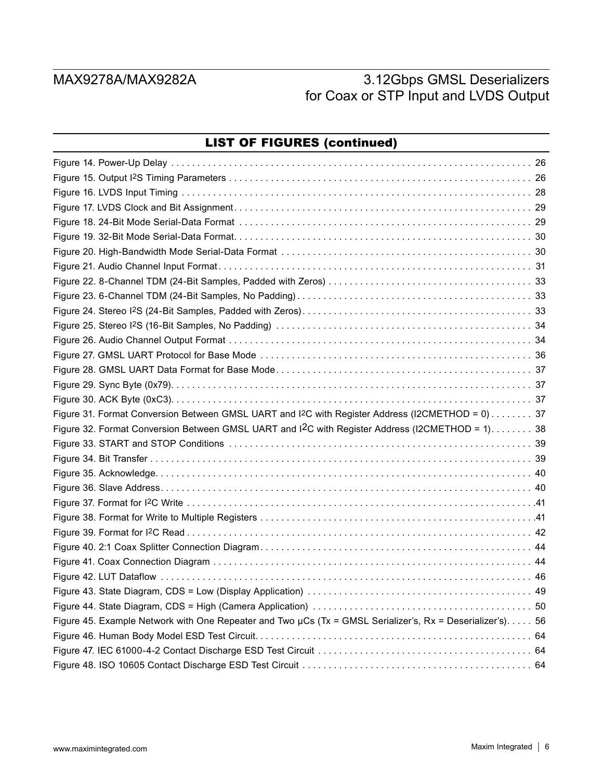| <b>LIST OF FIGURES (continued)</b>                                                                           |  |
|--------------------------------------------------------------------------------------------------------------|--|
|                                                                                                              |  |
|                                                                                                              |  |
|                                                                                                              |  |
|                                                                                                              |  |
|                                                                                                              |  |
|                                                                                                              |  |
|                                                                                                              |  |
|                                                                                                              |  |
|                                                                                                              |  |
|                                                                                                              |  |
|                                                                                                              |  |
|                                                                                                              |  |
|                                                                                                              |  |
|                                                                                                              |  |
|                                                                                                              |  |
|                                                                                                              |  |
|                                                                                                              |  |
| Figure 31. Format Conversion Between GMSL UART and I <sup>2</sup> C with Register Address (I2CMETHOD = 0) 37 |  |
| Figure 32. Format Conversion Between GMSL UART and I <sup>2</sup> C with Register Address (I2CMETHOD = 1) 38 |  |
|                                                                                                              |  |
|                                                                                                              |  |
|                                                                                                              |  |
|                                                                                                              |  |
|                                                                                                              |  |
|                                                                                                              |  |
|                                                                                                              |  |
|                                                                                                              |  |
|                                                                                                              |  |
| . 46                                                                                                         |  |
|                                                                                                              |  |
|                                                                                                              |  |
| Figure 45. Example Network with One Repeater and Two µCs (Tx = GMSL Serializer's, Rx = Deserializer's). 56   |  |
|                                                                                                              |  |
|                                                                                                              |  |
|                                                                                                              |  |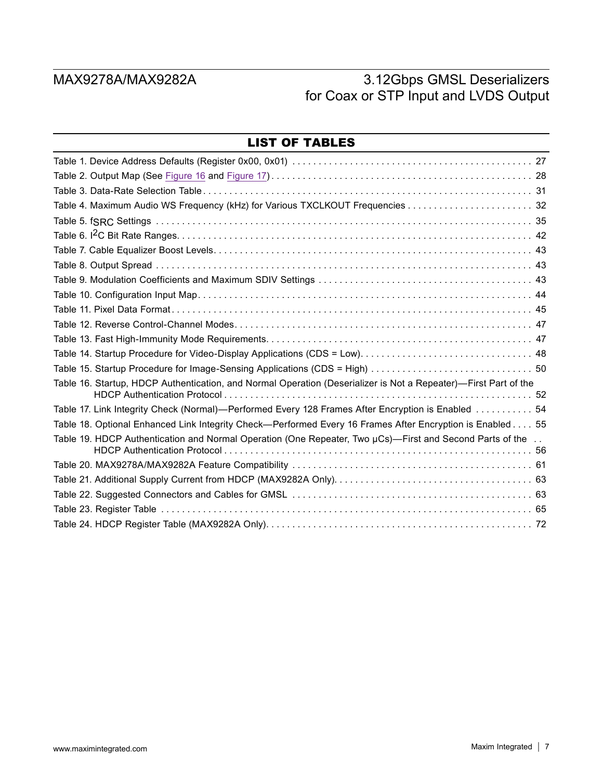| <b>LIST OF TABLES</b>                                                                                           |  |
|-----------------------------------------------------------------------------------------------------------------|--|
|                                                                                                                 |  |
|                                                                                                                 |  |
|                                                                                                                 |  |
|                                                                                                                 |  |
|                                                                                                                 |  |
|                                                                                                                 |  |
|                                                                                                                 |  |
|                                                                                                                 |  |
|                                                                                                                 |  |
|                                                                                                                 |  |
|                                                                                                                 |  |
|                                                                                                                 |  |
|                                                                                                                 |  |
|                                                                                                                 |  |
|                                                                                                                 |  |
| Table 16. Startup, HDCP Authentication, and Normal Operation (Deserializer is Not a Repeater)—First Part of the |  |
| Table 17. Link Integrity Check (Normal)—Performed Every 128 Frames After Encryption is Enabled  54              |  |
| Table 18. Optional Enhanced Link Integrity Check—Performed Every 16 Frames After Encryption is Enabled 55       |  |
| Table 19. HDCP Authentication and Normal Operation (One Repeater, Two $\mu$ Cs)—First and Second Parts of the   |  |
|                                                                                                                 |  |
|                                                                                                                 |  |
|                                                                                                                 |  |
|                                                                                                                 |  |
|                                                                                                                 |  |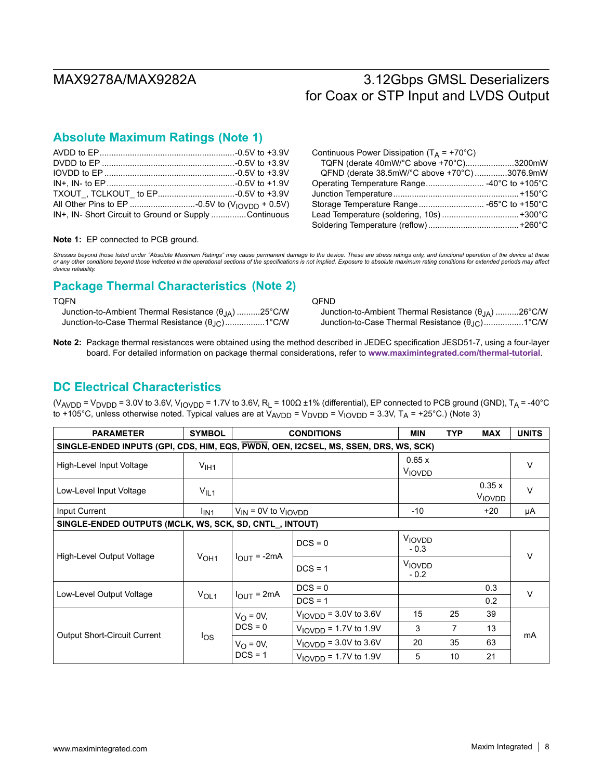## **(Note 1) Absolute Maximum Ratings**

| IN+, IN- Short Circuit to Ground or Supply Continuous |  |
|-------------------------------------------------------|--|

| Continuous Power Dissipation ( $T_A$ = +70°C) |  |
|-----------------------------------------------|--|
| TQFN (derate 40mW/°C above +70°C)3200mW       |  |
| QFND (derate 38.5mW/°C above +70°C) 3076.9mW  |  |
|                                               |  |
|                                               |  |
|                                               |  |
|                                               |  |
|                                               |  |

**Note 1:** EP connected to PCB ground.

Stresses beyond those listed under "Absolute Maximum Ratings" may cause permanent damage to the device. These are stress ratings only, and functional operation of the device at these<br>or any other conditions beyond those in *device reliability.*

## **Package Thermal Characteristics (Note 2)**

| TOFN                                                                 |  |
|----------------------------------------------------------------------|--|
| Junction-to-Ambient Thermal Resistance $(\theta_{1\text{A}})$ 25°C/W |  |
|                                                                      |  |

QFND Junction-to-Ambient Thermal Resistance (θJA) ..........26°C/W Junction-to-Case Thermal Resistance  $(θ<sub>JC</sub>)$ .................1°C/W

**Note 2:** Package thermal resistances were obtained using the method described in JEDEC specification JESD51-7, using a four-layer board. For detailed information on package thermal considerations, refer to **www.maximintegrated.com/thermal-tutorial**.

### **DC Electrical Characteristics**

(V<sub>AVDD</sub> = V<sub>DVDD</sub> = 3.0V to 3.6V, V<sub>IOVDD</sub> = 1.7V to 3.6V, R<sub>L</sub> = 100 $\Omega$  ±1% (differential), EP connected to PCB ground (GND), T<sub>A</sub> = -40°C to +105°C, unless otherwise noted. Typical values are at  $V_{AVDD} = V_{DVDD} = V_{IOVDD} = 3.3V$ ,  $T_A = +25°C$ .) (Note 3)

| <b>PARAMETER</b>                                                                    | <b>SYMBOL</b>    | <b>CONDITIONS</b>              | MIN                          | <b>TYP</b>       | <b>MAX</b> | <b>UNITS</b>           |        |  |  |
|-------------------------------------------------------------------------------------|------------------|--------------------------------|------------------------------|------------------|------------|------------------------|--------|--|--|
| SINGLE-ENDED INPUTS (GPI, CDS, HIM, EQS, PWDN, OEN, I2CSEL, MS, SSEN, DRS, WS, SCK) |                  |                                |                              |                  |            |                        |        |  |  |
| High-Level Input Voltage                                                            | $V_{\text{I}H1}$ |                                |                              | 0.65x<br>VIOVDD  |            |                        | $\vee$ |  |  |
| Low-Level Input Voltage                                                             | $V_{IL1}$        |                                |                              |                  |            | 0.35x<br><b>VIOVDD</b> | $\vee$ |  |  |
| Input Current                                                                       | l <sub>IN1</sub> |                                | $V_{IN}$ = 0V to $V_{IOVDD}$ |                  |            | +20                    | μA     |  |  |
| SINGLE-ENDED OUTPUTS (MCLK, WS, SCK, SD, CNTL_, INTOUT)                             |                  |                                |                              |                  |            |                        |        |  |  |
| High-Level Output Voltage                                                           | V <sub>OH1</sub> | $I_{OUT} = -2mA$               | $DCS = 0$                    | VIOVDD<br>$-0.3$ |            |                        | $\vee$ |  |  |
|                                                                                     |                  |                                | $DCS = 1$                    | VIOVDD<br>$-0.2$ |            |                        |        |  |  |
|                                                                                     | V <sub>OL1</sub> |                                | $DCS = 0$                    |                  |            | 0.3                    | v      |  |  |
| Low-Level Output Voltage                                                            |                  | $I_{\text{OUT}} = 2 \text{mA}$ | $DCS = 1$                    |                  |            | 0.2                    |        |  |  |
| <b>Output Short-Circuit Current</b>                                                 | $\log$           | $V_O = 0V,$<br>$DCS = 0$       | $VIOVDD = 3.0V$ to 3.6V      | 15               | 25         | 39                     |        |  |  |
|                                                                                     |                  |                                | $VIOVDD = 1.7V$ to 1.9V      | 3                | 7          | 13                     |        |  |  |
|                                                                                     |                  | $V_{\Omega} = 0V$ ,            | $VIOVDD = 3.0V$ to 3.6V      | 20               | 35         | 63                     | mA     |  |  |
|                                                                                     |                  | $DCS = 1$                      | $VIOVDD = 1.7V$ to 1.9V      | 5                | 10         | 21                     |        |  |  |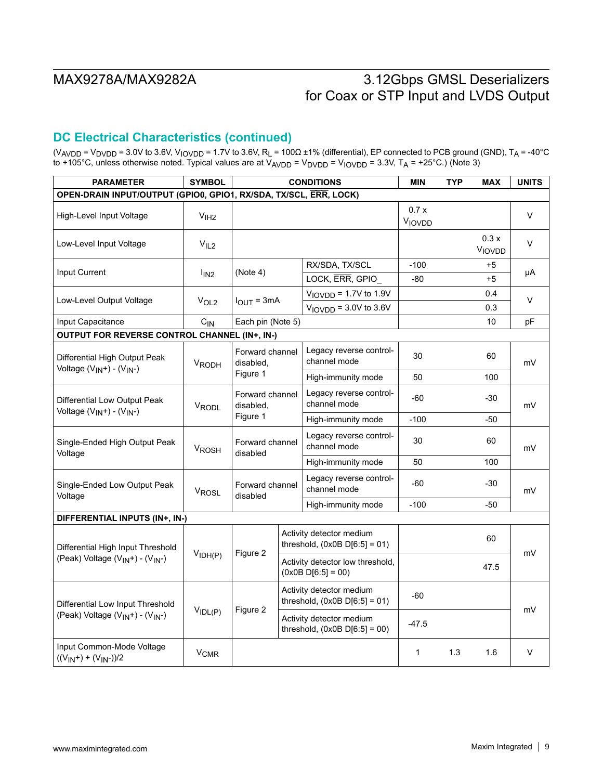## **DC Electrical Characteristics (continued)**

(V<sub>AVDD</sub> = V<sub>DVDD</sub> = 3.0V to 3.6V, V<sub>IOVDD</sub> = 1.7V to 3.6V, R<sub>L</sub> = 100Ω ±1% (differential), EP connected to PCB ground (GND), T<sub>A</sub> = -40°C to +105°C, unless otherwise noted. Typical values are at V<sub>AVDD</sub> = V<sub>DVDD</sub> = V<sub>IOVDD</sub> = 3.3V, T<sub>A</sub> = +25°C.) (Note 3)

| <b>PARAMETER</b>                                                  | <b>SYMBOL</b>          | <b>CONDITIONS</b>                        |  |                                                             | <b>MIN</b>     | <b>TYP</b> | <b>MAX</b>     | <b>UNITS</b> |
|-------------------------------------------------------------------|------------------------|------------------------------------------|--|-------------------------------------------------------------|----------------|------------|----------------|--------------|
| OPEN-DRAIN INPUT/OUTPUT (GPIO0, GPIO1, RX/SDA, TX/SCL, ERR, LOCK) |                        |                                          |  |                                                             |                |            |                |              |
| High-Level Input Voltage                                          | V <sub>IH2</sub>       |                                          |  |                                                             | 0.7x<br>VIOVDD |            |                | V            |
| Low-Level Input Voltage                                           | V <sub>IL2</sub>       |                                          |  |                                                             |                |            | 0.3x<br>VIOVDD | V            |
| Input Current                                                     |                        | (Note 4)                                 |  | RX/SDA, TX/SCL                                              | $-100$         |            | $+5$           |              |
|                                                                   | $I_{IN2}$              |                                          |  | LOCK, ERR, GPIO                                             | $-80$          |            | $+5$           | μA           |
| Low-Level Output Voltage                                          |                        |                                          |  | $VIOVDD = 1.7V$ to 1.9V                                     |                |            | 0.4            | $\vee$       |
|                                                                   | V <sub>OL2</sub>       | $I_{OUT} = 3mA$                          |  | $VIOVDD = 3.0V$ to 3.6V                                     |                |            | 0.3            |              |
| Input Capacitance                                                 | $C_{IN}$               | Each pin (Note 5)                        |  |                                                             |                |            | 10             | рF           |
| <b>OUTPUT FOR REVERSE CONTROL CHANNEL (IN+, IN-)</b>              |                        |                                          |  |                                                             |                |            |                |              |
| Differential High Output Peak<br>Voltage $(V_{IN}+) - (V_{IN}-)$  | <b>VRODH</b>           | Forward channel<br>disabled,             |  | Legacy reverse control-<br>channel mode                     | 30             |            | 60             | mV           |
|                                                                   |                        | Figure 1                                 |  | High-immunity mode                                          | 50             |            | 100            |              |
| Differential Low Output Peak                                      | VRODL                  | Forward channel<br>disabled,<br>Figure 1 |  | Legacy reverse control-<br>channel mode                     | -60            |            | -30            | mV           |
| Voltage $(V_{IN}+) - (V_{IN}-)$                                   |                        |                                          |  | High-immunity mode                                          | $-100$         |            | -50            |              |
| Single-Ended High Output Peak<br>Voltage                          | V <sub>ROSH</sub>      | Forward channel<br>disabled              |  | Legacy reverse control-<br>channel mode                     | 30             |            | 60             | mV           |
|                                                                   |                        |                                          |  | High-immunity mode                                          | 50             |            | 100            |              |
| Single-Ended Low Output Peak<br>Voltage                           | VROSL                  | Forward channel<br>disabled              |  | Legacy reverse control-<br>channel mode                     | -60            |            | $-30$          | mV           |
|                                                                   |                        |                                          |  | High-immunity mode                                          | $-100$         |            | -50            |              |
| DIFFERENTIAL INPUTS (IN+, IN-)                                    |                        |                                          |  |                                                             |                |            |                |              |
| Differential High Input Threshold                                 |                        | Figure 2                                 |  | Activity detector medium<br>threshold, $(0x0B D[6:5] = 01)$ |                |            | 60             | mV           |
| (Peak) Voltage (V <sub>IN</sub> +) - (V <sub>IN</sub> -)          | V <sub>IDH(P)</sub>    |                                          |  | Activity detector low threshold,<br>$(0x0B D[6:5] = 00)$    |                |            | 47.5           |              |
| Differential Low Input Threshold                                  |                        | Figure 2<br>$V_{IDL(P)}$                 |  | Activity detector medium<br>threshold, $(0x0B D[6:5] = 01)$ | $-60$          |            |                |              |
| (Peak) Voltage (V <sub>IN</sub> +) - (V <sub>IN</sub> -)          |                        |                                          |  | Activity detector medium<br>threshold, $(0x0B D[6:5] = 00)$ | $-47.5$        |            |                | mV           |
| Input Common-Mode Voltage<br>$((V_{IN}+) + (V_{IN}-))/2$          | <b>V<sub>CMR</sub></b> |                                          |  | $\mathbf{1}$                                                | 1.3            | 1.6        | V              |              |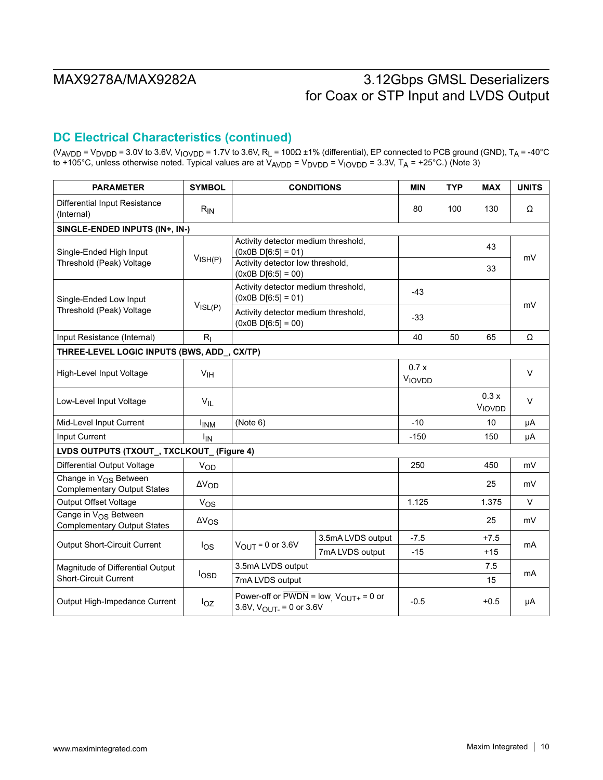## **DC Electrical Characteristics (continued)**

(V<sub>AVDD</sub> = V<sub>DVDD</sub> = 3.0V to 3.6V, V<sub>IOVDD</sub> = 1.7V to 3.6V, R<sub>L</sub> = 100Ω ±1% (differential), EP connected to PCB ground (GND), T<sub>A</sub> = -40°C to +105°C, unless otherwise noted. Typical values are at V<sub>AVDD</sub> = V<sub>DVDD</sub> = V<sub>IOVDD</sub> = 3.3V, T<sub>A</sub> = +25°C.) (Note 3)

| <b>PARAMETER</b>                                                        | <b>SYMBOL</b>          | <b>CONDITIONS</b>                                                                                                    | <b>MIN</b>                          | <b>TYP</b>     | <b>MAX</b> | <b>UNITS</b>   |        |  |
|-------------------------------------------------------------------------|------------------------|----------------------------------------------------------------------------------------------------------------------|-------------------------------------|----------------|------------|----------------|--------|--|
| Differential Input Resistance<br>(Internal)                             | $R_{IN}$               |                                                                                                                      | 80                                  | 100            | 130        | Ω              |        |  |
| SINGLE-ENDED INPUTS (IN+, IN-)                                          |                        |                                                                                                                      |                                     |                |            |                |        |  |
| Single-Ended High Input                                                 | V <sub>ISH(P)</sub>    | $(0x0B D[6:5] = 01)$                                                                                                 | Activity detector medium threshold, |                |            | 43             | mV     |  |
| Threshold (Peak) Voltage                                                |                        | Activity detector low threshold,<br>$(0x0B D[6:5] = 00)$                                                             |                                     |                |            | 33             |        |  |
| Single-Ended Low Input                                                  |                        | Activity detector medium threshold,<br>$(0x0B D[6:5] = 01)$                                                          |                                     | $-43$          |            |                | mV     |  |
| Threshold (Peak) Voltage                                                | $V_{ISL(P)}$           | Activity detector medium threshold,<br>$(0x0B D[6:5] = 00)$                                                          |                                     | $-33$          |            |                |        |  |
| Input Resistance (Internal)                                             | $R_{I}$                |                                                                                                                      |                                     | 40             | 50         | 65             | Ω      |  |
| THREE-LEVEL LOGIC INPUTS (BWS, ADD_, CX/TP)                             |                        |                                                                                                                      |                                     |                |            |                |        |  |
| High-Level Input Voltage                                                | V <sub>IH</sub>        |                                                                                                                      |                                     | 0.7x<br>VIOVDD |            |                | $\vee$ |  |
| Low-Level Input Voltage                                                 | $V_{IL}$               |                                                                                                                      |                                     |                |            | 0.3x<br>VIOVDD | $\vee$ |  |
| Mid-Level Input Current                                                 | <b>I<sub>INM</sub></b> | (Note 6)                                                                                                             |                                     | $-10$          |            | 10             | μA     |  |
| Input Current                                                           | <b>I<sub>IN</sub></b>  |                                                                                                                      |                                     | $-150$         |            | 150            | μA     |  |
| LVDS OUTPUTS (TXOUT_, TXCLKOUT_ (Figure 4)                              |                        |                                                                                                                      |                                     |                |            |                |        |  |
| <b>Differential Output Voltage</b>                                      | VOD                    |                                                                                                                      |                                     | 250            |            | 450            | mV     |  |
| Change in V <sub>OS</sub> Between<br><b>Complementary Output States</b> | $\Delta V_{OD}$        |                                                                                                                      |                                     |                |            | 25             | mV     |  |
| <b>Output Offset Voltage</b>                                            | $V_{OS}$               |                                                                                                                      |                                     | 1.125          |            | 1.375          | V      |  |
| Cange in V <sub>OS</sub> Between<br><b>Complementary Output States</b>  | $\Delta V_{OS}$        |                                                                                                                      |                                     |                |            | 25             | mV     |  |
| <b>Output Short-Circuit Current</b>                                     | log                    |                                                                                                                      | 3.5mA LVDS output                   | $-7.5$         |            | $+7.5$         | mA     |  |
|                                                                         |                        | $V_{\text{OUT}} = 0$ or 3.6V<br>7mA LVDS output                                                                      |                                     | $-15$          |            | $+15$          |        |  |
| Magnitude of Differential Output                                        |                        |                                                                                                                      | 3.5mA LVDS output                   |                |            | 7.5            | mA     |  |
| <b>Short-Circuit Current</b>                                            | losp                   | 7mA LVDS output                                                                                                      |                                     |                |            | 15             |        |  |
| Output High-Impedance Current                                           | $I_{OZ}$               | Power-off or $\overline{PWDN}$ = low <sub>, <math>V_{OUT+}</math></sub> = 0 or<br>3.6V, $V_{\text{OUT}} = 0$ or 3.6V |                                     | $-0.5$         |            | $+0.5$         | μA     |  |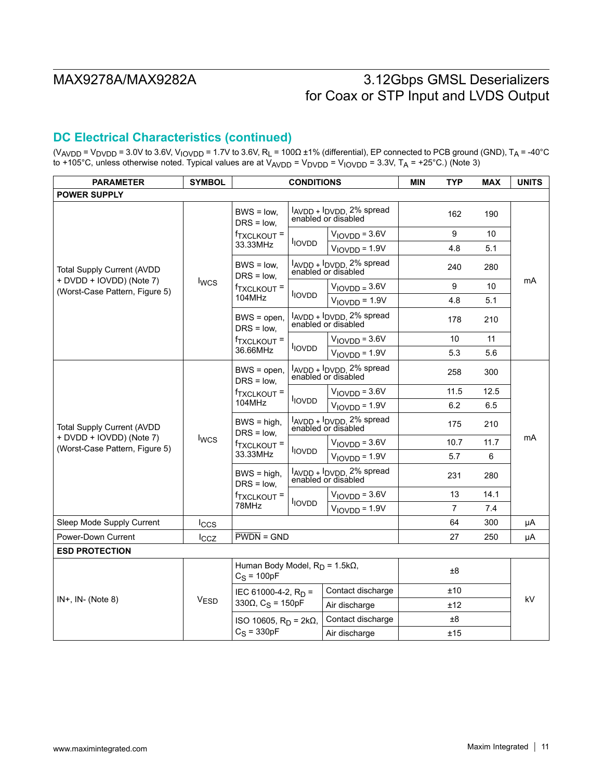## **DC Electrical Characteristics (continued)**

(V<sub>AVDD</sub> = V<sub>DVDD</sub> = 3.0V to 3.6V, V<sub>IOVDD</sub> = 1.7V to 3.6V, R<sub>L</sub> = 100Ω ±1% (differential), EP connected to PCB ground (GND), T<sub>A</sub> = -40°C to +105°C, unless otherwise noted. Typical values are at V<sub>AVDD</sub> = V<sub>DVDD</sub> = V<sub>IOVDD</sub> = 3.3V, T<sub>A</sub> = +25°C.) (Note 3)

| <b>PARAMETER</b>                                           | <b>SYMBOL</b>    | <b>CONDITIONS</b>                                       |                                                 | <b>MIN</b>                                                                        | <b>TYP</b> | <b>MAX</b>     | <b>UNITS</b> |    |  |
|------------------------------------------------------------|------------------|---------------------------------------------------------|-------------------------------------------------|-----------------------------------------------------------------------------------|------------|----------------|--------------|----|--|
| <b>POWER SUPPLY</b>                                        |                  |                                                         |                                                 |                                                                                   |            |                |              |    |  |
|                                                            |                  | $BWS = low$ .<br>$DRS = low$ .                          |                                                 | IAVDD + IDVDD, 2% spread<br>enabled or disabled                                   |            | 162            | 190          |    |  |
|                                                            |                  | <sup>f</sup> TXCLKOUT =                                 | <b>IOVDD</b>                                    | $VIOVDD = 3.6V$                                                                   |            | 9              | 10           |    |  |
|                                                            |                  | 33.33MHz                                                |                                                 | $VIOVDD = 1.9V$                                                                   |            | 4.8            | 5.1          |    |  |
| <b>Total Supply Current (AVDD</b>                          |                  | $BWS = low$ .<br>$DRS = low$ .                          |                                                 | IAVDD + IDVDD, 2% spread<br>enabled or disabled                                   |            | 240            | 280          |    |  |
| + DVDD + IOVDD) (Note 7)<br>(Worst-Case Pattern, Figure 5) | <b>I</b> wcs     | <sup>†</sup> TXCLKOUT <sup>=</sup>                      |                                                 | $VIOVDD = 3.6V$                                                                   |            | 9              | 10           | mA |  |
|                                                            |                  | 104MHz                                                  | <b>IOVDD</b>                                    | $VIOVDD = 1.9V$                                                                   |            | 4.8            | 5.1          |    |  |
|                                                            |                  | $BWS = open$ ,<br>$DRS = low$                           |                                                 | l <sub>AVDD</sub> + l <sub>DVDD</sub> <sub>2%</sub> spread<br>enabled or disabled |            | 178            | 210          |    |  |
|                                                            |                  | f <sub>TXCLKOUT</sub> =                                 |                                                 | $VIOVDD = 3.6V$                                                                   |            | 10             | 11           |    |  |
|                                                            |                  | 36.66MHz                                                | <b>IOVDD</b>                                    | $VIOVDD = 1.9V$                                                                   |            | 5.3            | 5.6          |    |  |
|                                                            |                  | $BWS = open$ .<br>$DRS = low$ .                         |                                                 | l <sub>AVDD</sub> + l <sub>DVDD</sub> 2% spread<br>enabled or disabled            |            | 258            | 300          |    |  |
|                                                            |                  | <sup>f</sup> TXCLKOUT <sup>=</sup><br>104MHz            | <b>IOVDD</b>                                    | $VIOVDD = 3.6V$                                                                   |            | 11.5           | 12.5         |    |  |
|                                                            |                  |                                                         |                                                 | $VIOVDD = 1.9V$                                                                   |            | 6.2            | 6.5          |    |  |
| <b>Total Supply Current (AVDD</b>                          |                  | $BWS = high$<br>$DRS = low$                             | lAVDD + lDVDD, 2% spread<br>enabled or disábled |                                                                                   |            | 175            | 210          |    |  |
| + DVDD + IOVDD) (Note 7)<br>(Worst-Case Pattern, Figure 5) | <b>Iwcs</b>      | <sup>f</sup> TXCLKOUT <sup>=</sup><br>33.33MHz          | <b>IOVDD</b>                                    | $VIOVDD = 3.6V$                                                                   |            | 10.7           | 11.7         | mA |  |
|                                                            |                  |                                                         |                                                 | $VIOVDD = 1.9V$                                                                   |            | 5.7            | 6            |    |  |
|                                                            |                  | $BWS = high$ ,<br>$DRS = low$                           | IAVDD + IDVDD, 2% spread<br>enabled or disabled |                                                                                   |            | 231            | 280          |    |  |
|                                                            |                  | f <sub>TXCLKOUT</sub> =                                 |                                                 | $VIOVDD = 3.6V$                                                                   |            | 13             | 14.1         |    |  |
|                                                            |                  | 78MHz                                                   | l <sub>IOVDD</sub>                              | $VIOVDD = 1.9V$                                                                   |            | $\overline{7}$ | 7.4          |    |  |
| Sleep Mode Supply Current                                  | $I_{CCS}$        |                                                         |                                                 |                                                                                   |            | 64             | 300          | μA |  |
| Power-Down Current                                         | $_{\text{Lcz}}$  | $\overline{\text{PWDN}}$ = GND                          |                                                 |                                                                                   | 27         | 250            | μA           |    |  |
| <b>ESD PROTECTION</b>                                      |                  |                                                         |                                                 |                                                                                   |            |                |              |    |  |
|                                                            |                  | Human Body Model, $R_D = 1.5k\Omega$ ,<br>$C_S = 100pF$ |                                                 |                                                                                   |            | ±8             |              |    |  |
|                                                            |                  | IEC 61000-4-2, $R_D =$                                  |                                                 | Contact discharge                                                                 |            | ±10            |              |    |  |
| $IN+$ , $IN-$ (Note 8)                                     | V <sub>ESD</sub> | 330 $\Omega$ , C <sub>S</sub> = 150pF                   |                                                 | Air discharge                                                                     |            | ±12            |              | kV |  |
|                                                            |                  | ISO 10605, $RD = 2kΩ$ ,                                 |                                                 | Contact discharge                                                                 |            | ±8             |              |    |  |
|                                                            |                  | $C_S = 330pF$                                           |                                                 | Air discharge                                                                     |            | ±15            |              |    |  |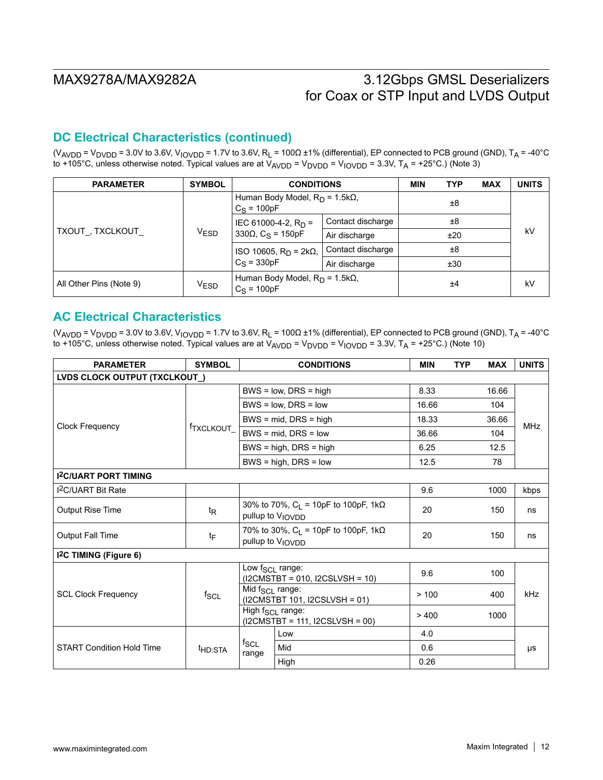## **DC Electrical Characteristics (continued)**

(V<sub>AVDD</sub> = V<sub>DVDD</sub> = 3.0V to 3.6V, V<sub>IOVDD</sub> = 1.7V to 3.6V, R<sub>L</sub> = 100 $\Omega$  ±1% (differential), EP connected to PCB ground (GND), T<sub>A</sub> = -40°C to +105°C, unless otherwise noted. Typical values are at  $V_{AVDD} = V_{DVDD} = V_{IOVDD} = 3.3V$ ,  $T_A = +25°C$ .) (Note 3)

| <b>PARAMETER</b>        | <b>SYMBOL</b> | <b>CONDITIONS</b>                                | <b>MIN</b>        | <b>TYP</b> | <b>MAX</b> | <b>UNITS</b> |    |
|-------------------------|---------------|--------------------------------------------------|-------------------|------------|------------|--------------|----|
| TXOUT_, TXCLKOUT_       |               | Human Body Model, $RD$ = 1.5kΩ,<br>$C_S = 100pF$ |                   | ±8         |            |              |    |
|                         | <b>VESD</b>   | IEC 61000-4-2, $R_D =$                           | Contact discharge |            | ±8         |              |    |
|                         |               | 330 $\Omega$ , C <sub>S</sub> = 150pF            | Air discharge     |            | ±20        |              | kV |
|                         |               | ISO 10605, $RD = 2kΩ$ ,                          | Contact discharge |            | ±8         |              |    |
|                         |               | $C_S = 330pF$                                    | Air discharge     |            | ±30        |              |    |
| All Other Pins (Note 9) | <b>VESD</b>   | Human Body Model, $RD$ = 1.5kΩ,<br>$C_S = 100pF$ |                   |            | ±4         |              | kV |

### **AC Electrical Characteristics**

(V<sub>AVDD</sub> = V<sub>DVDD</sub> = 3.0V to 3.6V, V<sub>IOVDD</sub> = 1.7V to 3.6V, R<sub>L</sub> = 100 $\Omega$  ±1% (differential), EP connected to PCB ground (GND), T<sub>A</sub> = -40°C to +105°C, unless otherwise noted. Typical values are at  $V_{AVDD} = V_{DVDD} = V_{IOVDD} = 3.3V$ ,  $T_A = +25°C$ .) (Note 10)

| <b>PARAMETER</b>                    | <b>SYMBOL</b>         |                             | <b>CONDITIONS</b>                                                              | <b>MIN</b> | <b>TYP</b> | <b>MAX</b> | <b>UNITS</b> |
|-------------------------------------|-----------------------|-----------------------------|--------------------------------------------------------------------------------|------------|------------|------------|--------------|
| LVDS CLOCK OUTPUT (TXCLKOUT_)       |                       |                             |                                                                                |            |            |            |              |
|                                     |                       |                             | $BWS = low$ , $DRS = high$                                                     | 8.33       |            | 16.66      |              |
|                                     |                       |                             | $BWS = low$ , $DRS = low$                                                      | 16.66      |            | 104        |              |
|                                     |                       |                             | $BWS = mid$ , DRS = high                                                       | 18.33      |            | 36.66      | <b>MHz</b>   |
| <b>Clock Frequency</b>              | f <sub>TXCLKOUT</sub> |                             | $BWS = mid$ . DRS = low                                                        | 36.66      |            | 104        |              |
|                                     |                       |                             | $BWS = high$ , $DRS = high$                                                    | 6.25       |            | 12.5       |              |
|                                     |                       |                             | $BWS = high$ , $DRS = low$                                                     | 12.5       |            | 78         |              |
| <b>I2C/UART PORT TIMING</b>         |                       |                             |                                                                                |            |            |            |              |
| <b>I<sup>2</sup>C/UART Bit Rate</b> |                       |                             |                                                                                | 9.6        |            | 1000       | kbps         |
| Output Rise Time                    | t <sub>R</sub>        |                             | 30% to 70%, $C_L$ = 10pF to 100pF, 1k $\Omega$<br>pullup to V <sub>IOVDD</sub> | 20         |            | 150        | ns           |
| <b>Output Fall Time</b>             | tF                    |                             | 70% to 30%, $C_L$ = 10pF to 100pF, 1k $\Omega$<br>pullup to V <sub>IOVDD</sub> | 20         |            | 150        | ns           |
| I <sup>2</sup> C TIMING (Figure 6)  |                       |                             |                                                                                |            |            |            |              |
|                                     |                       | Low f <sub>SCL</sub> range: | $(12CMSTBT = 010, 12CSLVSH = 10)$                                              | 9.6        |            | 100        |              |
| <b>SCL Clock Frequency</b>          | $f_{SCL}$             | Mid f <sub>SCL</sub> range: | (I2CMSTBT 101, I2CSLVSH = 01)                                                  | > 100      |            | 400        | <b>kHz</b>   |
|                                     |                       |                             | High f <sub>SCL</sub> range:<br>$(12CMSTBT = 111, 12CSLVSH = 00)$              | >400       |            | 1000       |              |
|                                     |                       |                             | Low                                                                            | 4.0        |            |            |              |
| <b>START Condition Hold Time</b>    | <sup>t</sup> HD:STA   | $t_{SCL}$<br>range          | Mid                                                                            | 0.6        |            |            | μs           |
|                                     |                       |                             | High                                                                           | 0.26       |            |            |              |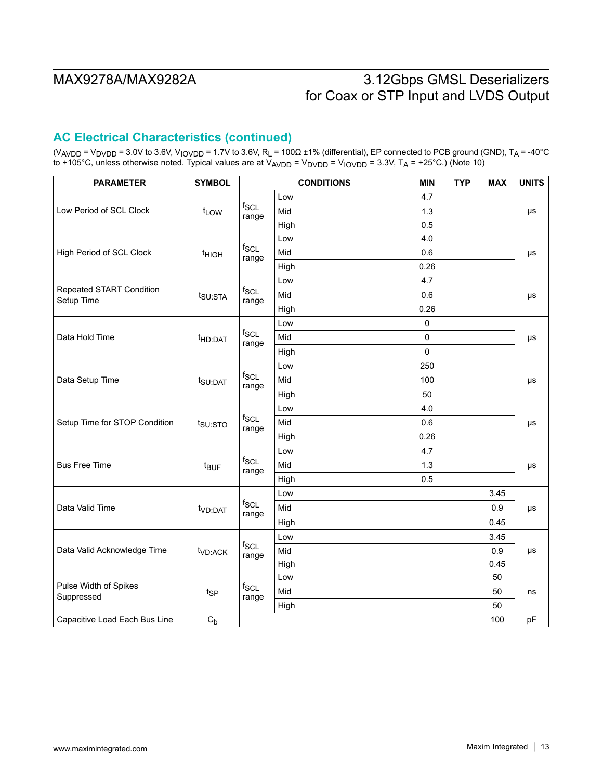## **AC Electrical Characteristics (continued)**

(V<sub>AVDD</sub> = V<sub>DVDD</sub> = 3.0V to 3.6V, V<sub>IOVDD</sub> = 1.7V to 3.6V, R<sub>L</sub> = 100Ω ±1% (differential), EP connected to PCB ground (GND), T<sub>A</sub> = -40°C to +105°C, unless otherwise noted. Typical values are at V<sub>AVDD</sub> = V<sub>DVDD</sub> = V<sub>IOVDD</sub> = 3.3V, T<sub>A</sub> = +25°C.) (Note 10)

| <b>PARAMETER</b>                       | <b>SYMBOL</b>       |                    | <b>CONDITIONS</b> | <b>MIN</b> | <b>TYP</b> | <b>MAX</b> | <b>UNITS</b> |  |  |
|----------------------------------------|---------------------|--------------------|-------------------|------------|------------|------------|--------------|--|--|
|                                        |                     |                    | Low               | 4.7        |            |            |              |  |  |
| Low Period of SCL Clock                | t <sub>LOW</sub>    | $f_{SCL}$<br>range | Mid               | 1.3        |            |            | μs           |  |  |
|                                        |                     |                    | High              | 0.5        |            |            |              |  |  |
|                                        |                     |                    | Low               | 4.0        |            |            |              |  |  |
| High Period of SCL Clock               | <sup>t</sup> HIGH   | $f_{SCL}$<br>range | Mid               | 0.6        |            |            | μs           |  |  |
|                                        |                     |                    | High              | 0.26       |            |            |              |  |  |
|                                        |                     |                    | Low               | 4.7        |            |            |              |  |  |
| Repeated START Condition<br>Setup Time | t <sub>SU:STA</sub> | $f_{SCL}$<br>range | Mid               | 0.6        |            |            | μs           |  |  |
|                                        |                     |                    | High              | 0.26       |            |            |              |  |  |
|                                        |                     |                    | Low               | 0          |            |            |              |  |  |
| Data Hold Time                         | t <sub>HD:DAT</sub> | $f_{SCL}$<br>range | Mid               | 0          |            |            | μs           |  |  |
|                                        |                     |                    | High              | 0          |            |            |              |  |  |
| Data Setup Time                        |                     | $f_{SCL}$<br>range | Low               | 250        |            |            |              |  |  |
|                                        | t <sub>SU:DAT</sub> |                    | Mid               | 100        |            |            | μs           |  |  |
|                                        |                     |                    | High              | 50         |            |            |              |  |  |
|                                        |                     |                    | Low               | 4.0        |            |            |              |  |  |
| Setup Time for STOP Condition          | t <sub>su:STO</sub> | $f_{SCL}$<br>range | Mid               | 0.6        |            |            | μs           |  |  |
|                                        |                     |                    | High              | 0.26       |            |            |              |  |  |
|                                        |                     |                    | Low               | 4.7        |            |            |              |  |  |
| <b>Bus Free Time</b>                   | t <sub>BUF</sub>    | $f_{SCL}$<br>range | Mid               | 1.3        |            |            | μs           |  |  |
|                                        |                     |                    | High              | 0.5        |            |            |              |  |  |
|                                        |                     |                    | Low               |            |            | 3.45       |              |  |  |
| Data Valid Time                        | t <sub>VD:DAT</sub> | $f_{SCL}$          | Mid               |            |            | 0.9        | μs           |  |  |
|                                        |                     | range              | High              |            |            | 0.45       |              |  |  |
|                                        |                     |                    | Low               |            |            | 3.45       |              |  |  |
| Data Valid Acknowledge Time            | t <sub>VD:ACK</sub> | $f_{SCL}$<br>range | Mid               |            |            | 0.9        | μs           |  |  |
|                                        |                     |                    | High              |            |            | 0.45       |              |  |  |
|                                        |                     |                    | Low               |            |            | 50         |              |  |  |
| Pulse Width of Spikes<br>Suppressed    | t <sub>SP</sub>     | $f_{SCL}$<br>range | Mid               |            |            | 50         | ns           |  |  |
|                                        |                     |                    | High              |            |            | 50         |              |  |  |
| Capacitive Load Each Bus Line          | $C_{b}$             |                    |                   |            |            | 100        | pF           |  |  |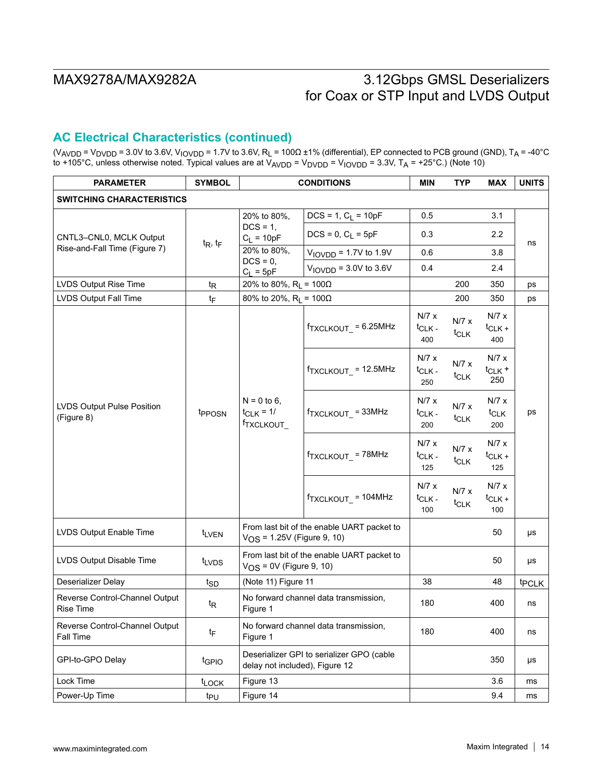## **AC Electrical Characteristics (continued)**

(V<sub>AVDD</sub> = V<sub>DVDD</sub> = 3.0V to 3.6V, V<sub>IOVDD</sub> = 1.7V to 3.6V, R<sub>L</sub> = 100Ω ±1% (differential), EP connected to PCB ground (GND), T<sub>A</sub> = -40°C to +105°C, unless otherwise noted. Typical values are at V<sub>AVDD</sub> = V<sub>DVDD</sub> = V<sub>IOVDD</sub> = 3.3V, T<sub>A</sub> = +25°C.) (Note 10)

| <b>PARAMETER</b>                                   | <b>SYMBOL</b>      |                                                           | <b>CONDITIONS</b>                          | <b>MIN</b>                         | <b>TYP</b>                | <b>MAX</b>                       | <b>UNITS</b> |  |
|----------------------------------------------------|--------------------|-----------------------------------------------------------|--------------------------------------------|------------------------------------|---------------------------|----------------------------------|--------------|--|
| <b>SWITCHING CHARACTERISTICS</b>                   |                    |                                                           |                                            |                                    |                           |                                  |              |  |
|                                                    |                    | 20% to 80%,                                               | $DCS = 1, C_L = 10pF$                      | 0.5                                | 3.1                       |                                  |              |  |
| CNTL3-CNL0, MCLK Output                            | $t_R$ , $t_F$      | $DCS = 1$ ,<br>$C_L = 10pF$                               | $DCS = 0, C_L = 5pF$                       | 0.3                                |                           | 2.2                              | ns           |  |
| Rise-and-Fall Time (Figure 7)                      |                    | 20% to 80%,<br>$DCS = 0$ ,                                | $VIOVDD = 1.7V$ to 1.9V                    | 0.6                                |                           | 3.8                              |              |  |
|                                                    |                    | $C_L = 5pF$                                               | $VIOVDD = 3.0V$ to 3.6V                    | 0.4                                |                           | 2.4                              |              |  |
| LVDS Output Rise Time                              | $t_{\mathsf{R}}$   | 20% to 80%, $R_1 = 100\Omega$                             |                                            |                                    | 200                       | 350                              | ps           |  |
| LVDS Output Fall Time                              | tF                 | 80% to 20%, $R_L = 100\Omega$                             |                                            |                                    | 200                       | 350                              | ps           |  |
|                                                    |                    |                                                           | $f_{\text{TXCLKOUT}} = 6.25 \text{MHz}$    | N/7 x<br>$t_{CLK}$<br>400          | N/7 x<br>$t_{CLK}$        | N/7 x<br>$t_{CLK+}$<br>400       |              |  |
| LVDS Output Pulse Position<br>(Figure 8)           | t <sub>PPOSN</sub> | $N = 0$ to 6,<br>$t_{CLK} = 1/$<br><sup>f</sup> TXCLKOUT_ | $f_{\text{TXCLKOUT}}$ = 12.5MHz            | N/7 x<br><sup>t</sup> CLK -<br>250 | N/7 x<br>t <sub>CLK</sub> | N/7 x<br>$t_{CLK}$ +<br>250      |              |  |
|                                                    |                    |                                                           | fTXCLKOUT_=33MHz                           | N/7 x<br>$t_{CLK}$<br>200          | N/7 x<br>t <sub>CLK</sub> | N/7 x<br>t <sub>CLK</sub><br>200 | ps           |  |
|                                                    |                    |                                                           | $f_{\text{TXCLKOUT}}$ = 78MHz              | N/7 x<br>$t_{CLK}$ -<br>125        | N/7 x<br>t <sub>CLK</sub> | N/7 x<br>$t_{CLK+}$<br>125       |              |  |
|                                                    |                    |                                                           | $f_{\text{TXCLKOUT}} = 104 \text{MHz}$     | N/7 x<br>$t_{CLK}$ .<br>100        | N/7 x<br>t <sub>CLK</sub> | N/7 x<br>$t_{CLK+}$<br>100       |              |  |
| LVDS Output Enable Time                            | tLVEN              | $V_{OS}$ = 1.25V (Figure 9, 10)                           | From last bit of the enable UART packet to |                                    |                           | 50                               | μs           |  |
| LVDS Output Disable Time                           | t <sub>LVDS</sub>  | $V_{OS}$ = 0V (Figure 9, 10)                              | From last bit of the enable UART packet to |                                    |                           | 50                               | μs           |  |
| Deserializer Delay                                 | t <sub>SD</sub>    | (Note 11) Figure 11                                       |                                            | 38                                 |                           | 48                               | <b>tPCLK</b> |  |
| Reverse Control-Channel Output<br><b>Rise Time</b> | $t_{\mathsf{R}}$   | No forward channel data transmission,<br>Figure 1         |                                            | 180                                |                           | 400                              | ns           |  |
| Reverse Control-Channel Output<br>Fall Time        | tF                 | Figure 1                                                  | No forward channel data transmission,      | 180                                |                           | 400                              | ns           |  |
| GPI-to-GPO Delay                                   | tgpio              | delay not included), Figure 12                            | Deserializer GPI to serializer GPO (cable  |                                    |                           | 350                              | μs           |  |
| Lock Time                                          | <b>tLOCK</b>       | Figure 13                                                 |                                            |                                    |                           | 3.6                              | ms           |  |
| Power-Up Time                                      | t <sub>PU</sub>    | Figure 14                                                 |                                            |                                    | 9.4                       | ms                               |              |  |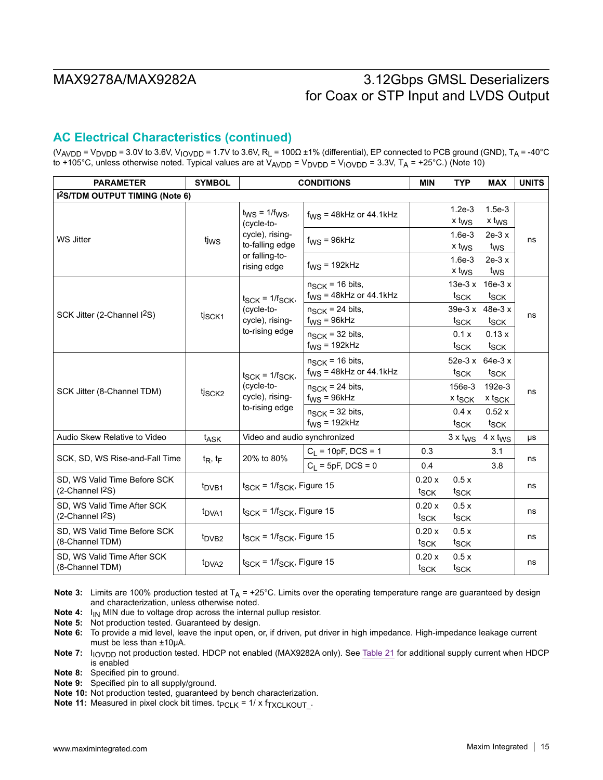## **AC Electrical Characteristics (continued)**

(V<sub>AVDD</sub> = V<sub>DVDD</sub> = 3.0V to 3.6V, V<sub>IOVDD</sub> = 1.7V to 3.6V, R<sub>L</sub> = 100 $\Omega$  ±1% (differential), EP connected to PCB ground (GND), T<sub>A</sub> = -40°C to +105°C, unless otherwise noted. Typical values are at  $V_{AVDD} = V_{DVDD} = V_{\text{IVVD}} = 3.3V$ , T<sub>A</sub> = +25°C.) (Note 10)

| <b>PARAMETER</b>                                      | <b>SYMBOL</b>      | <b>CONDITIONS</b>                                                            | <b>MIN</b>                                                 | <b>TYP</b>                | <b>MAX</b>                    | <b>UNITS</b>                        |    |  |
|-------------------------------------------------------|--------------------|------------------------------------------------------------------------------|------------------------------------------------------------|---------------------------|-------------------------------|-------------------------------------|----|--|
| <b>I2S/TDM OUTPUT TIMING (Note 6)</b>                 |                    |                                                                              |                                                            |                           |                               |                                     |    |  |
|                                                       |                    | $t_{\text{WS}}$ = 1/ $f_{\text{WS}}$ ,<br>(cycle-to-                         | $f_{WS}$ = 48kHz or 44.1kHz                                |                           | $1.2e-3$<br>x t <sub>WS</sub> | $1.5e-3$<br>x t <sub>WS</sub>       |    |  |
| <b>WS Jitter</b>                                      | tjws               | cycle), rising-<br>to-falling edge                                           | $f_{WS} = 96kHz$                                           |                           | $1.6e-3$<br>x t <sub>WS</sub> | $2e-3x$<br>t <sub>WS</sub>          | ns |  |
|                                                       |                    | or falling-to-<br>rising edge                                                | $f_{WS}$ = 192kHz                                          |                           | $1.6e-3$<br>x t <sub>WS</sub> | $2e-3x$<br>t <sub>ws</sub>          |    |  |
|                                                       |                    | $t_{SCK}$ = $1/f_{SCK}$ ,                                                    | $n_{\text{SCK}}$ = 16 bits,<br>$f_{WS}$ = 48kHz or 44.1kHz |                           | $13e-3x$<br>t <sub>SCK</sub>  | $16e-3x$<br>t <sub>SCK</sub>        |    |  |
| SCK Jitter (2-Channel I <sup>2</sup> S)               | tj <sub>SCK1</sub> | (cycle-to-<br>cycle), rising-<br>to-rising edge                              | $n_{SCK}$ = 24 bits,<br>$f_{WS} = 96kHz$                   |                           | $39e-3x$<br>t <sub>SCK</sub>  | $48e-3x$<br>t <sub>sck</sub>        | ns |  |
|                                                       |                    |                                                                              | $n_{SCK}$ = 32 bits,<br>$f_{WS}$ = 192kHz                  |                           | 0.1 x<br>t <sub>SCK</sub>     | 0.13x<br>t <sub>SCK</sub>           |    |  |
|                                                       | tj <sub>SCK2</sub> | $t_{SCK}$ = $1/f_{SCK}$ ,<br>(cycle-to-<br>cycle), rising-<br>to-rising edge | $n_{SCK}$ = 16 bits,<br>$f_{\text{WS}}$ = 48kHz or 44.1kHz |                           | t <sub>SCK</sub>              | 52e-3 x 64e-3 x<br>t <sub>SCK</sub> |    |  |
| SCK Jitter (8-Channel TDM)                            |                    |                                                                              | $n_{SCK}$ = 24 bits,<br>$f_{WS} = 96kHz$                   |                           | 156e-3<br>x t <sub>SCK</sub>  | 192e-3<br>x t <sub>SCK</sub>        | ns |  |
|                                                       |                    |                                                                              | $n_{\text{SCK}}$ = 32 bits,<br>$f_{WS}$ = 192kHz           |                           | 0.4x<br>t <sub>SCK</sub>      | 0.52x<br>tsck                       |    |  |
| Audio Skew Relative to Video                          | t <sub>ASK</sub>   | Video and audio synchronized                                                 |                                                            |                           | $3 \times t_{\text{WS}}$      | $4 \times t_{WS}$                   | μs |  |
|                                                       |                    |                                                                              | $C_L$ = 10pF, DCS = 1                                      | 0.3                       |                               | 3.1                                 |    |  |
| SCK, SD, WS Rise-and-Fall Time                        | $t_R$ , $t_F$      | 20% to 80%                                                                   | $C_1 = 5pF, DCS = 0$                                       | 0.4                       |                               | 3.8                                 | ns |  |
| SD, WS Valid Time Before SCK<br>$(2$ -Channel $12S$ ) | t <sub>DVB1</sub>  | $t_{SCK}$ = 1/ $t_{SCK}$ , Figure 15                                         |                                                            | 0.20x<br>t <sub>SCK</sub> | 0.5x<br>t <sub>SCK</sub>      |                                     | ns |  |
| SD, WS Valid Time After SCK<br>$(2$ -Channel $12S)$   | t <sub>DVA1</sub>  | $t_{SCK}$ = 1/ $f_{SCK}$ , Figure 15                                         |                                                            | 0.20x<br>t <sub>SCK</sub> | 0.5x<br>t <sub>SCK</sub>      |                                     | ns |  |
| SD, WS Valid Time Before SCK<br>(8-Channel TDM)       | t <sub>DVB2</sub>  | $t_{SCK}$ = 1/ $f_{SCK}$ , Figure 15                                         |                                                            | 0.20x<br>t <sub>SCK</sub> | 0.5x<br>t <sub>SCK</sub>      |                                     | ns |  |
| SD, WS Valid Time After SCK<br>(8-Channel TDM)        | t <sub>DVA2</sub>  |                                                                              | $t_{SCK}$ = 1/ $f_{SCK}$ , Figure 15                       |                           | 0.5x<br>t <sub>SCK</sub>      |                                     | ns |  |

**Note 3:** Limits are 100% production tested at  $T_A$  = +25°C. Limits over the operating temperature range are guaranteed by design and characterization, unless otherwise noted.

**Note 4:** I<sub>IN</sub> MIN due to voltage drop across the internal pullup resistor.

**Note 5:** Not production tested. Guaranteed by design.

**Note 6:** To provide a mid level, leave the input open, or, if driven, put driver in high impedance. High-impedance leakage current must be less than ±10µA.

Note 7: I<sub>IOVDD</sub> not production tested. HDCP not enabled (MAX9282A only). See Table 21 for additional supply current when HDCP is enabled

**Note 8:** Specified pin to ground.

**Note 9:** Specified pin to all supply/ground.

**Note 10:** Not production tested, guaranteed by bench characterization.

**Note 11:** Measured in pixel clock bit times.  $t_{PCLK} = 1/x f_{TXCLKOUT}$ .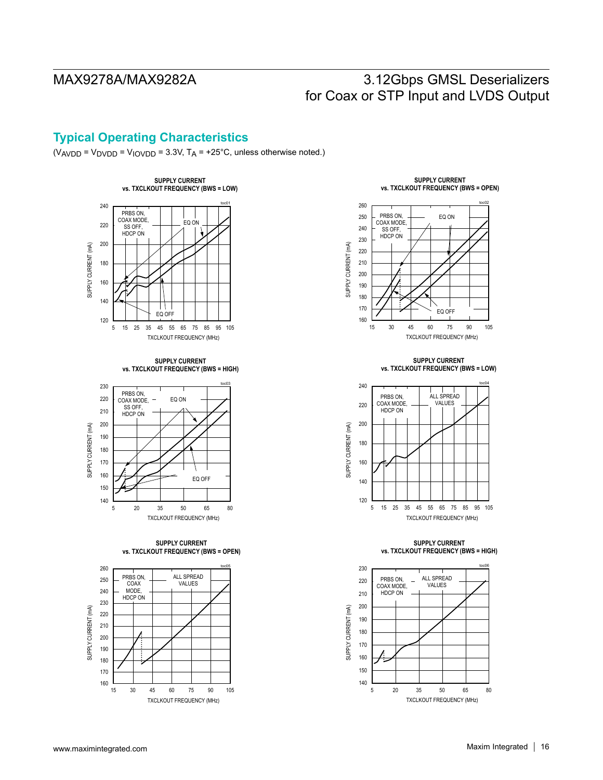## **Typical Operating Characteristics**

 $(V_{AVDD} = V_{DVDD} = V_{IOVDD} = 3.3V$ ,  $T_A = +25^{\circ}$ C, unless otherwise noted.)



**SUPPLY CURRENT vs. TXCLKOUT FREQUENCY (BWS = HIGH)**



**SUPPLY CURRENT vs. TXCLKOUT FREQUENCY (BWS = OPEN)**



**SUPPLY CURRENT vs. TXCLKOUT FREQUENCY (BWS = OPEN)**



**SUPPLY CURRENT vs. TXCLKOUT FREQUENCY (BWS = LOW)**



**SUPPLY CURRENT vs. TXCLKOUT FREQUENCY (BWS = HIGH)**

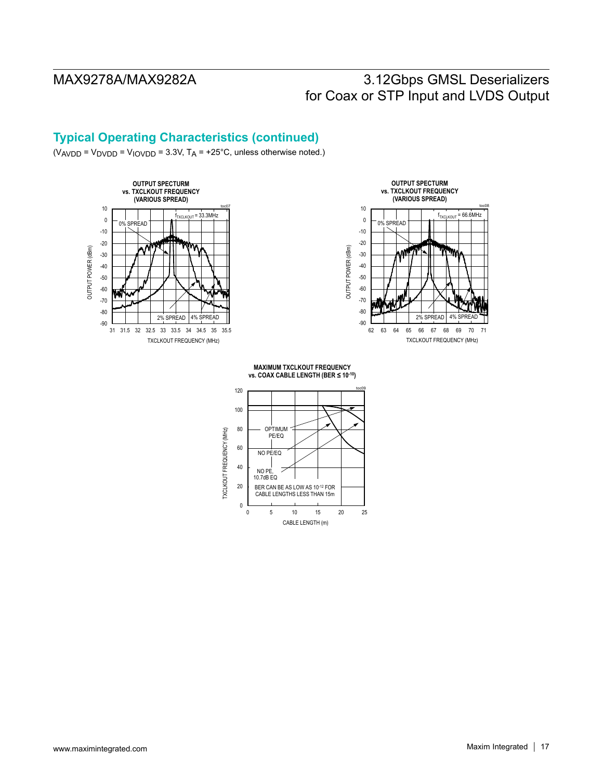## **Typical Operating Characteristics (continued)**

 $(V_{AVDD} = V_{DVDD} = V_{IOVDD} = 3.3V$ ,  $T_A = +25^{\circ}$ C, unless otherwise noted.)





**MAXIMUM TXCLKOUT FREQUENCY vs. COAX CABLE LENGTH (BER ≤ 10-<sup>10</sup>)**

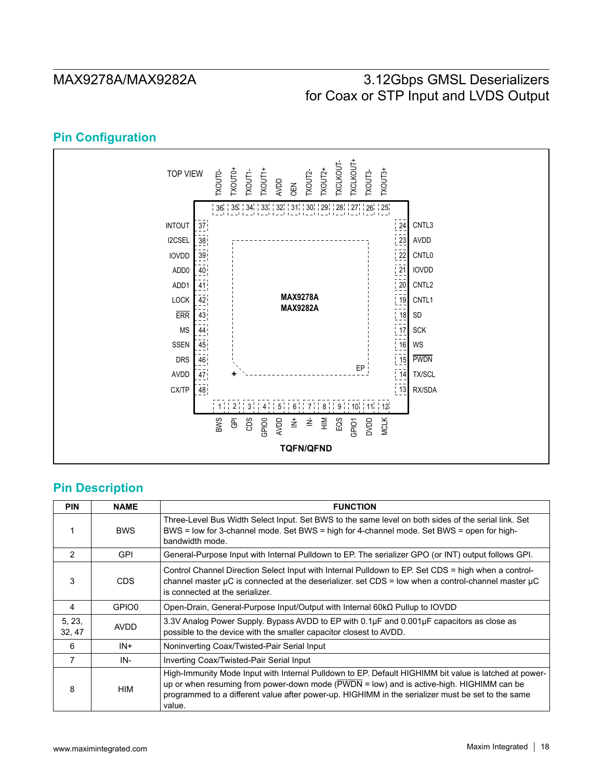## **Pin Configuration**



## **Pin Description**

| <b>PIN</b>       | <b>NAME</b> | <b>FUNCTION</b>                                                                                                                                                                                                                                                                                                                             |
|------------------|-------------|---------------------------------------------------------------------------------------------------------------------------------------------------------------------------------------------------------------------------------------------------------------------------------------------------------------------------------------------|
|                  | <b>BWS</b>  | Three-Level Bus Width Select Input. Set BWS to the same level on both sides of the serial link. Set<br>BWS = low for 3-channel mode. Set BWS = high for 4-channel mode. Set BWS = open for high-<br>bandwidth mode.                                                                                                                         |
| $\mathcal{P}$    | <b>GPI</b>  | General-Purpose Input with Internal Pulldown to EP. The serializer GPO (or INT) output follows GPI.                                                                                                                                                                                                                                         |
| 3                | CDS.        | Control Channel Direction Select Input with Internal Pulldown to EP. Set CDS = high when a control-<br>channel master $\mu$ C is connected at the deserializer. set CDS = low when a control-channel master $\mu$ C<br>is connected at the serializer.                                                                                      |
| 4                | GPIO0       | Open-Drain, General-Purpose Input/Output with Internal $60k\Omega$ Pullup to IOVDD                                                                                                                                                                                                                                                          |
| 5, 23,<br>32, 47 | AVDD        | 3.3V Analog Power Supply. Bypass AVDD to EP with $0.1\mu$ F and $0.001\mu$ F capacitors as close as<br>possible to the device with the smaller capacitor closest to AVDD.                                                                                                                                                                   |
| 6                | $IN +$      | Noninverting Coax/Twisted-Pair Serial Input                                                                                                                                                                                                                                                                                                 |
| 7                | IN-         | Inverting Coax/Twisted-Pair Serial Input                                                                                                                                                                                                                                                                                                    |
| 8                | HIM         | High-Immunity Mode Input with Internal Pulldown to EP. Default HIGHIMM bit value is latched at power-<br>up or when resuming from power-down mode $(\overline{\text{PWDN}} = \text{low})$ and is active-high. HIGHIMM can be<br>programmed to a different value after power-up. HIGHIMM in the serializer must be set to the same<br>value. |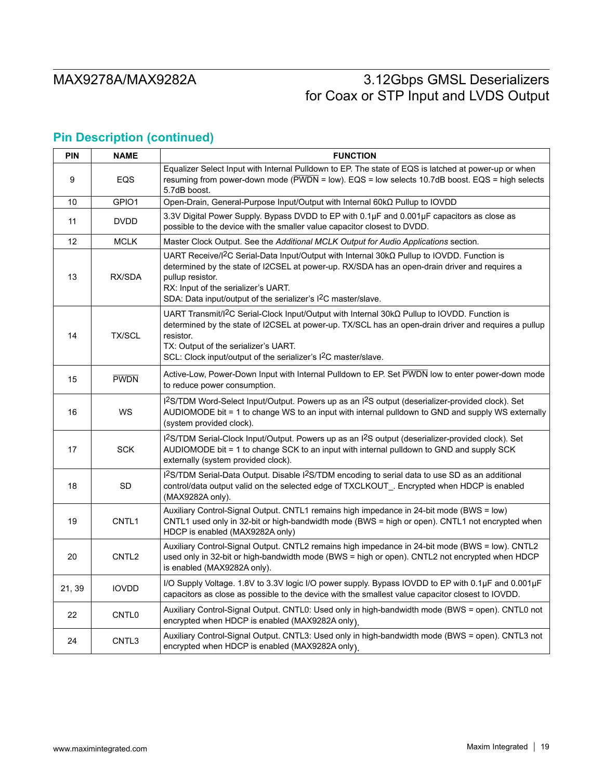## **Pin Description (continued)**

| <b>PIN</b> | <b>NAME</b>       | <b>FUNCTION</b>                                                                                                                                                                                                                                                                                                                                        |
|------------|-------------------|--------------------------------------------------------------------------------------------------------------------------------------------------------------------------------------------------------------------------------------------------------------------------------------------------------------------------------------------------------|
| 9          | EQS               | Equalizer Select Input with Internal Pulldown to EP. The state of EQS is latched at power-up or when<br>resuming from power-down mode (PWDN = low). EQS = low selects 10.7dB boost. EQS = high selects<br>5.7dB boost.                                                                                                                                 |
| 10         | GPIO1             | Open-Drain, General-Purpose Input/Output with Internal 60kΩ Pullup to IOVDD                                                                                                                                                                                                                                                                            |
| 11         | <b>DVDD</b>       | 3.3V Digital Power Supply. Bypass DVDD to EP with 0.1µF and 0.001µF capacitors as close as<br>possible to the device with the smaller value capacitor closest to DVDD.                                                                                                                                                                                 |
| 12         | <b>MCLK</b>       | Master Clock Output. See the Additional MCLK Output for Audio Applications section.                                                                                                                                                                                                                                                                    |
| 13         | RX/SDA            | UART Receive/I <sup>2</sup> C Serial-Data Input/Output with Internal $30k\Omega$ Pullup to IOVDD. Function is<br>determined by the state of I2CSEL at power-up. RX/SDA has an open-drain driver and requires a<br>pullup resistor.<br>RX: Input of the serializer's UART.<br>SDA: Data input/output of the serializer's I <sup>2</sup> C master/slave. |
| 14         | <b>TX/SCL</b>     | UART Transmit/I <sup>2</sup> C Serial-Clock Input/Output with Internal 30kΩ Pullup to IOVDD. Function is<br>determined by the state of I2CSEL at power-up. TX/SCL has an open-drain driver and requires a pullup<br>resistor.<br>TX: Output of the serializer's UART.<br>SCL: Clock input/output of the serializer's I <sup>2</sup> C master/slave.    |
| 15         | <b>PWDN</b>       | Active-Low, Power-Down Input with Internal Pulldown to EP. Set PWDN low to enter power-down mode<br>to reduce power consumption.                                                                                                                                                                                                                       |
| 16         | WS                | I2S/TDM Word-Select Input/Output. Powers up as an I2S output (deserializer-provided clock). Set<br>AUDIOMODE bit = 1 to change WS to an input with internal pulldown to GND and supply WS externally<br>(system provided clock).                                                                                                                       |
| 17         | <b>SCK</b>        | I <sup>2</sup> S/TDM Serial-Clock Input/Output. Powers up as an I <sup>2</sup> S output (deserializer-provided clock). Set<br>AUDIOMODE bit = 1 to change SCK to an input with internal pulldown to GND and supply SCK<br>externally (system provided clock).                                                                                          |
| 18         | <b>SD</b>         | I <sup>2</sup> S/TDM Serial-Data Output. Disable I <sup>2</sup> S/TDM encoding to serial data to use SD as an additional<br>control/data output valid on the selected edge of TXCLKOUT_. Encrypted when HDCP is enabled<br>(MAX9282A only).                                                                                                            |
| 19         | CNTL <sub>1</sub> | Auxiliary Control-Signal Output. CNTL1 remains high impedance in 24-bit mode (BWS = low)<br>CNTL1 used only in 32-bit or high-bandwidth mode (BWS = high or open). CNTL1 not encrypted when<br>HDCP is enabled (MAX9282A only)                                                                                                                         |
| 20         | CNTL <sub>2</sub> | Auxiliary Control-Signal Output. CNTL2 remains high impedance in 24-bit mode (BWS = low). CNTL2<br>used only in 32-bit or high-bandwidth mode (BWS = high or open). CNTL2 not encrypted when HDCP<br>is enabled (MAX9282A only).                                                                                                                       |
| 21, 39     | <b>IOVDD</b>      | I/O Supply Voltage. 1.8V to 3.3V logic I/O power supply. Bypass IOVDD to EP with 0.1µF and 0.001µF<br>capacitors as close as possible to the device with the smallest value capacitor closest to IOVDD.                                                                                                                                                |
| 22         | CNTL <sub>0</sub> | Auxiliary Control-Signal Output. CNTL0: Used only in high-bandwidth mode (BWS = open). CNTL0 not<br>encrypted when HDCP is enabled (MAX9282A only).                                                                                                                                                                                                    |
| 24         | CNTL3             | Auxiliary Control-Signal Output. CNTL3: Used only in high-bandwidth mode (BWS = open). CNTL3 not<br>encrypted when HDCP is enabled (MAX9282A only)                                                                                                                                                                                                     |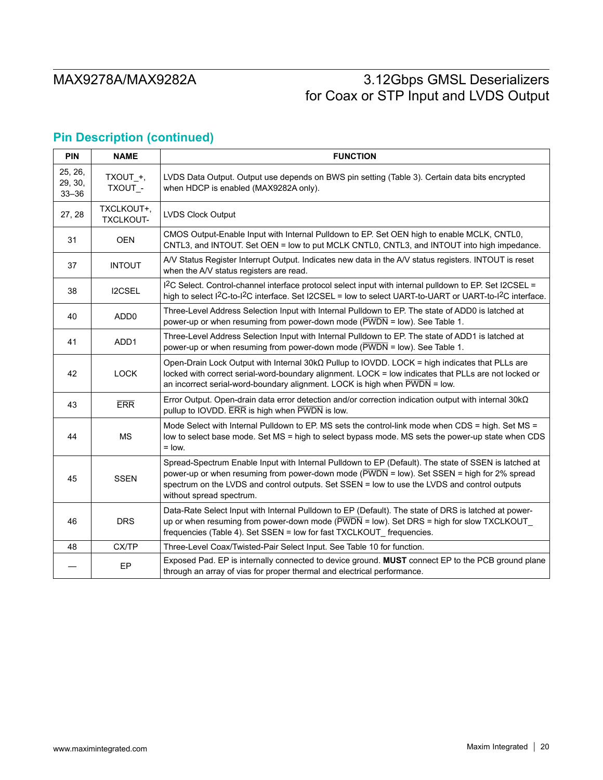## **Pin Description (continued)**

| <b>PIN</b>                      | <b>NAME</b>                    | <b>FUNCTION</b>                                                                                                                                                                                                                                                                                                                |
|---------------------------------|--------------------------------|--------------------------------------------------------------------------------------------------------------------------------------------------------------------------------------------------------------------------------------------------------------------------------------------------------------------------------|
| 25, 26,<br>29, 30,<br>$33 - 36$ | TXOUT_+,<br>TXOUT_-            | LVDS Data Output. Output use depends on BWS pin setting (Table 3). Certain data bits encrypted<br>when HDCP is enabled (MAX9282A only).                                                                                                                                                                                        |
| 27, 28                          | TXCLKOUT+,<br><b>TXCLKOUT-</b> | LVDS Clock Output                                                                                                                                                                                                                                                                                                              |
| 31                              | <b>OEN</b>                     | CMOS Output-Enable Input with Internal Pulldown to EP. Set OEN high to enable MCLK, CNTL0,<br>CNTL3, and INTOUT. Set OEN = low to put MCLK CNTL0, CNTL3, and INTOUT into high impedance.                                                                                                                                       |
| 37                              | <b>INTOUT</b>                  | A/V Status Register Interrupt Output. Indicates new data in the A/V status registers. INTOUT is reset<br>when the A/V status registers are read.                                                                                                                                                                               |
| 38                              | <b>I2CSEL</b>                  | I <sup>2</sup> C Select. Control-channel interface protocol select input with internal pulldown to EP. Set I2CSEL =<br>high to select I <sup>2</sup> C-to-I <sup>2</sup> C interface. Set I2CSEL = low to select UART-to-UART or UART-to-I <sup>2</sup> C interface.                                                           |
| 40                              | ADD <sub>0</sub>               | Three-Level Address Selection Input with Internal Pulldown to EP. The state of ADD0 is latched at<br>power-up or when resuming from power-down mode ( $\overline{\text{PWDN}}$ = low). See Table 1.                                                                                                                            |
| 41                              | ADD <sub>1</sub>               | Three-Level Address Selection Input with Internal Pulldown to EP. The state of ADD1 is latched at<br>power-up or when resuming from power-down mode ( $\overline{PWDN}$ = low). See Table 1.                                                                                                                                   |
| 42                              | <b>LOCK</b>                    | Open-Drain Lock Output with Internal $30k\Omega$ Pullup to IOVDD. LOCK = high indicates that PLLs are<br>locked with correct serial-word-boundary alignment. LOCK = low indicates that PLLs are not locked or<br>an incorrect serial-word-boundary alignment. LOCK is high when $\overline{PWDN}$ = low.                       |
| 43                              | <b>ERR</b>                     | Error Output. Open-drain data error detection and/or correction indication output with internal $30k\Omega$<br>pullup to IOVDD. ERR is high when PWDN is low.                                                                                                                                                                  |
| 44                              | <b>MS</b>                      | Mode Select with Internal Pulldown to EP. MS sets the control-link mode when CDS = high. Set MS =<br>low to select base mode. Set MS = high to select bypass mode. MS sets the power-up state when CDS<br>$=$ low.                                                                                                             |
| 45                              | <b>SSEN</b>                    | Spread-Spectrum Enable Input with Internal Pulldown to EP (Default). The state of SSEN is latched at<br>power-up or when resuming from power-down mode (PWDN = low). Set SSEN = high for 2% spread<br>spectrum on the LVDS and control outputs. Set SSEN = low to use the LVDS and control outputs<br>without spread spectrum. |
| 46                              | <b>DRS</b>                     | Data-Rate Select Input with Internal Pulldown to EP (Default). The state of DRS is latched at power-<br>up or when resuming from power-down mode $(\overline{PWDN} = \text{low})$ . Set DRS = high for slow TXCLKOUT<br>frequencies (Table 4). Set SSEN = low for fast TXCLKOUT_frequencies.                                   |
| 48                              | CX/TP                          | Three-Level Coax/Twisted-Pair Select Input. See Table 10 for function.                                                                                                                                                                                                                                                         |
|                                 | EP                             | Exposed Pad. EP is internally connected to device ground. MUST connect EP to the PCB ground plane<br>through an array of vias for proper thermal and electrical performance.                                                                                                                                                   |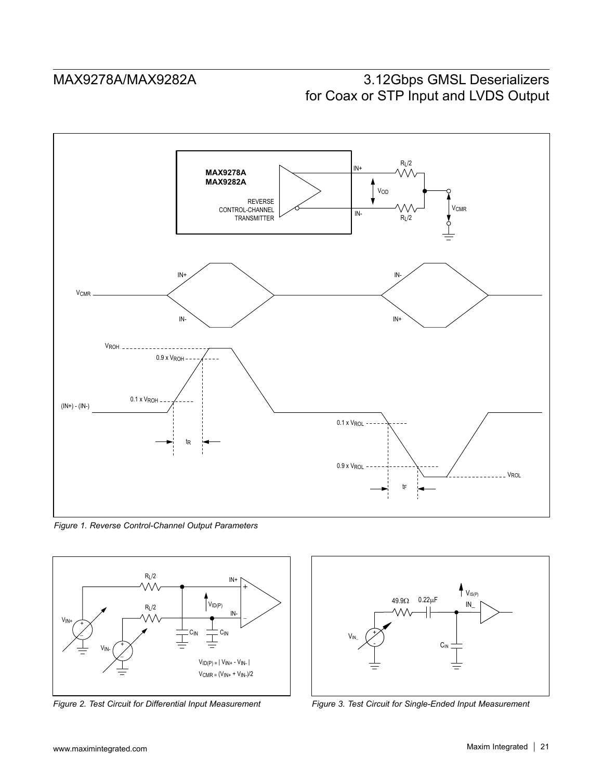

*Figure 1. Reverse Control-Channel Output Parameters*



*Figure 2. Test Circuit for Differential Input Measurement*



*Figure 3. Test Circuit for Single-Ended Input Measurement*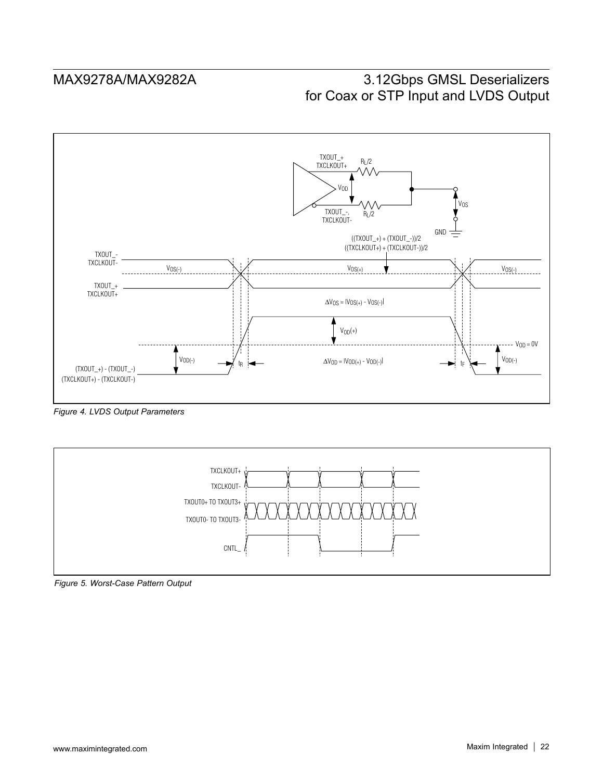

*Figure 4. LVDS Output Parameters*



*Figure 5. Worst-Case Pattern Output*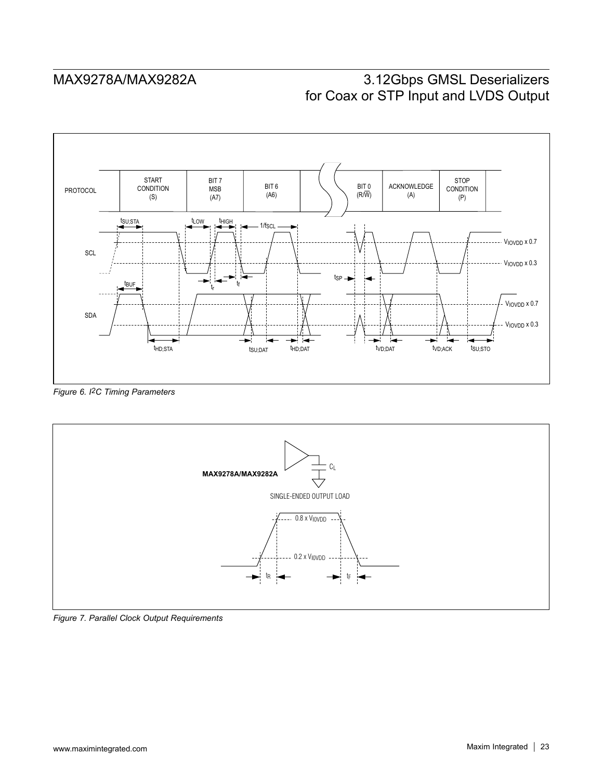

*Figure 6. I2C Timing Parameters*



*Figure 7. Parallel Clock Output Requirements*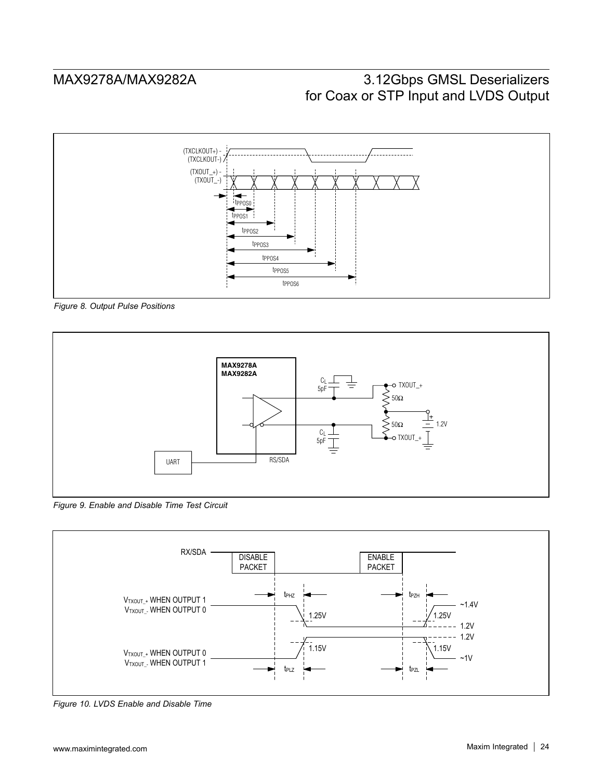

*Figure 8. Output Pulse Positions*



*Figure 9. Enable and Disable Time Test Circuit*



*Figure 10. LVDS Enable and Disable Time*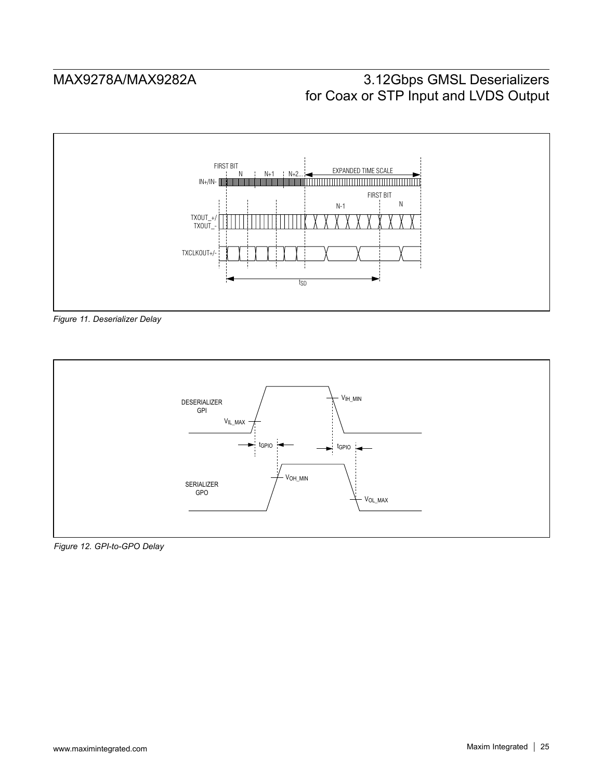





*Figure 12. GPI-to-GPO Delay*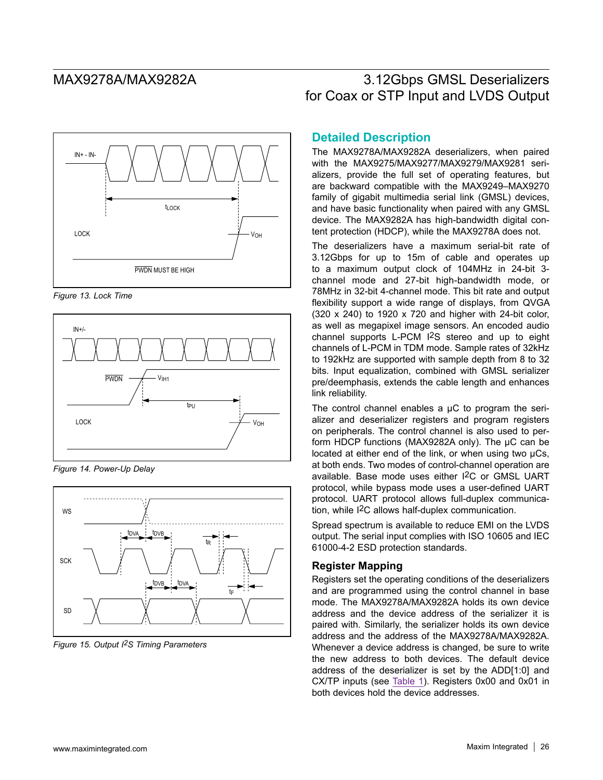

*Figure 13. Lock Time*



*Figure 14. Power-Up Delay*



*Figure 15. Output I2S Timing Parameters*

### **Detailed Description**

The MAX9278A/MAX9282A deserializers, when paired with the MAX9275/MAX9277/MAX9279/MAX9281 serializers, provide the full set of operating features, but are backward compatible with the MAX9249–MAX9270 family of gigabit multimedia serial link (GMSL) devices, and have basic functionality when paired with any GMSL device. The MAX9282A has high-bandwidth digital content protection (HDCP), while the MAX9278A does not.

The deserializers have a maximum serial-bit rate of 3.12Gbps for up to 15m of cable and operates up to a maximum output clock of 104MHz in 24-bit 3 channel mode and 27-bit high-bandwidth mode, or 78MHz in 32-bit 4-channel mode. This bit rate and output flexibility support a wide range of displays, from QVGA (320 x 240) to 1920 x 720 and higher with 24-bit color, as well as megapixel image sensors. An encoded audio channel supports L-PCM I2S stereo and up to eight channels of L-PCM in TDM mode. Sample rates of 32kHz to 192kHz are supported with sample depth from 8 to 32 bits. Input equalization, combined with GMSL serializer pre/deemphasis, extends the cable length and enhances link reliability.

The control channel enables a  $\mu$ C to program the serializer and deserializer registers and program registers on peripherals. The control channel is also used to perform HDCP functions (MAX9282A only). The µC can be located at either end of the link, or when using two µCs, at both ends. Two modes of control-channel operation are available. Base mode uses either I2C or GMSL UART protocol, while bypass mode uses a user-defined UART protocol. UART protocol allows full-duplex communication, while I2C allows half-duplex communication.

Spread spectrum is available to reduce EMI on the LVDS output. The serial input complies with ISO 10605 and IEC 61000-4-2 ESD protection standards.

### **Register Mapping**

Registers set the operating conditions of the deserializers and are programmed using the control channel in base mode. The MAX9278A/MAX9282A holds its own device address and the device address of the serializer it is paired with. Similarly, the serializer holds its own device address and the address of the MAX9278A/MAX9282A. Whenever a device address is changed, be sure to write the new address to both devices. The default device address of the deserializer is set by the ADD[1:0] and CX/TP inputs (see Table 1). Registers 0x00 and 0x01 in both devices hold the device addresses.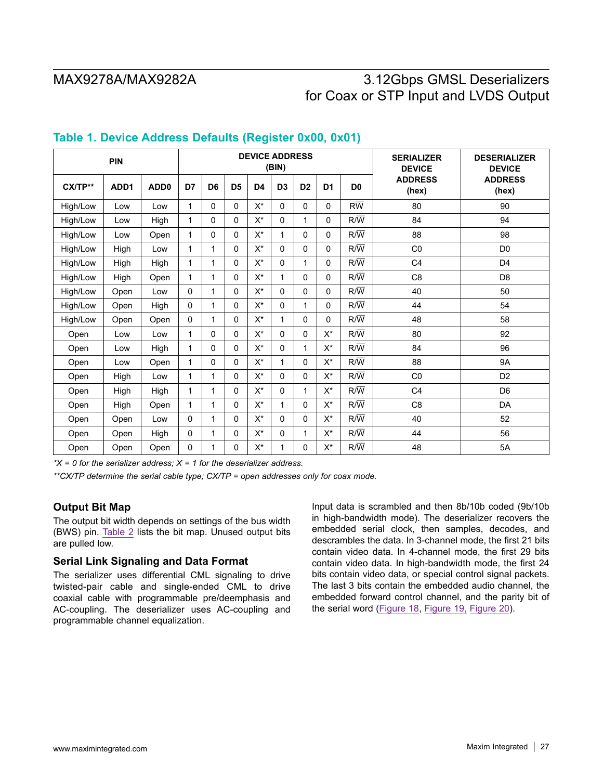|          | PIN  |                  |              |                |                | <b>DEVICE ADDRESS</b> | (BIN)          |                |                |                  | <b>SERIALIZER</b><br><b>DEVICE</b> | <b>DESERIALIZER</b><br><b>DEVICE</b> |
|----------|------|------------------|--------------|----------------|----------------|-----------------------|----------------|----------------|----------------|------------------|------------------------------------|--------------------------------------|
| CX/TP**  | ADD1 | ADD <sub>0</sub> | D7           | D <sub>6</sub> | D <sub>5</sub> | D <sub>4</sub>        | D <sub>3</sub> | D <sub>2</sub> | D <sub>1</sub> | D <sub>0</sub>   | <b>ADDRESS</b><br>(hex)            | <b>ADDRESS</b><br>(hex)              |
| High/Low | Low  | Low              | 1            | 0              | $\Omega$       | $X^*$                 | $\Omega$       | $\mathbf 0$    | $\Omega$       | $R\overline{W}$  | 80                                 | 90                                   |
| High/Low | Low  | High             | $\mathbf 1$  | 0              | 0              | $X^*$                 | $\Omega$       | 1              | $\Omega$       | $R/\overline{W}$ | 84                                 | 94                                   |
| High/Low | Low  | Open             | $\mathbf{1}$ | 0              | 0              | $X^*$                 | 1              | 0              | 0              | $R/\overline{W}$ | 88                                 | 98                                   |
| High/Low | High | Low              | 1            | $\mathbf{1}$   | 0              | $X^*$                 | $\Omega$       | $\Omega$       | $\Omega$       | $R/\overline{W}$ | CO                                 | D <sub>0</sub>                       |
| High/Low | High | High             | 1            | $\mathbf{1}$   | 0              | $X^*$                 | $\Omega$       | 1              | $\Omega$       | $R/\overline{W}$ | C <sub>4</sub>                     | D <sub>4</sub>                       |
| High/Low | High | Open             | $\mathbf 1$  | 1              | 0              | $X^*$                 | 1              | $\Omega$       | $\Omega$       | $R/\overline{W}$ | C8                                 | D <sub>8</sub>                       |
| High/Low | Open | Low              | $\Omega$     | 1              | 0              | $\mathsf{X}^\star$    | $\Omega$       | $\Omega$       | $\Omega$       | $R/\overline{W}$ | 40                                 | 50                                   |
| High/Low | Open | High             | 0            | $\mathbf{1}$   | 0              | $X^*$                 | $\Omega$       | 1              | $\Omega$       | $R/\overline{W}$ | 44                                 | 54                                   |
| High/Low | Open | Open             | $\mathbf 0$  | $\mathbf{1}$   | 0              | $X^*$                 | 1              | $\Omega$       | $\Omega$       | $R/\overline{W}$ | 48                                 | 58                                   |
| Open     | Low  | Low              | 1            | 0              | 0              | $X^*$                 | $\Omega$       | $\Omega$       | $X^*$          | $R/\overline{W}$ | 80                                 | 92                                   |
| Open     | Low  | High             | 1            | 0              | 0              | $X^*$                 | $\mathbf{0}$   | 1              | $X^*$          | $R/\overline{W}$ | 84                                 | 96                                   |
| Open     | Low  | Open             | 1            | 0              | 0              | $X^*$                 | 1              | $\Omega$       | X*             | $R/\overline{W}$ | 88                                 | <b>9A</b>                            |
| Open     | High | Low              | $\mathbf{1}$ | $\mathbf{1}$   | 0              | $X^*$                 | $\Omega$       | 0              | X*             | $R/\overline{W}$ | CO                                 | D <sub>2</sub>                       |
| Open     | High | High             | 1            | 1              | 0              | $X^*$                 | $\Omega$       | 1              | X*             | $R/\overline{W}$ | C <sub>4</sub>                     | D <sub>6</sub>                       |
| Open     | High | Open             | $\mathbf{1}$ | $\mathbf{1}$   | 0              | $X^*$                 | 1              | 0              | $X^*$          | $R/\overline{W}$ | C <sub>8</sub>                     | DA                                   |
| Open     | Open | Low              | $\Omega$     | $\mathbf{1}$   | 0              | $X^*$                 | $\Omega$       | $\Omega$       | X*             | $R/\overline{W}$ | 40                                 | 52                                   |
| Open     | Open | High             | $\Omega$     | $\mathbf{1}$   | 0              | $X^*$                 | $\Omega$       | 1              | $X^*$          | $R/\overline{W}$ | 44                                 | 56                                   |
| Open     | Open | Open             | 0            | $\mathbf{1}$   | 0              | X*                    | 1              | $\Omega$       | $X^*$          | $R/\overline{W}$ | 48                                 | 5A                                   |

### **Table 1. Device Address Defaults (Register 0x00, 0x01)**

*\*X = 0 for the serializer address; X = 1 for the deserializer address.*

*\*\*CX/TP determine the serial cable type; CX/TP = open addresses only for coax mode.*

### **Output Bit Map**

The output bit width depends on settings of the bus width (BWS) pin. Table 2 lists the bit map. Unused output bits are pulled low.

### **Serial Link Signaling and Data Format**

The serializer uses differential CML signaling to drive twisted-pair cable and single-ended CML to drive coaxial cable with programmable pre/deemphasis and AC-coupling. The deserializer uses AC-coupling and programmable channel equalization.

Input data is scrambled and then 8b/10b coded (9b/10b in high-bandwidth mode). The deserializer recovers the embedded serial clock, then samples, decodes, and descrambles the data. In 3-channel mode, the first 21 bits contain video data. In 4-channel mode, the first 29 bits contain video data. In high-bandwidth mode, the first 24 bits contain video data, or special control signal packets. The last 3 bits contain the embedded audio channel, the embedded forward control channel, and the parity bit of the serial word (Figure 18, Figure 19, Figure 20).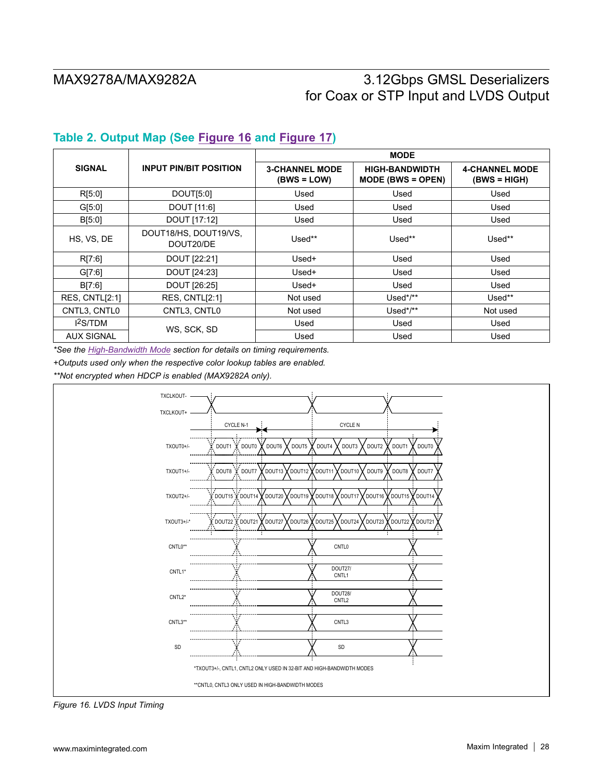## **Table 2. Output Map (See Figure 16 and Figure 17)**

|                      |                                    |                                        | <b>MODE</b>                                  |                                       |
|----------------------|------------------------------------|----------------------------------------|----------------------------------------------|---------------------------------------|
| <b>SIGNAL</b>        | <b>INPUT PIN/BIT POSITION</b>      | <b>3-CHANNEL MODE</b><br>$(BWS = LOW)$ | <b>HIGH-BANDWIDTH</b><br>$MODE$ (BWS = OPEN) | <b>4-CHANNEL MODE</b><br>(BWS = HIGH) |
| R[5.0]               | DOUT[5:0]                          | Used                                   | Used                                         | Used                                  |
| G[5:0]               | DOUT [11:6]                        | Used                                   | Used                                         | Used                                  |
| B[5:0]               | DOUT [17:12]                       | Used                                   | Used                                         | Used                                  |
| HS, VS, DE           | DOUT18/HS, DOUT19/VS,<br>DOUT20/DE | Used**                                 | Used**                                       | Used**                                |
| R[7:6]               | DOUT [22:21]                       | $Used+$                                | Used                                         | Used                                  |
| G[7:6]               | DOUT [24:23]                       | $Used+$                                | Used                                         | Used                                  |
| B[7:6]               | DOUT [26:25]                       | Used+                                  | Used                                         | Used                                  |
| RES, CNTL[2:1]       | RES, CNTL[2:1]                     | Not used                               | Used*/**                                     | Used**                                |
| CNTL3, CNTL0         | CNTL3, CNTL0                       | Not used                               | Used*/**                                     | Not used                              |
| l <sup>2</sup> S/TDM | WS. SCK. SD                        | Used                                   | Used                                         | Used                                  |
| <b>AUX SIGNAL</b>    |                                    | Used                                   | Used                                         | Used                                  |

*\*See the High-Bandwidth Mode section for details on timing requirements.*

*+Outputs used only when the respective color lookup tables are enabled.*

*\*\*Not encrypted when HDCP is enabled (MAX9282A only).*



*Figure 16. LVDS Input Timing*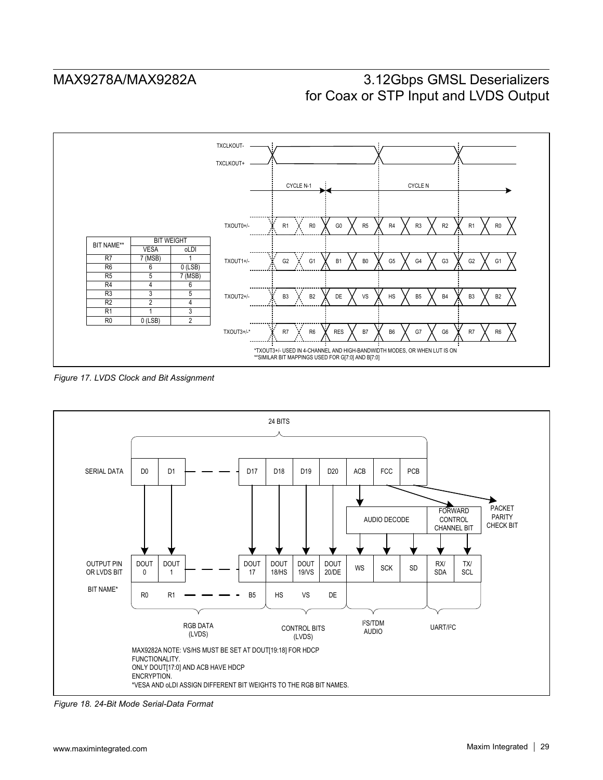

*Figure 17. LVDS Clock and Bit Assignment*



*Figure 18. 24-Bit Mode Serial-Data Format*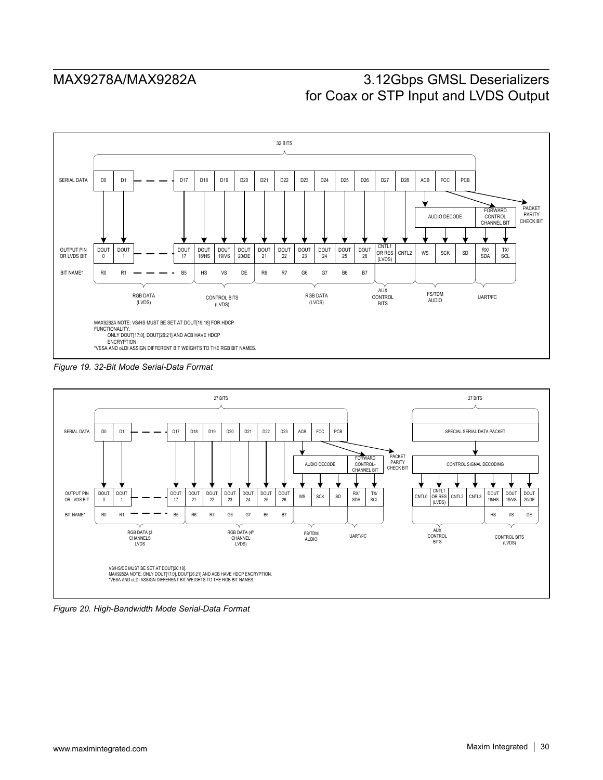

*Figure 19. 32-Bit Mode Serial-Data Format*



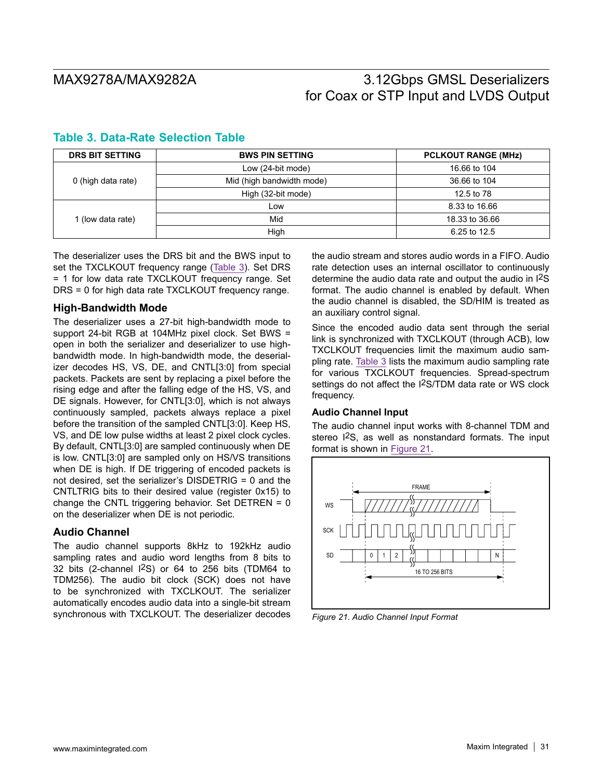| <b>DRS BIT SETTING</b> | <b>BWS PIN SETTING</b>    | <b>PCLKOUT RANGE (MHz)</b> |  |  |  |
|------------------------|---------------------------|----------------------------|--|--|--|
|                        | Low (24-bit mode)         | 16.66 to 104               |  |  |  |
| 0 (high data rate)     | Mid (high bandwidth mode) | 36.66 to 104               |  |  |  |
|                        | High (32-bit mode)        | 12.5 to 78                 |  |  |  |
|                        | Low                       | 8.33 to 16.66              |  |  |  |
| 1 (low data rate)      | Mid                       | 18.33 to 36.66             |  |  |  |
|                        | High                      | 6.25 to 12.5               |  |  |  |

### **Table 3. Data-Rate Selection Table**

The deserializer uses the DRS bit and the BWS input to set the TXCLKOUT frequency range (Table 3). Set DRS = 1 for low data rate TXCLKOUT frequency range. Set DRS = 0 for high data rate TXCLKOUT frequency range.

### **High-Bandwidth Mode**

The deserializer uses a 27-bit high-bandwidth mode to support 24-bit RGB at 104MHz pixel clock. Set BWS = open in both the serializer and deserializer to use highbandwidth mode. In high-bandwidth mode, the deserializer decodes HS, VS, DE, and CNTL[3:0] from special packets. Packets are sent by replacing a pixel before the rising edge and after the falling edge of the HS, VS, and DE signals. However, for CNTL[3:0], which is not always continuously sampled, packets always replace a pixel before the transition of the sampled CNTL[3:0]. Keep HS, VS, and DE low pulse widths at least 2 pixel clock cycles. By default, CNTL[3:0] are sampled continuously when DE is low. CNTL[3:0] are sampled only on HS/VS transitions when DE is high. If DE triggering of encoded packets is not desired, set the serializer's DISDETRIG = 0 and the CNTLTRIG bits to their desired value (register 0x15) to change the CNTL triggering behavior. Set DETREN =  $0$ on the deserializer when DE is not periodic.

### **Audio Channel**

The audio channel supports 8kHz to 192kHz audio sampling rates and audio word lengths from 8 bits to 32 bits (2-channel I2S) or 64 to 256 bits (TDM64 to TDM256). The audio bit clock (SCK) does not have to be synchronized with TXCLKOUT. The serializer automatically encodes audio data into a single-bit stream synchronous with TXCLKOUT. The deserializer decodes the audio stream and stores audio words in a FIFO. Audio rate detection uses an internal oscillator to continuously determine the audio data rate and output the audio in I2S format. The audio channel is enabled by default. When the audio channel is disabled, the SD/HIM is treated as an auxiliary control signal.

Since the encoded audio data sent through the serial link is synchronized with TXCLKOUT (through ACB), low TXCLKOUT frequencies limit the maximum audio sampling rate. Table 3 lists the maximum audio sampling rate for various TXCLKOUT frequencies. Spread-spectrum settings do not affect the I2S/TDM data rate or WS clock frequency.

### **Audio Channel Input**

The audio channel input works with 8-channel TDM and stereo I2S, as well as nonstandard formats. The input format is shown in Figure 21.



*Figure 21. Audio Channel Input Format*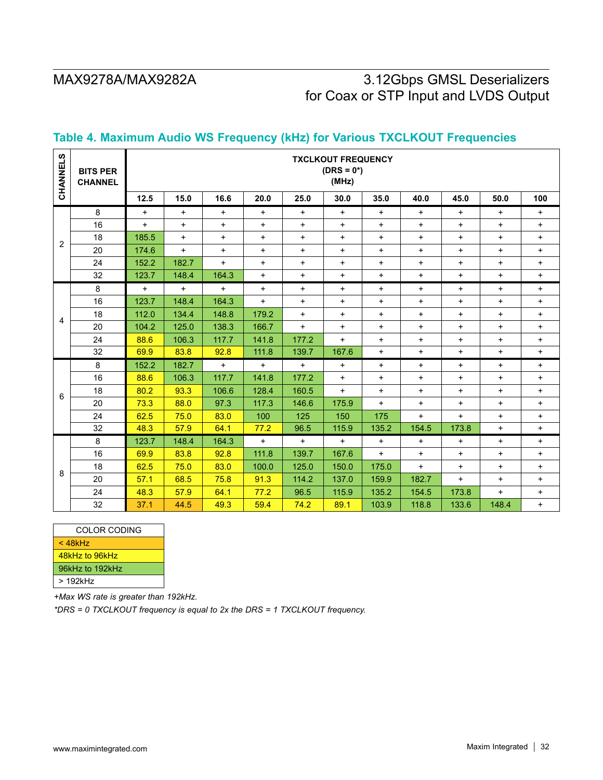| CHANNELS                                                                                                           | <b>BITS PER</b><br><b>CHANNEL</b> | <b>TXCLKOUT FREQUENCY</b><br>$(DRS = 0^*)$<br>(MHz) |           |           |           |           |           |                                  |                                  |           |           |            |
|--------------------------------------------------------------------------------------------------------------------|-----------------------------------|-----------------------------------------------------|-----------|-----------|-----------|-----------|-----------|----------------------------------|----------------------------------|-----------|-----------|------------|
|                                                                                                                    |                                   | 12.5                                                | 15.0      | 16.6      | 20.0      | 25.0      | 30.0      | 35.0                             | 40.0                             | 45.0      | 50.0      | 100        |
| 2                                                                                                                  | 8                                 | $\ddot{}$                                           | $\ddot{}$ | $\ddot{}$ | $+$       | $+$       | $\ddot{}$ | $\ddot{}$                        | $\ddot{}$                        | $+$       | $+$       | +          |
|                                                                                                                    | 16                                | $+$                                                 | $\ddot{}$ | $+$       | $\ddot{}$ | $\ddot{}$ | $\ddot{}$ | $\ddot{}$                        | $\ddot{}$                        | $+$       | $\ddot{}$ | $\ddot{}$  |
|                                                                                                                    | 18                                | 185.5                                               | $\ddot{}$ | $\ddot{}$ | $\ddot{}$ | $+$       | $\ddot{}$ | $\ddot{}$                        | $\ddot{}$                        | $+$       | $\ddot{}$ | $\ddot{}$  |
|                                                                                                                    | 20                                | 174.6                                               | $+$       | $+$       | $+$       | $+$       | $+$       | $\ddot{}$                        | $\begin{array}{c} + \end{array}$ | $\ddot{}$ | $\ddot{}$ | $+$        |
|                                                                                                                    | 24                                | 152.2                                               | 182.7     | $+$       | $\ddot{}$ | $+$       | $\ddot{}$ | $\ddot{}$                        | $\ddot{}$                        | $+$       | $\ddot{}$ | $\ddot{}$  |
|                                                                                                                    | 32                                | 123.7                                               | 148.4     | 164.3     | $\ddot{}$ | $+$       | $+$       | $\ddot{}$                        | $\ddot{}$                        | $+$       | $\ddot{}$ | $\ddot{}$  |
|                                                                                                                    | 8                                 | $+$                                                 | $+$       | $+$       | $+$       | $+$       | $+$       | $+$                              | $\ddot{}$                        | $+$       | $\ddot{}$ | $\ddot{}$  |
| 4                                                                                                                  | 16                                | 123.7                                               | 148.4     | 164.3     | $+$       | $+$       | $+$       | $\ddot{}$                        | $\ddot{}$                        | $+$       | $\ddot{}$ | $\ddot{}$  |
|                                                                                                                    | 18                                | 112.0                                               | 134.4     | 148.8     | 179.2     | $+$       | $\ddot{}$ | $\ddot{}$                        | $\ddot{}$                        | $+$       | $\ddot{}$ | $\ddot{}$  |
|                                                                                                                    | 20                                | 104.2                                               | 125.0     | 138.3     | 166.7     | $+$       | $\ddot{}$ | $\ddot{}$                        | $\ddot{}$                        | $+$       | $\ddot{}$ | $+$        |
|                                                                                                                    | 24                                | 88.6                                                | 106.3     | 117.7     | 141.8     | 177.2     | $+$       | $\ddot{}$                        | $\ddot{}$                        | $+$       | $+$       | $\ddot{}$  |
|                                                                                                                    | 32                                | 69.9                                                | 83.8      | 92.8      | 111.8     | 139.7     | 167.6     | $\ddot{}$                        | $\ddot{}$                        | $+$       | $\ddot{}$ | $+$        |
| 6                                                                                                                  | 8                                 | 152.2                                               | 182.7     | $\ddot{}$ | $\ddot{}$ | $\ddot{}$ | $\ddot{}$ | $\begin{array}{c} + \end{array}$ | $\ddot{}$                        | $+$       | $\ddot{}$ | $\ddot{}$  |
|                                                                                                                    | 16                                | 88.6                                                | 106.3     | 117.7     | 141.8     | 177.2     | $+$       | $\ddot{}$                        | $+$                              | $+$       | $\ddot{}$ | $\ddot{}$  |
|                                                                                                                    | 18                                | 80.2                                                | 93.3      | 106.6     | 128.4     | 160.5     | $+$       | $\ddot{}$                        | $+$                              | $\ddot{}$ | $\ddot{}$ | $\ddot{}$  |
|                                                                                                                    | 20                                | 73.3                                                | 88.0      | 97.3      | 117.3     | 146.6     | 175.9     | $+$                              | $\ddot{}$                        | $\ddot{}$ | $\ddot{}$ | $\ddot{}$  |
|                                                                                                                    | 24                                | 62.5                                                | 75.0      | 83.0      | 100       | 125       | 150       | 175                              | $+$                              | $+$       | $\ddot{}$ | $\ddot{}$  |
|                                                                                                                    | 32                                | 48.3                                                | 57.9      | 64.1      | 77.2      | 96.5      | 115.9     | 135.2                            | 154.5                            | 173.8     | $+$       | $\ddot{}$  |
|                                                                                                                    | 8                                 | 123.7                                               | 148.4     | 164.3     | $+$       | $+$       | $+$       | $\ddot{}$                        | $\ddot{}$                        | $+$       | $\ddot{}$ | $\ddagger$ |
|                                                                                                                    | 16                                | 69.9                                                | 83.8      | 92.8      | 111.8     | 139.7     | 167.6     | $+$                              | $\ddot{}$                        | $+$       | $\ddot{}$ | $\ddot{}$  |
| 8                                                                                                                  | 18                                | 62.5                                                | 75.0      | 83.0      | 100.0     | 125.0     | 150.0     | 175.0                            | $\ddot{}$                        | $+$       | $+$       | $\ddot{}$  |
|                                                                                                                    | 20                                | 57.1                                                | 68.5      | 75.8      | 91.3      | 114.2     | 137.0     | 159.9                            | 182.7                            | $+$       | $\ddot{}$ | $\ddot{}$  |
|                                                                                                                    | 24                                | 48.3                                                | 57.9      | 64.1      | 77.2      | 96.5      | 115.9     | 135.2                            | 154.5                            | 173.8     | $\ddot{}$ | $+$        |
|                                                                                                                    | 32                                | 37.1                                                | 44.5      | 49.3      | 59.4      | 74.2      | 89.1      | 103.9                            | 118.8                            | 133.6     | 148.4     | $+$        |
|                                                                                                                    |                                   |                                                     |           |           |           |           |           |                                  |                                  |           |           |            |
|                                                                                                                    | COLOR CODING                      |                                                     |           |           |           |           |           |                                  |                                  |           |           |            |
| $<$ 48 $k$ Hz                                                                                                      |                                   |                                                     |           |           |           |           |           |                                  |                                  |           |           |            |
| 48kHz to 96kHz                                                                                                     |                                   |                                                     |           |           |           |           |           |                                  |                                  |           |           |            |
| 96kHz to 192kHz                                                                                                    |                                   |                                                     |           |           |           |           |           |                                  |                                  |           |           |            |
|                                                                                                                    | > 192kHz                          |                                                     |           |           |           |           |           |                                  |                                  |           |           |            |
| +Max WS rate is greater than 192kHz.<br>*DRS = 0 TXCLKOUT frequency is equal to 2x the DRS = 1 TXCLKOUT frequency. |                                   |                                                     |           |           |           |           |           |                                  |                                  |           |           |            |

## **Table 4. Maximum Audio WS Frequency (kHz) for Various TXCLKOUT Frequencies**

| COLOR CODING    |
|-----------------|
| $<$ 48 $k$ Hz   |
| 48kHz to 96kHz  |
| 96kHz to 192kHz |
| > 192kHz        |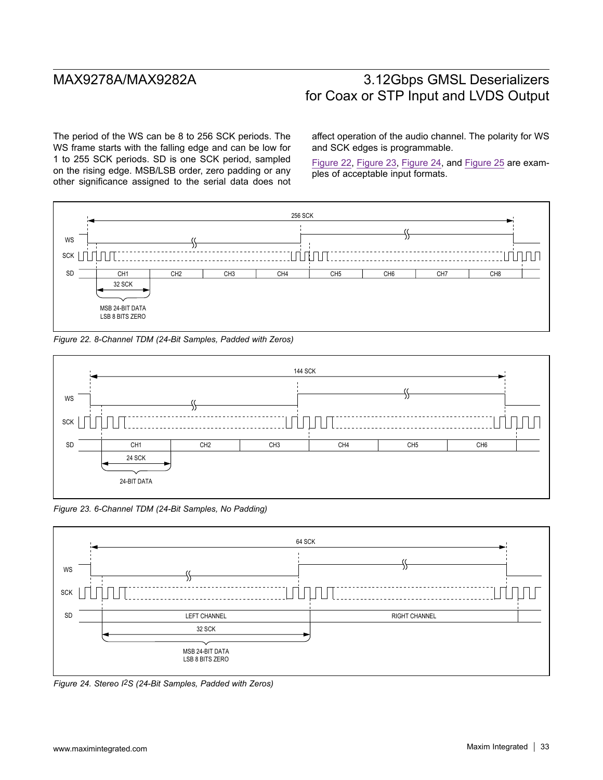The period of the WS can be 8 to 256 SCK periods. The WS frame starts with the falling edge and can be low for 1 to 255 SCK periods. SD is one SCK period, sampled on the rising edge. MSB/LSB order, zero padding or any other significance assigned to the serial data does not affect operation of the audio channel. The polarity for WS and SCK edges is programmable.

Figure 22, Figure 23, Figure 24, and Figure 25 are examples of acceptable input formats.







*Figure 23. 6-Channel TDM (24-Bit Samples, No Padding)*



*Figure 24. Stereo I2S (24-Bit Samples, Padded with Zeros)*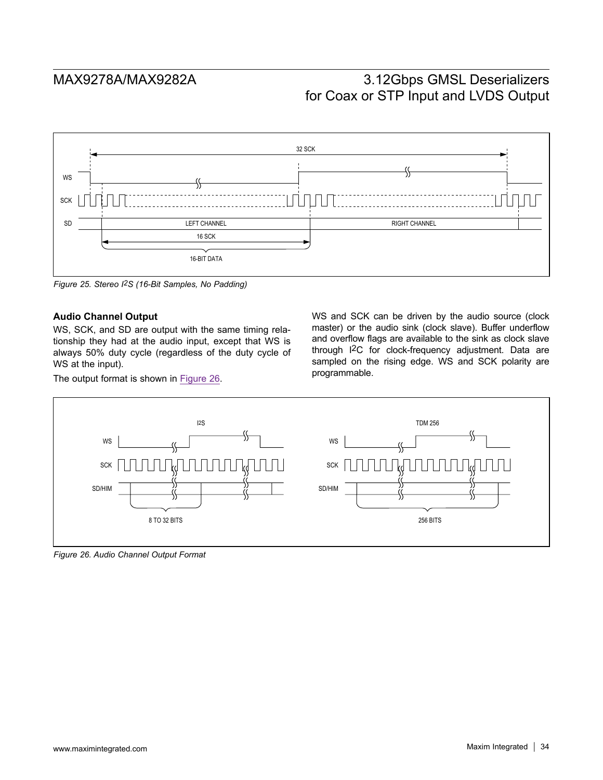

*Figure 25. Stereo I2S (16-Bit Samples, No Padding)*

### **Audio Channel Output**

WS, SCK, and SD are output with the same timing relationship they had at the audio input, except that WS is always 50% duty cycle (regardless of the duty cycle of WS at the input).

The output format is shown in Figure 26.

WS and SCK can be driven by the audio source (clock master) or the audio sink (clock slave). Buffer underflow and overflow flags are available to the sink as clock slave through I2C for clock-frequency adjustment. Data are sampled on the rising edge. WS and SCK polarity are programmable.



*Figure 26. Audio Channel Output Format*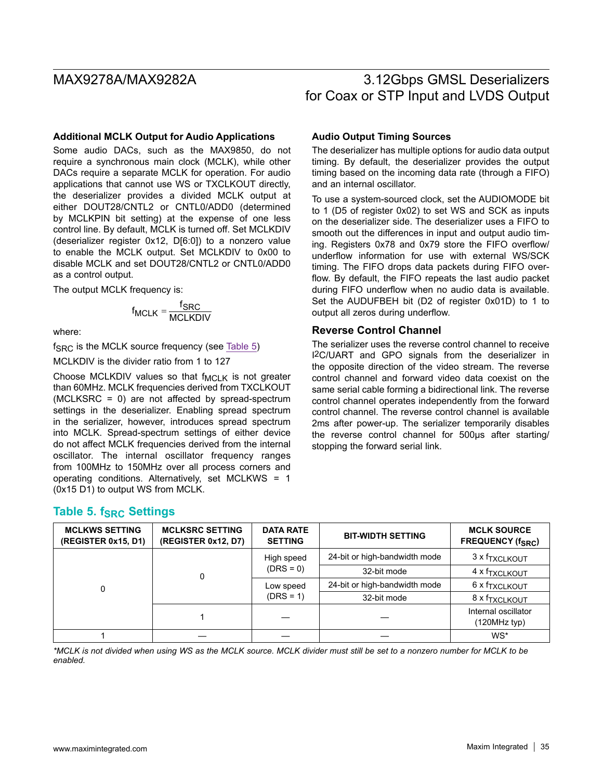### **Additional MCLK Output for Audio Applications**

Some audio DACs, such as the MAX9850, do not require a synchronous main clock (MCLK), while other DACs require a separate MCLK for operation. For audio applications that cannot use WS or TXCLKOUT directly, the deserializer provides a divided MCLK output at either DOUT28/CNTL2 or CNTL0/ADD0 (determined by MCLKPIN bit setting) at the expense of one less control line. By default, MCLK is turned off. Set MCLKDIV (deserializer register 0x12, D[6:0]) to a nonzero value to enable the MCLK output. Set MCLKDIV to 0x00 to disable MCLK and set DOUT28/CNTL2 or CNTL0/ADD0 as a control output.

The output MCLK frequency is:

$$
f_{MCLK} = \frac{f_{SRC}}{MCLKDIV}
$$

where:

 $f_{SRC}$  is the MCLK source frequency (see Table 5)

MCLKDIV is the divider ratio from 1 to 127

Choose MCLKDIV values so that  $f_{MCLK}$  is not greater than 60MHz. MCLK frequencies derived from TXCLKOUT (MCLKSRC = 0) are not affected by spread-spectrum settings in the deserializer. Enabling spread spectrum in the serializer, however, introduces spread spectrum into MCLK. Spread-spectrum settings of either device do not affect MCLK frequencies derived from the internal oscillator. The internal oscillator frequency ranges from 100MHz to 150MHz over all process corners and operating conditions. Alternatively, set MCLKWS = 1 (0x15 D1) to output WS from MCLK.

### **Audio Output Timing Sources**

The deserializer has multiple options for audio data output timing. By default, the deserializer provides the output timing based on the incoming data rate (through a FIFO) and an internal oscillator.

To use a system-sourced clock, set the AUDIOMODE bit to 1 (D5 of register 0x02) to set WS and SCK as inputs on the deserializer side. The deserializer uses a FIFO to smooth out the differences in input and output audio timing. Registers 0x78 and 0x79 store the FIFO overflow/ underflow information for use with external WS/SCK timing. The FIFO drops data packets during FIFO overflow. By default, the FIFO repeats the last audio packet during FIFO underflow when no audio data is available. Set the AUDUFBEH bit (D2 of register 0x01D) to 1 to output all zeros during underflow.

### **Reverse Control Channel**

The serializer uses the reverse control channel to receive I2C/UART and GPO signals from the deserializer in the opposite direction of the video stream. The reverse control channel and forward video data coexist on the same serial cable forming a bidirectional link. The reverse control channel operates independently from the forward control channel. The reverse control channel is available 2ms after power-up. The serializer temporarily disables the reverse control channel for 500µs after starting/ stopping the forward serial link.

### **Table 5. fSRC Settings**

| <b>MCLKWS SETTING</b><br>(REGISTER 0x15, D1) | <b>MCLKSRC SETTING</b><br>(REGISTER 0x12, D7) | <b>DATA RATE</b><br><b>SETTING</b> | <b>BIT-WIDTH SETTING</b>      | <b>MCLK SOURCE</b><br>FREQUENCY (f <sub>SRC</sub> ) |  |
|----------------------------------------------|-----------------------------------------------|------------------------------------|-------------------------------|-----------------------------------------------------|--|
|                                              |                                               | High speed                         | 24-bit or high-bandwidth mode | 3 x f <sub>TXCLKOUT</sub>                           |  |
|                                              | 0                                             | $(DRS = 0)$                        | 32-bit mode                   | 4 x f <sub>TXCLKOUT</sub>                           |  |
| 0                                            |                                               | Low speed                          | 24-bit or high-bandwidth mode | 6 x f <sub>TXCLKOUT</sub>                           |  |
|                                              |                                               | $(DRS = 1)$                        | 32-bit mode                   | 8 x f <sub>TXCLKOUT</sub>                           |  |
|                                              |                                               |                                    |                               | Internal oscillator<br>(120MHz typ)                 |  |
|                                              |                                               |                                    |                               | WS*                                                 |  |

*\*MCLK is not divided when using WS as the MCLK source. MCLK divider must still be set to a nonzero number for MCLK to be enabled.*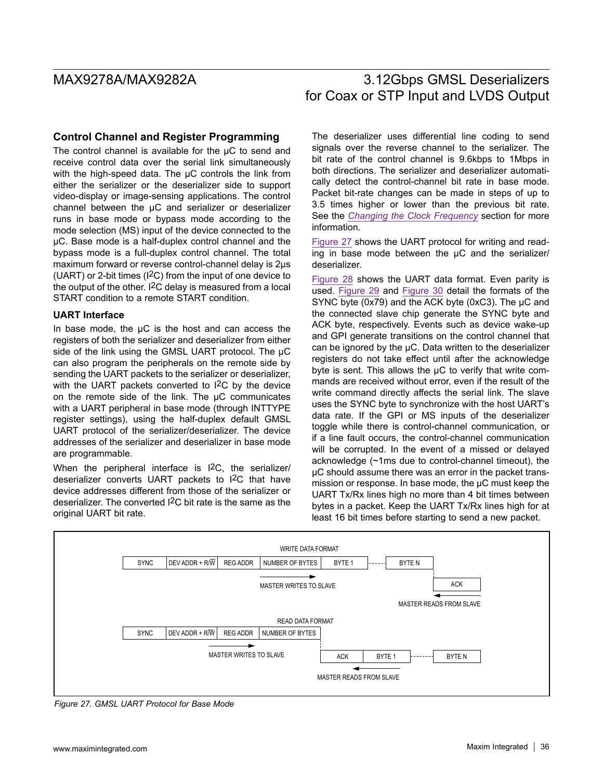### **Control Channel and Register Programming**

The control channel is available for the  $\mu$ C to send and receive control data over the serial link simultaneously with the high-speed data. The  $\mu$ C controls the link from either the serializer or the deserializer side to support video-display or image-sensing applications. The control channel between the µC and serializer or deserializer runs in base mode or bypass mode according to the mode selection (MS) input of the device connected to the µC. Base mode is a half-duplex control channel and the bypass mode is a full-duplex control channel. The total maximum forward or reverse control-channel delay is 2µs (UART) or 2-bit times (I2C) from the input of one device to the output of the other.  $12C$  delay is measured from a local START condition to a remote START condition.

### **UART Interface**

In base mode, the  $\mu$ C is the host and can access the registers of both the serializer and deserializer from either side of the link using the GMSL UART protocol. The µC can also program the peripherals on the remote side by sending the UART packets to the serializer or deserializer, with the UART packets converted to I<sup>2</sup>C by the device on the remote side of the link. The  $\mu$ C communicates with a UART peripheral in base mode (through INTTYPE register settings), using the half-duplex default GMSL UART protocol of the serializer/deserializer. The device addresses of the serializer and deserializer in base mode are programmable.

When the peripheral interface is I2C, the serializer/ deserializer converts UART packets to I2C that have device addresses different from those of the serializer or deserializer. The converted I2C bit rate is the same as the original UART bit rate.

The deserializer uses differential line coding to send signals over the reverse channel to the serializer. The bit rate of the control channel is 9.6kbps to 1Mbps in both directions. The serializer and deserializer automatically detect the control-channel bit rate in base mode. Packet bit-rate changes can be made in steps of up to 3.5 times higher or lower than the previous bit rate. See the *Changing the Clock Frequency* section for more information.

Figure 27 shows the UART protocol for writing and reading in base mode between the  $\mu$ C and the serializer/ deserializer.

Figure 28 shows the UART data format. Even parity is used. Figure 29 and Figure 30 detail the formats of the SYNC byte (0x79) and the ACK byte (0xC3). The  $\mu$ C and the connected slave chip generate the SYNC byte and ACK byte, respectively. Events such as device wake-up and GPI generate transitions on the control channel that can be ignored by the µC. Data written to the deserializer registers do not take effect until after the acknowledge byte is sent. This allows the µC to verify that write commands are received without error, even if the result of the write command directly affects the serial link. The slave uses the SYNC byte to synchronize with the host UART's data rate. If the GPI or MS inputs of the deserializer toggle while there is control-channel communication, or if a line fault occurs, the control-channel communication will be corrupted. In the event of a missed or delayed acknowledge (~1ms due to control-channel timeout), the µC should assume there was an error in the packet transmission or response. In base mode, the µC must keep the UART Tx/Rx lines high no more than 4 bit times between bytes in a packet. Keep the UART Tx/Rx lines high for at least 16 bit times before starting to send a new packet.



*Figure 27. GMSL UART Protocol for Base Mode*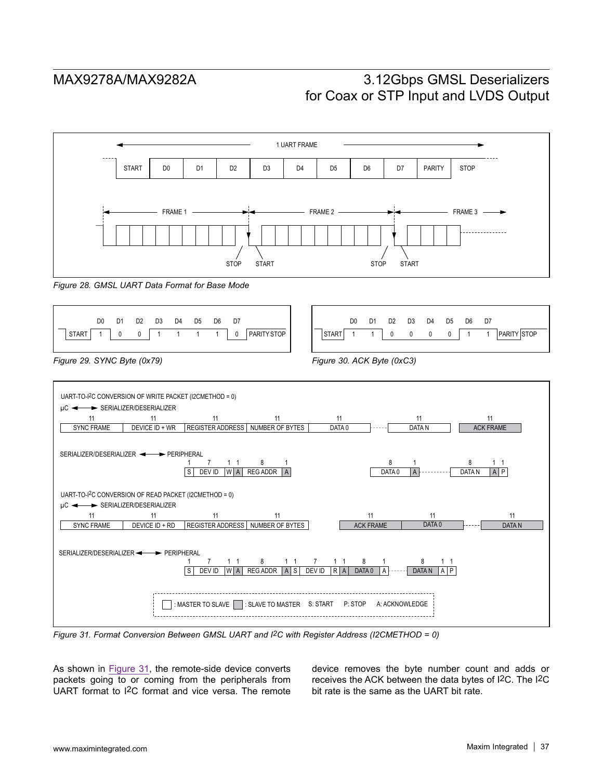

*Figure 28. GMSL UART Data Format for Base Mode*





*Figure 31. Format Conversion Between GMSL UART and I2C with Register Address (I2CMETHOD = 0)*

As shown in Figure 31, the remote-side device converts packets going to or coming from the peripherals from UART format to I2C format and vice versa. The remote device removes the byte number count and adds or receives the ACK between the data bytes of I2C. The I2C bit rate is the same as the UART bit rate.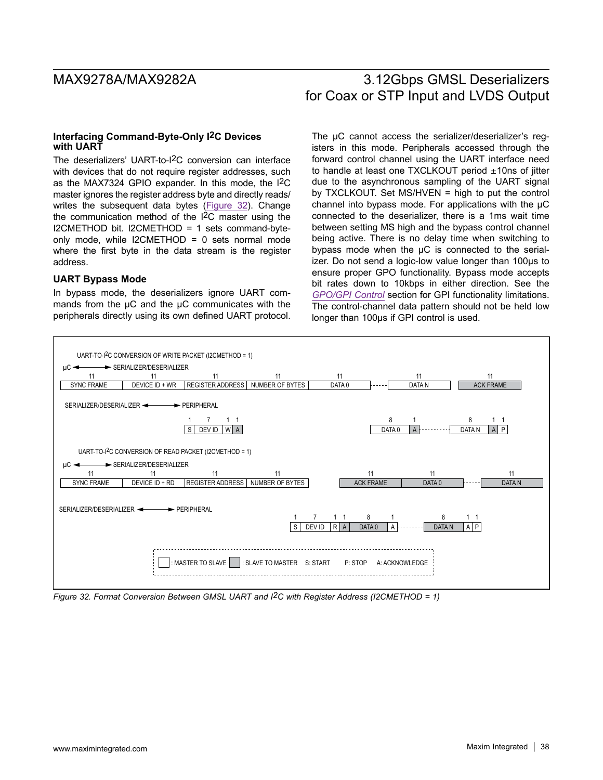### **Interfacing Command-Byte-Only I2C Devices with UART**

The deserializers' UART-to-I2C conversion can interface with devices that do not require register addresses, such as the MAX7324 GPIO expander. In this mode, the I2C master ignores the register address byte and directly reads/ writes the subsequent data bytes (Figure 32). Change the communication method of the I2C master using the I2CMETHOD bit. I2CMETHOD = 1 sets command-byteonly mode, while I2CMETHOD = 0 sets normal mode where the first byte in the data stream is the register address.

### **UART Bypass Mode**

In bypass mode, the deserializers ignore UART commands from the  $\mu$ C and the  $\mu$ C communicates with the peripherals directly using its own defined UART protocol. The  $\mu$ C cannot access the serializer/deserializer's registers in this mode. Peripherals accessed through the forward control channel using the UART interface need to handle at least one TXCLKOUT period  $\pm$ 10ns of jitter due to the asynchronous sampling of the UART signal by TXCLKOUT. Set MS/HVEN = high to put the control channel into bypass mode. For applications with the  $\mu$ C connected to the deserializer, there is a 1ms wait time between setting MS high and the bypass control channel being active. There is no delay time when switching to bypass mode when the µC is connected to the serializer. Do not send a logic-low value longer than 100µs to ensure proper GPO functionality. Bypass mode accepts bit rates down to 10kbps in either direction. See the *GPO/GPI Control* section for GPI functionality limitations. The control-channel data pattern should not be held low longer than 100µs if GPI control is used.



*Figure 32. Format Conversion Between GMSL UART and I2C with Register Address (I2CMETHOD = 1)*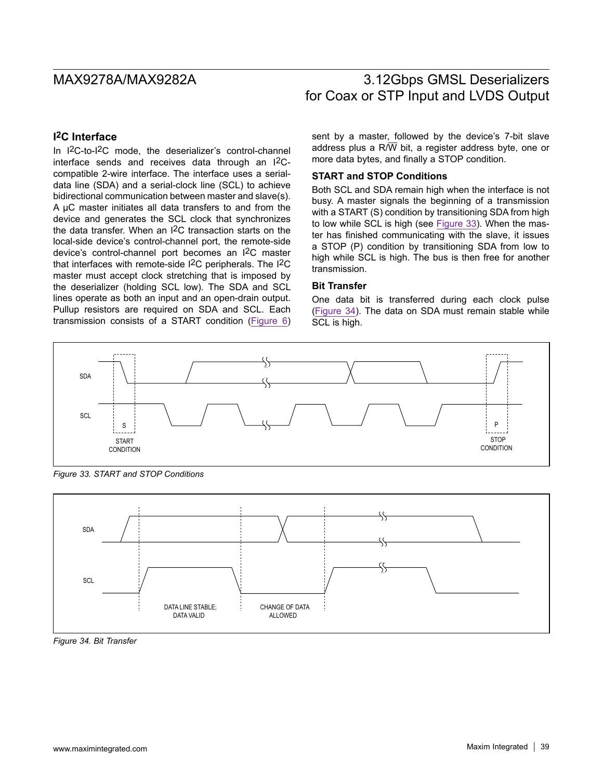# **I2C Interface**

In I2C-to-I2C mode, the deserializer's control-channel interface sends and receives data through an I2Ccompatible 2-wire interface. The interface uses a serialdata line (SDA) and a serial-clock line (SCL) to achieve bidirectional communication between master and slave(s). A µC master initiates all data transfers to and from the device and generates the SCL clock that synchronizes the data transfer. When an I2C transaction starts on the local-side device's control-channel port, the remote-side device's control-channel port becomes an I2C master that interfaces with remote-side I2C peripherals. The I2C master must accept clock stretching that is imposed by the deserializer (holding SCL low). The SDA and SCL lines operate as both an input and an open-drain output. Pullup resistors are required on SDA and SCL. Each transmission consists of a START condition (Figure 6) sent by a master, followed by the device's 7-bit slave address plus a  $R/\overline{W}$  bit, a register address byte, one or more data bytes, and finally a STOP condition.

## **START and STOP Conditions**

Both SCL and SDA remain high when the interface is not busy. A master signals the beginning of a transmission with a START (S) condition by transitioning SDA from high to low while SCL is high (see Figure 33). When the master has finished communicating with the slave, it issues a STOP (P) condition by transitioning SDA from low to high while SCL is high. The bus is then free for another transmission.

### **Bit Transfer**

One data bit is transferred during each clock pulse (Figure 34). The data on SDA must remain stable while SCL is high.



*Figure 33. START and STOP Conditions*



*Figure 34. Bit Transfer*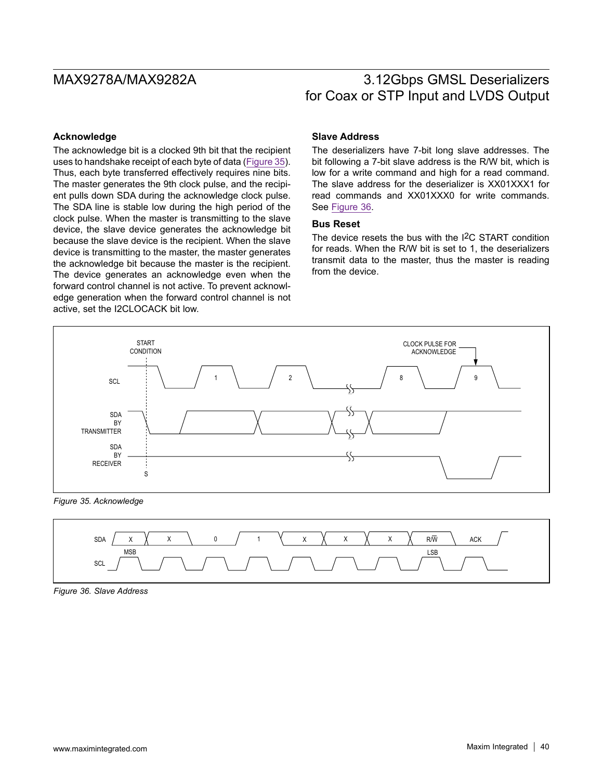### **Acknowledge**

The acknowledge bit is a clocked 9th bit that the recipient uses to handshake receipt of each byte of data (Figure 35). Thus, each byte transferred effectively requires nine bits. The master generates the 9th clock pulse, and the recipient pulls down SDA during the acknowledge clock pulse. The SDA line is stable low during the high period of the clock pulse. When the master is transmitting to the slave device, the slave device generates the acknowledge bit because the slave device is the recipient. When the slave device is transmitting to the master, the master generates the acknowledge bit because the master is the recipient. The device generates an acknowledge even when the forward control channel is not active. To prevent acknowledge generation when the forward control channel is not active, set the I2CLOCACK bit low.

### **Slave Address**

The deserializers have 7-bit long slave addresses. The bit following a 7-bit slave address is the R/W bit, which is low for a write command and high for a read command. The slave address for the deserializer is XX01XXX1 for read commands and XX01XXX0 for write commands. See Figure 36.

### **Bus Reset**

The device resets the bus with the I2C START condition for reads. When the R/W bit is set to 1, the deserializers transmit data to the master, thus the master is reading from the device.



*Figure 35. Acknowledge*



*Figure 36. Slave Address*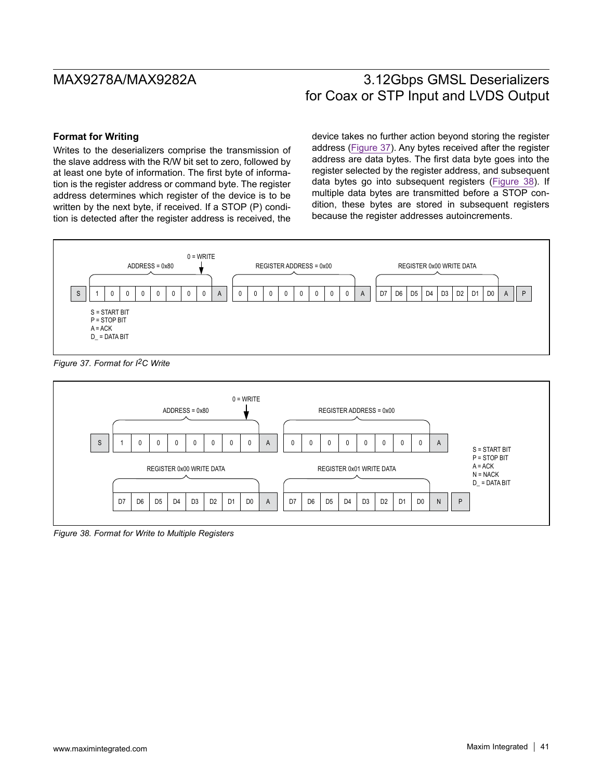### **Format for Writing**

Writes to the deserializers comprise the transmission of the slave address with the R/W bit set to zero, followed by at least one byte of information. The first byte of information is the register address or command byte. The register address determines which register of the device is to be written by the next byte, if received. If a STOP (P) condition is detected after the register address is received, the device takes no further action beyond storing the register address (Figure 37). Any bytes received after the register address are data bytes. The first data byte goes into the register selected by the register address, and subsequent data bytes go into subsequent registers (Figure 38). If multiple data bytes are transmitted before a STOP condition, these bytes are stored in subsequent registers because the register addresses autoincrements.



*Figure 37. Format for I2C Write*



*Figure 38. Format for Write to Multiple Registers*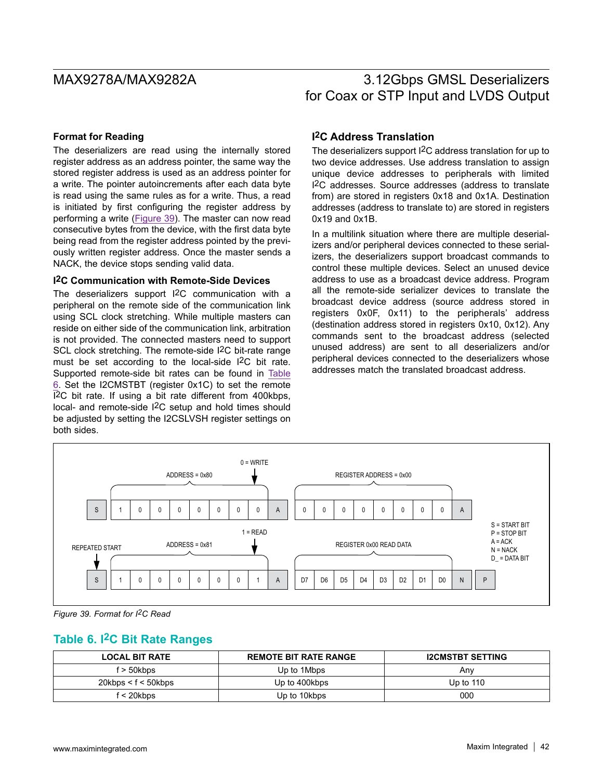### **Format for Reading**

The deserializers are read using the internally stored register address as an address pointer, the same way the stored register address is used as an address pointer for a write. The pointer autoincrements after each data byte is read using the same rules as for a write. Thus, a read is initiated by first configuring the register address by performing a write (Figure 39). The master can now read consecutive bytes from the device, with the first data byte being read from the register address pointed by the previously written register address. Once the master sends a NACK, the device stops sending valid data.

### **I2C Communication with Remote-Side Devices**

The deserializers support I2C communication with a peripheral on the remote side of the communication link using SCL clock stretching. While multiple masters can reside on either side of the communication link, arbitration is not provided. The connected masters need to support SCL clock stretching. The remote-side I<sup>2</sup>C bit-rate range must be set according to the local-side I2C bit rate. Supported remote-side bit rates can be found in Table 6. Set the I2CMSTBT (register 0x1C) to set the remote I2C bit rate. If using a bit rate different from 400kbps, local- and remote-side I2C setup and hold times should be adjusted by setting the I2CSLVSH register settings on both sides.

## **I2C Address Translation**

The deserializers support I2C address translation for up to two device addresses. Use address translation to assign unique device addresses to peripherals with limited I2C addresses. Source addresses (address to translate from) are stored in registers 0x18 and 0x1A. Destination addresses (address to translate to) are stored in registers 0x19 and 0x1B.

In a multilink situation where there are multiple deserializers and/or peripheral devices connected to these serializers, the deserializers support broadcast commands to control these multiple devices. Select an unused device address to use as a broadcast device address. Program all the remote-side serializer devices to translate the broadcast device address (source address stored in registers 0x0F, 0x11) to the peripherals' address (destination address stored in registers 0x10, 0x12). Any commands sent to the broadcast address (selected unused address) are sent to all deserializers and/or peripheral devices connected to the deserializers whose addresses match the translated broadcast address.



*Figure 39. Format for I2C Read*

## **Table 6. I2C Bit Rate Ranges**

| <b>LOCAL BIT RATE</b> | <b>REMOTE BIT RATE RANGE</b> | <b>I2CMSTBT SETTING</b> |
|-----------------------|------------------------------|-------------------------|
| f > 50kbps            | Up to 1Mbps                  | Anv                     |
| 20kbps < f < 50kbps   | Up to 400kbps                | Up to $110$             |
| f < 20kbps            | Up to 10kbps                 | 000                     |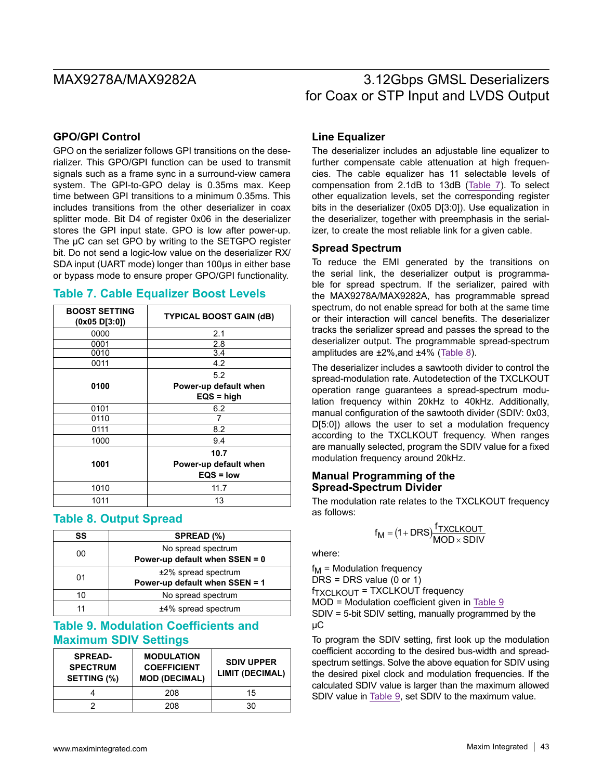## **GPO/GPI Control**

GPO on the serializer follows GPI transitions on the deserializer. This GPO/GPI function can be used to transmit signals such as a frame sync in a surround-view camera system. The GPI-to-GPO delay is 0.35ms max. Keep time between GPI transitions to a minimum 0.35ms. This includes transitions from the other deserializer in coax splitter mode. Bit D4 of register 0x06 in the deserializer stores the GPI input state. GPO is low after power-up. The  $\mu$ C can set GPO by writing to the SETGPO register bit. Do not send a logic-low value on the deserializer RX/ SDA input (UART mode) longer than 100µs in either base or bypass mode to ensure proper GPO/GPI functionality.

## **Table 7. Cable Equalizer Boost Levels**

| <b>BOOST SETTING</b><br>(0x05 D[3:0]) | <b>TYPICAL BOOST GAIN (dB)</b> |  |
|---------------------------------------|--------------------------------|--|
| 0000                                  | 2.1                            |  |
| 0001                                  | 2.8                            |  |
| 0010                                  | 3.4                            |  |
| 0011                                  | 4.2                            |  |
|                                       | 5.2                            |  |
| 0100                                  | Power-up default when          |  |
|                                       | $EQS = high$                   |  |
| 0101                                  | 6.2                            |  |
| 0110                                  | 7                              |  |
| 0111                                  | 8.2                            |  |
| 1000                                  | 9.4                            |  |
|                                       | 10.7                           |  |
| 1001                                  | Power-up default when          |  |
|                                       | $EQS = low$                    |  |
| 1010                                  | 11.7                           |  |
| 1011                                  | 13                             |  |

## **Table 8. Output Spread**

| SS                       | SPREAD (%)                                               |  |
|--------------------------|----------------------------------------------------------|--|
| 00                       | No spread spectrum<br>Power-up default when SSEN = 0     |  |
| 01                       | $±2\%$ spread spectrum<br>Power-up default when SSEN = 1 |  |
| No spread spectrum<br>10 |                                                          |  |
|                          | ±4% spread spectrum                                      |  |

# **Table 9. Modulation Coefficients and Maximum SDIV Settings**

| <b>SPREAD-</b><br><b>SPECTRUM</b><br>SETTING (%) | <b>MODULATION</b><br><b>COEFFICIENT</b><br><b>MOD (DECIMAL)</b> | <b>SDIV UPPER</b><br><b>LIMIT (DECIMAL)</b> |
|--------------------------------------------------|-----------------------------------------------------------------|---------------------------------------------|
|                                                  | 208                                                             | 15                                          |
|                                                  | 208                                                             | 30                                          |

## **Line Equalizer**

The deserializer includes an adjustable line equalizer to further compensate cable attenuation at high frequencies. The cable equalizer has 11 selectable levels of compensation from 2.1dB to 13dB (Table 7). To select other equalization levels, set the corresponding register bits in the deserializer (0x05 D[3:0]). Use equalization in the deserializer, together with preemphasis in the serializer, to create the most reliable link for a given cable.

### **Spread Spectrum**

To reduce the EMI generated by the transitions on the serial link, the deserializer output is programmable for spread spectrum. If the serializer, paired with the MAX9278A/MAX9282A, has programmable spread spectrum, do not enable spread for both at the same time or their interaction will cancel benefits. The deserializer tracks the serializer spread and passes the spread to the deserializer output. The programmable spread-spectrum amplitudes are ±2%,and ±4% (Table 8).

The deserializer includes a sawtooth divider to control the spread-modulation rate. Autodetection of the TXCLKOUT operation range guarantees a spread-spectrum modulation frequency within 20kHz to 40kHz. Additionally, manual configuration of the sawtooth divider (SDIV: 0x03, D[5:0]) allows the user to set a modulation frequency according to the TXCLKOUT frequency. When ranges are manually selected, program the SDIV value for a fixed modulation frequency around 20kHz.

### **Manual Programming of the Spread-Spectrum Divider**

The modulation rate relates to the TXCLKOUT frequency as follows:

$$
f_{M} = (1 + DRS) \frac{f_{TXCLKOUT}}{MOD \times SDIV}
$$

where:

 $f_M$  = Modulation frequency  $DRS = DRS$  value (0 or 1)  $f_{\text{TXCI KOUT}}$  = TXCLKOUT frequency MOD = Modulation coefficient given in Table 9 SDIV = 5-bit SDIV setting, manually programmed by the µC

To program the SDIV setting, first look up the modulation coefficient according to the desired bus-width and spreadspectrum settings. Solve the above equation for SDIV using the desired pixel clock and modulation frequencies. If the calculated SDIV value is larger than the maximum allowed SDIV value in Table 9, set SDIV to the maximum value.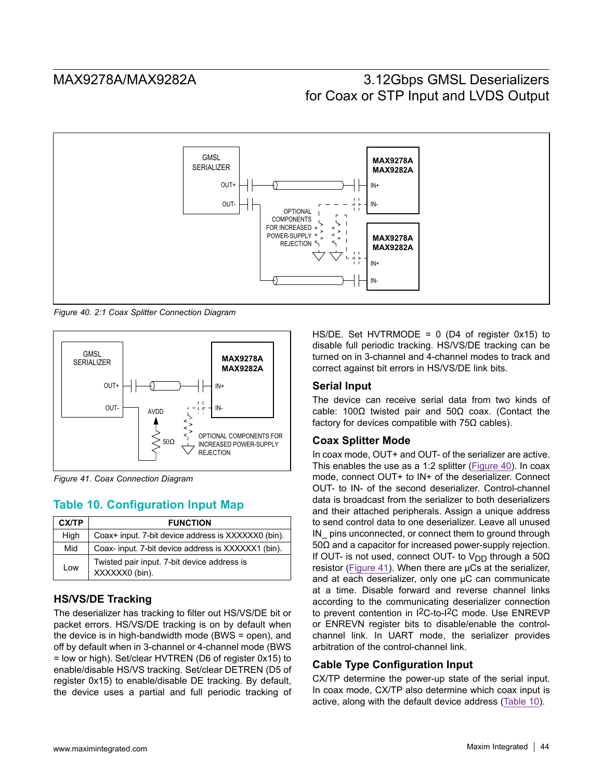

*Figure 40. 2:1 Coax Splitter Connection Diagram*



*Figure 41. Coax Connection Diagram*

# **Table 10. Configuration Input Map**

| CX/TP | <b>FUNCTION</b>                                               |
|-------|---------------------------------------------------------------|
| High  | Coax+ input. 7-bit device address is XXXXXX0 (bin).           |
| Mid   | Coax-input. 7-bit device address is XXXXXX1 (bin).            |
| Low   | Twisted pair input. 7-bit device address is<br>XXXXXX0 (bin). |

# **HS/VS/DE Tracking**

The deserializer has tracking to filter out HS/VS/DE bit or packet errors. HS/VS/DE tracking is on by default when the device is in high-bandwidth mode (BWS = open), and off by default when in 3-channel or 4-channel mode (BWS = low or high). Set/clear HVTREN (D6 of register 0x15) to enable/disable HS/VS tracking. Set/clear DETREN (D5 of register 0x15) to enable/disable DE tracking. By default, the device uses a partial and full periodic tracking of

HS/DE. Set HVTRMODE =  $0$  (D4 of register 0x15) to disable full periodic tracking. HS/VS/DE tracking can be turned on in 3-channel and 4-channel modes to track and correct against bit errors in HS/VS/DE link bits.

## **Serial Input**

The device can receive serial data from two kinds of cable: 100Ω twisted pair and 50Ω coax. (Contact the factory for devices compatible with  $75\Omega$  cables).

## **Coax Splitter Mode**

In coax mode, OUT+ and OUT- of the serializer are active. This enables the use as a 1:2 splitter (Figure 40). In coax mode, connect OUT+ to IN+ of the deserializer. Connect OUT- to IN- of the second deserializer. Control-channel data is broadcast from the serializer to both deserializers and their attached peripherals. Assign a unique address to send control data to one deserializer. Leave all unused IN\_ pins unconnected, or connect them to ground through 50Ω and a capacitor for increased power-supply rejection. If OUT- is not used, connect OUT- to V<sub>DD</sub> through a 50 $\Omega$ resistor (Figure 41). When there are µCs at the serializer, and at each deserializer, only one µC can communicate at a time. Disable forward and reverse channel links according to the communicating deserializer connection to prevent contention in I2C-to-I2C mode. Use ENREVP or ENREVN register bits to disable/enable the controlchannel link. In UART mode, the serializer provides arbitration of the control-channel link.

## **Cable Type Configuration Input**

CX/TP determine the power-up state of the serial input. In coax mode, CX/TP also determine which coax input is active, along with the default device address (Table 10).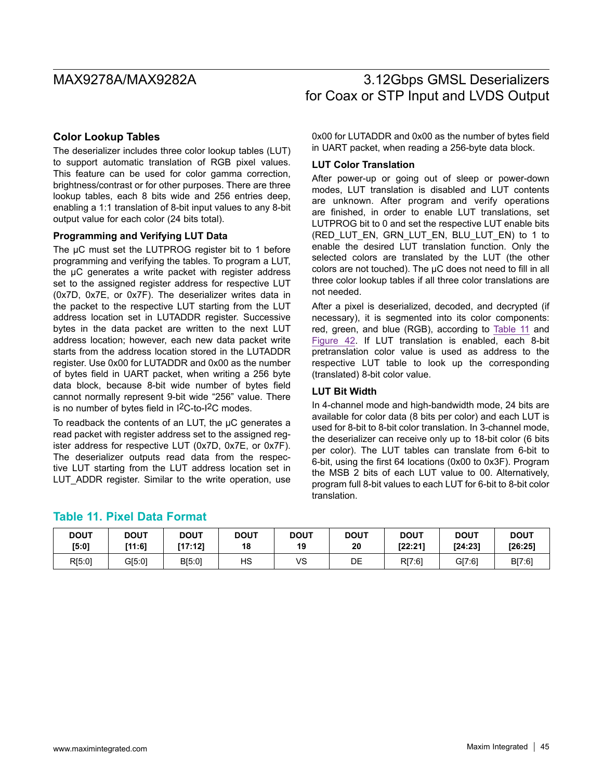## **Color Lookup Tables**

The deserializer includes three color lookup tables (LUT) to support automatic translation of RGB pixel values. This feature can be used for color gamma correction, brightness/contrast or for other purposes. There are three lookup tables, each 8 bits wide and 256 entries deep, enabling a 1:1 translation of 8-bit input values to any 8-bit output value for each color (24 bits total).

### **Programming and Verifying LUT Data**

The µC must set the LUTPROG register bit to 1 before programming and verifying the tables. To program a LUT, the µC generates a write packet with register address set to the assigned register address for respective LUT (0x7D, 0x7E, or 0x7F). The deserializer writes data in the packet to the respective LUT starting from the LUT address location set in LUTADDR register. Successive bytes in the data packet are written to the next LUT address location; however, each new data packet write starts from the address location stored in the LUTADDR register. Use 0x00 for LUTADDR and 0x00 as the number of bytes field in UART packet, when writing a 256 byte data block, because 8-bit wide number of bytes field cannot normally represent 9-bit wide "256" value. There is no number of bytes field in I2C-to-I2C modes.

To readback the contents of an LUT, the µC generates a read packet with register address set to the assigned register address for respective LUT (0x7D, 0x7E, or 0x7F). The deserializer outputs read data from the respective LUT starting from the LUT address location set in LUT ADDR register. Similar to the write operation, use

0x00 for LUTADDR and 0x00 as the number of bytes field in UART packet, when reading a 256-byte data block.

### **LUT Color Translation**

After power-up or going out of sleep or power-down modes, LUT translation is disabled and LUT contents are unknown. After program and verify operations are finished, in order to enable LUT translations, set LUTPROG bit to 0 and set the respective LUT enable bits (RED\_LUT\_EN, GRN\_LUT\_EN, BLU\_LUT\_EN) to 1 to enable the desired LUT translation function. Only the selected colors are translated by the LUT (the other colors are not touched). The µC does not need to fill in all three color lookup tables if all three color translations are not needed.

After a pixel is deserialized, decoded, and decrypted (if necessary), it is segmented into its color components: red, green, and blue (RGB), according to Table 11 and Figure 42. If LUT translation is enabled, each 8-bit pretranslation color value is used as address to the respective LUT table to look up the corresponding (translated) 8-bit color value.

## **LUT Bit Width**

In 4-channel mode and high-bandwidth mode, 24 bits are available for color data (8 bits per color) and each LUT is used for 8-bit to 8-bit color translation. In 3-channel mode, the deserializer can receive only up to 18-bit color (6 bits per color). The LUT tables can translate from 6-bit to 6-bit, using the first 64 locations (0x00 to 0x3F). Program the MSB 2 bits of each LUT value to 00. Alternatively, program full 8-bit values to each LUT for 6-bit to 8-bit color translation.

## **Table 11. Pixel Data Format**

| <b>DOUT</b> | <b>DOUT</b> | <b>DOUT</b> | <b>DOUT</b> | <b>DOUT</b> | <b>DOUT</b> | <b>DOUT</b> | <b>DOUT</b> | <b>DOUT</b> |
|-------------|-------------|-------------|-------------|-------------|-------------|-------------|-------------|-------------|
| [5:0]       | [11:6]      | [17:12]     | 18          | 19          | 20          | [22:21]     | [24.23]     | [26:25]     |
| R[5:0]      | G[5:0]      | B[5:0]      | НS          | vs          | DE          | R[7:6]      | G[7:6]      | B[7:6]      |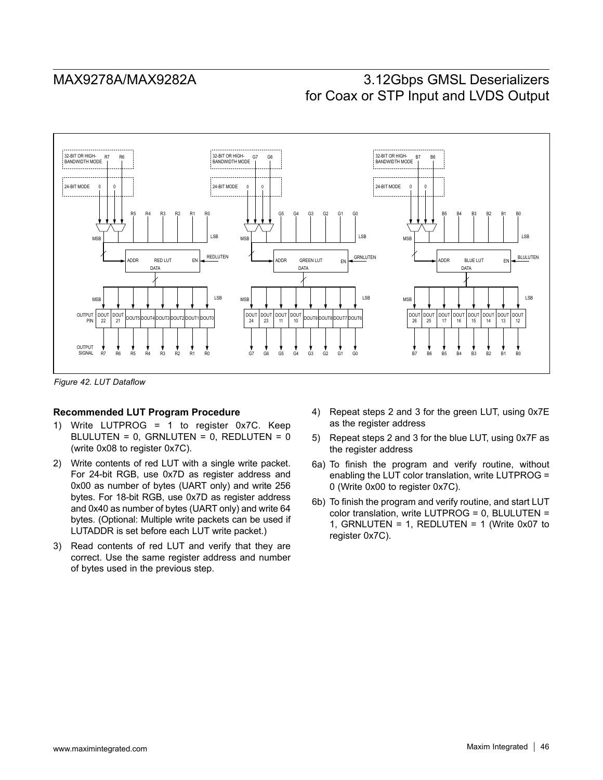

*Figure 42. LUT Dataflow*

### **Recommended LUT Program Procedure**

- 1) Write LUTPROG = 1 to register 0x7C. Keep BLULUTEN =  $0$ , GRNLUTEN =  $0$ , REDLUTEN =  $0$ (write 0x08 to register 0x7C).
- 2) Write contents of red LUT with a single write packet. For 24-bit RGB, use 0x7D as register address and 0x00 as number of bytes (UART only) and write 256 bytes. For 18-bit RGB, use 0x7D as register address and 0x40 as number of bytes (UART only) and write 64 bytes. (Optional: Multiple write packets can be used if LUTADDR is set before each LUT write packet.)
- 3) Read contents of red LUT and verify that they are correct. Use the same register address and number of bytes used in the previous step.
- 4) Repeat steps 2 and 3 for the green LUT, using 0x7E as the register address
- 5) Repeat steps 2 and 3 for the blue LUT, using 0x7F as the register address
- 6a) To finish the program and verify routine, without enabling the LUT color translation, write LUTPROG = 0 (Write 0x00 to register 0x7C).
- 6b) To finish the program and verify routine, and start LUT color translation, write LUTPROG = 0, BLULUTEN = 1, GRNLUTEN = 1, REDLUTEN = 1 (Write 0x07 to register 0x7C).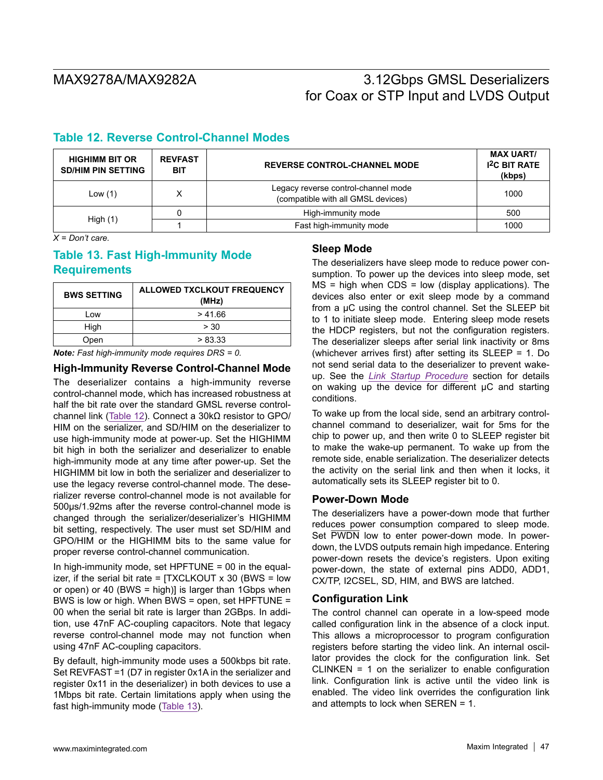# **Table 12. Reverse Control-Channel Modes**

| <b>HIGHIMM BIT OR</b><br><b>SD/HIM PIN SETTING</b> | <b>REVFAST</b><br><b>BIT</b> | <b>REVERSE CONTROL-CHANNEL MODE</b>                                       | <b>MAX UART/</b><br><b>I<sup>2</sup>C BIT RATE</b><br>(kbps) |  |
|----------------------------------------------------|------------------------------|---------------------------------------------------------------------------|--------------------------------------------------------------|--|
| Low $(1)$                                          | $\check{ }$                  | Legacy reverse control-channel mode<br>(compatible with all GMSL devices) | 1000                                                         |  |
|                                                    |                              | High-immunity mode                                                        | 500                                                          |  |
| High $(1)$                                         |                              | Fast high-immunity mode                                                   | 1000                                                         |  |

*X = Don't care.*

# **Table 13. Fast High-Immunity Mode Requirements**

| <b>BWS SETTING</b> | <b>ALLOWED TXCLKOUT FREQUENCY</b><br>(MHz) |
|--------------------|--------------------------------------------|
| Low                | >41.66                                     |
| High               | > 30                                       |
| Open               | > 83.33                                    |

*Note: Fast high-immunity mode requires DRS = 0.*

**High-Immunity Reverse Control-Channel Mode**

The deserializer contains a high-immunity reverse control-channel mode, which has increased robustness at half the bit rate over the standard GMSL reverse controlchannel link (Table 12). Connect a 30kΩ resistor to GPO/ HIM on the serializer, and SD/HIM on the deserializer to use high-immunity mode at power-up. Set the HIGHIMM bit high in both the serializer and deserializer to enable high-immunity mode at any time after power-up. Set the HIGHIMM bit low in both the serializer and deserializer to use the legacy reverse control-channel mode. The deserializer reverse control-channel mode is not available for 500µs/1.92ms after the reverse control-channel mode is changed through the serializer/deserializer's HIGHIMM bit setting, respectively. The user must set SD/HIM and GPO/HIM or the HIGHIMM bits to the same value for proper reverse control-channel communication.

In high-immunity mode, set  $HPFTUNE = 00$  in the equalizer, if the serial bit rate =  $[TXCLKOUT \times 30$  (BWS = low or open) or 40 (BWS = high)] is larger than 1Gbps when BWS is low or high. When BWS = open, set HPFTUNE = 00 when the serial bit rate is larger than 2GBps. In addition, use 47nF AC-coupling capacitors. Note that legacy reverse control-channel mode may not function when using 47nF AC-coupling capacitors.

By default, high-immunity mode uses a 500kbps bit rate. Set REVFAST =1 (D7 in register 0x1A in the serializer and register 0x11 in the deserializer) in both devices to use a 1Mbps bit rate. Certain limitations apply when using the fast high-immunity mode (Table 13).

## **Sleep Mode**

The deserializers have sleep mode to reduce power consumption. To power up the devices into sleep mode, set  $MS = high$  when  $CDS = low$  (display applications). The devices also enter or exit sleep mode by a command from a µC using the control channel. Set the SLEEP bit to 1 to initiate sleep mode. Entering sleep mode resets the HDCP registers, but not the configuration registers. The deserializer sleeps after serial link inactivity or 8ms (whichever arrives first) after setting its SLEEP = 1. Do not send serial data to the deserializer to prevent wakeup. See the *Link Startup Procedure* section for details on waking up the device for different  $\mu$ C and starting conditions.

To wake up from the local side, send an arbitrary controlchannel command to deserializer, wait for 5ms for the chip to power up, and then write 0 to SLEEP register bit to make the wake-up permanent. To wake up from the remote side, enable serialization. The deserializer detects the activity on the serial link and then when it locks, it automatically sets its SLEEP register bit to 0.

### **Power-Down Mode**

The deserializers have a power-down mode that further reduces power consumption compared to sleep mode. Set PWDN low to enter power-down mode. In powerdown, the LVDS outputs remain high impedance. Entering power-down resets the device's registers. Upon exiting power-down, the state of external pins ADD0, ADD1, CX/TP, I2CSEL, SD, HIM, and BWS are latched.

### **Configuration Link**

The control channel can operate in a low-speed mode called configuration link in the absence of a clock input. This allows a microprocessor to program configuration registers before starting the video link. An internal oscillator provides the clock for the configuration link. Set CLINKEN = 1 on the serializer to enable configuration link. Configuration link is active until the video link is enabled. The video link overrides the configuration link and attempts to lock when SEREN = 1.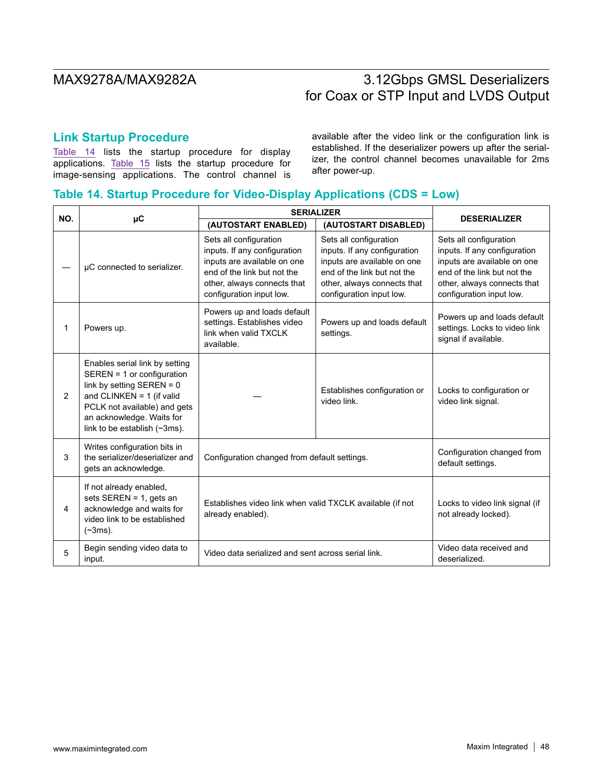# **Link Startup Procedure**

Table 14 lists the startup procedure for display applications. Table 15 lists the startup procedure for image-sensing applications. The control channel is available after the video link or the configuration link is established. If the deserializer powers up after the serializer, the control channel becomes unavailable for 2ms after power-up.

## **Table 14. Startup Procedure for Video-Display Applications (CDS = Low)**

| NO. |                                                                                                                                                                                                                         | <b>SERIALIZER</b>                                                                                                                                                               |                                                                                                                                                                                 | <b>DESERIALIZER</b>                                                                                                                                                             |  |
|-----|-------------------------------------------------------------------------------------------------------------------------------------------------------------------------------------------------------------------------|---------------------------------------------------------------------------------------------------------------------------------------------------------------------------------|---------------------------------------------------------------------------------------------------------------------------------------------------------------------------------|---------------------------------------------------------------------------------------------------------------------------------------------------------------------------------|--|
|     | μC                                                                                                                                                                                                                      | (AUTOSTART ENABLED)                                                                                                                                                             | (AUTOSTART DISABLED)                                                                                                                                                            |                                                                                                                                                                                 |  |
|     | µC connected to serializer.                                                                                                                                                                                             | Sets all configuration<br>inputs. If any configuration<br>inputs are available on one<br>end of the link but not the<br>other, always connects that<br>configuration input low. | Sets all configuration<br>inputs. If any configuration<br>inputs are available on one<br>end of the link but not the<br>other, always connects that<br>configuration input low. | Sets all configuration<br>inputs. If any configuration<br>inputs are available on one<br>end of the link but not the<br>other, always connects that<br>configuration input low. |  |
| 1   | Powers up.                                                                                                                                                                                                              | Powers up and loads default<br>settings. Establishes video<br>link when valid TXCLK<br>available.                                                                               | Powers up and loads default<br>settings.                                                                                                                                        | Powers up and loads default<br>settings. Locks to video link<br>signal if available.                                                                                            |  |
| 2   | Enables serial link by setting<br>SEREN = 1 or configuration<br>link by setting SEREN = $0$<br>and CLINKEN = $1$ (if valid<br>PCLK not available) and gets<br>an acknowledge. Waits for<br>link to be establish (~3ms). |                                                                                                                                                                                 | Establishes configuration or<br>video link.                                                                                                                                     | Locks to configuration or<br>video link signal.                                                                                                                                 |  |
| 3   | Writes configuration bits in<br>the serializer/deserializer and<br>gets an acknowledge.                                                                                                                                 | Configuration changed from default settings.                                                                                                                                    |                                                                                                                                                                                 | Configuration changed from<br>default settings.                                                                                                                                 |  |
| 4   | If not already enabled,<br>sets SEREN = 1, gets an<br>acknowledge and waits for<br>video link to be established<br>$(-3ms)$ .                                                                                           | Establishes video link when valid TXCLK available (if not<br>already enabled).                                                                                                  |                                                                                                                                                                                 | Locks to video link signal (if<br>not already locked).                                                                                                                          |  |
| 5   | Begin sending video data to<br>input.                                                                                                                                                                                   | Video data serialized and sent across serial link.                                                                                                                              |                                                                                                                                                                                 | Video data received and<br>deserialized.                                                                                                                                        |  |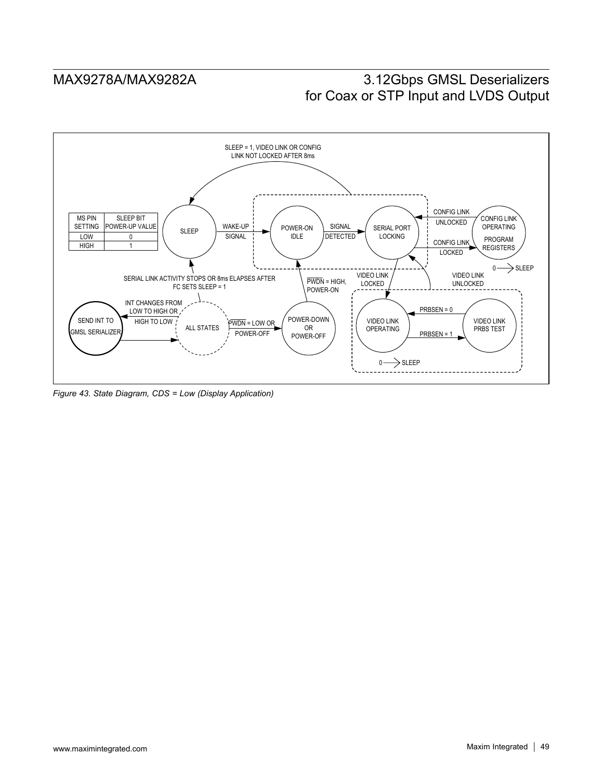

*Figure 43. State Diagram, CDS = Low (Display Application)*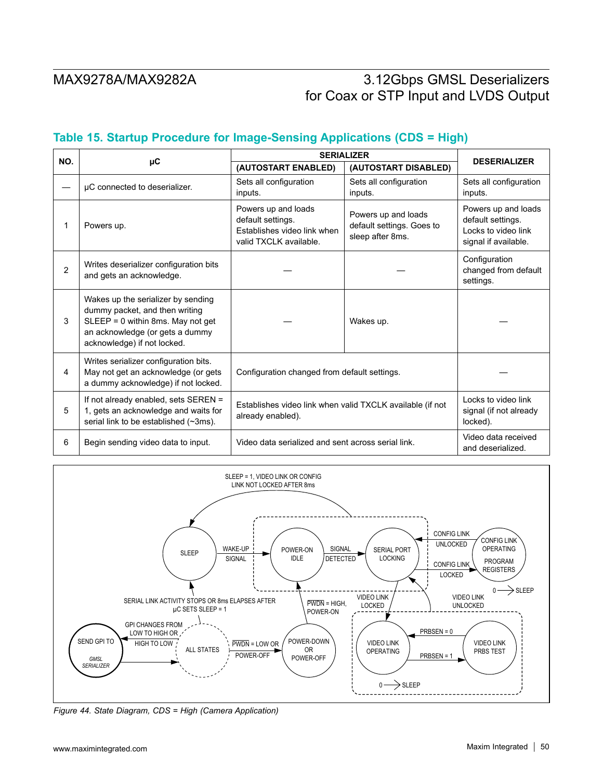# **Table 15. Startup Procedure for Image-Sensing Applications (CDS = High)**

| NO.            |                                                                                                                                                                             | <b>SERIALIZER</b>                                                                                 |                                                                      |                                                                                         |
|----------------|-----------------------------------------------------------------------------------------------------------------------------------------------------------------------------|---------------------------------------------------------------------------------------------------|----------------------------------------------------------------------|-----------------------------------------------------------------------------------------|
|                | μC                                                                                                                                                                          | (AUTOSTART ENABLED)                                                                               | (AUTOSTART DISABLED)                                                 | <b>DESERIALIZER</b>                                                                     |
|                | µC connected to deserializer.                                                                                                                                               | Sets all configuration<br>inputs.                                                                 | Sets all configuration<br>inputs.                                    | Sets all configuration<br>inputs.                                                       |
| 1              | Powers up.                                                                                                                                                                  | Powers up and loads<br>default settings.<br>Establishes video link when<br>valid TXCLK available. | Powers up and loads<br>default settings. Goes to<br>sleep after 8ms. | Powers up and loads<br>default settings.<br>Locks to video link<br>signal if available. |
| $\overline{2}$ | Writes deserializer configuration bits<br>and gets an acknowledge.                                                                                                          |                                                                                                   |                                                                      | Configuration<br>changed from default<br>settings.                                      |
| 3              | Wakes up the serializer by sending<br>dummy packet, and then writing<br>SLEEP = 0 within 8ms. May not get<br>an acknowledge (or gets a dummy<br>acknowledge) if not locked. |                                                                                                   | Wakes up.                                                            |                                                                                         |
| 4              | Writes serializer configuration bits.<br>May not get an acknowledge (or gets<br>a dummy acknowledge) if not locked.                                                         | Configuration changed from default settings.                                                      |                                                                      |                                                                                         |
| 5              | If not already enabled, sets SEREN =<br>1, gets an acknowledge and waits for<br>serial link to be established (~3ms).                                                       | Establishes video link when valid TXCLK available (if not<br>already enabled).                    |                                                                      | Locks to video link<br>signal (if not already<br>locked).                               |
| 6              | Begin sending video data to input.                                                                                                                                          | Video data serialized and sent across serial link.                                                |                                                                      | Video data received<br>and deserialized.                                                |



*Figure 44. State Diagram, CDS = High (Camera Application)*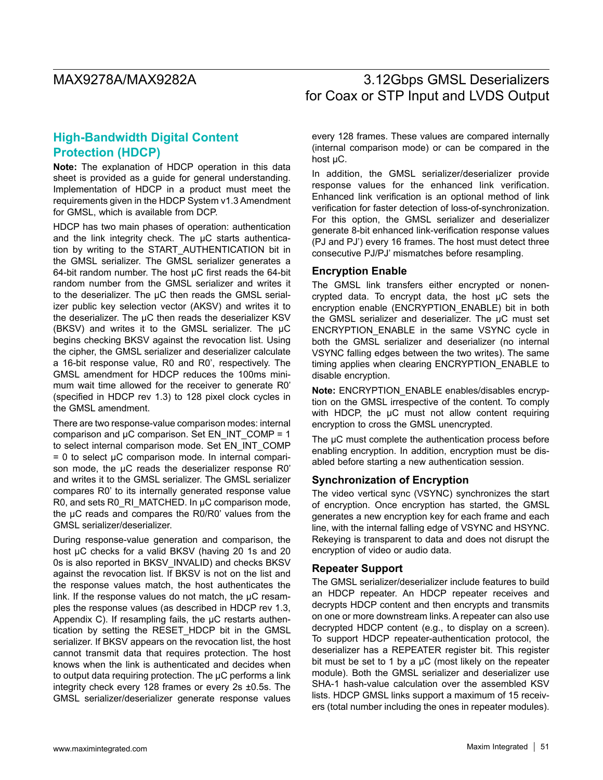# **High-Bandwidth Digital Content Protection (HDCP)**

**Note:** The explanation of HDCP operation in this data sheet is provided as a guide for general understanding. Implementation of HDCP in a product must meet the requirements given in the HDCP System v1.3 Amendment for GMSL, which is available from DCP.

HDCP has two main phases of operation: authentication and the link integrity check. The µC starts authentication by writing to the START\_AUTHENTICATION bit in the GMSL serializer. The GMSL serializer generates a 64-bit random number. The host  $\mu$ C first reads the 64-bit random number from the GMSL serializer and writes it to the deserializer. The µC then reads the GMSL serializer public key selection vector (AKSV) and writes it to the deserializer. The µC then reads the deserializer KSV (BKSV) and writes it to the GMSL serializer. The µC begins checking BKSV against the revocation list. Using the cipher, the GMSL serializer and deserializer calculate a 16-bit response value, R0 and R0', respectively. The GMSL amendment for HDCP reduces the 100ms minimum wait time allowed for the receiver to generate R0' (specified in HDCP rev 1.3) to 128 pixel clock cycles in the GMSL amendment.

There are two response-value comparison modes: internal comparison and  $\mu$ C comparison. Set EN\_INT\_COMP = 1 to select internal comparison mode. Set EN\_INT\_COMP  $= 0$  to select  $\mu$ C comparison mode. In internal comparison mode, the µC reads the deserializer response R0' and writes it to the GMSL serializer. The GMSL serializer compares R0' to its internally generated response value R0, and sets R0\_RI\_MATCHED. In µC comparison mode, the µC reads and compares the R0/R0' values from the GMSL serializer/deserializer.

During response-value generation and comparison, the host µC checks for a valid BKSV (having 20 1s and 20 0s is also reported in BKSV\_INVALID) and checks BKSV against the revocation list. If BKSV is not on the list and the response values match, the host authenticates the link. If the response values do not match, the  $\mu$ C resamples the response values (as described in HDCP rev 1.3, Appendix C). If resampling fails, the  $\mu$ C restarts authentication by setting the RESET\_HDCP bit in the GMSL serializer. If BKSV appears on the revocation list, the host cannot transmit data that requires protection. The host knows when the link is authenticated and decides when to output data requiring protection. The µC performs a link integrity check every 128 frames or every 2s ±0.5s. The GMSL serializer/deserializer generate response values

every 128 frames. These values are compared internally (internal comparison mode) or can be compared in the host uC.

In addition, the GMSL serializer/deserializer provide response values for the enhanced link verification. Enhanced link verification is an optional method of link verification for faster detection of loss-of-synchronization. For this option, the GMSL serializer and deserializer generate 8-bit enhanced link-verification response values (PJ and PJ') every 16 frames. The host must detect three consecutive PJ/PJ' mismatches before resampling.

### **Encryption Enable**

The GMSL link transfers either encrypted or nonencrypted data. To encrypt data, the host µC sets the encryption enable (ENCRYPTION\_ENABLE) bit in both the GMSL serializer and deserializer. The µC must set ENCRYPTION\_ENABLE in the same VSYNC cycle in both the GMSL serializer and deserializer (no internal VSYNC falling edges between the two writes). The same timing applies when clearing ENCRYPTION\_ENABLE to disable encryption.

**Note:** ENCRYPTION\_ENABLE enables/disables encryption on the GMSL irrespective of the content. To comply with HDCP, the  $\mu$ C must not allow content requiring encryption to cross the GMSL unencrypted.

The  $\mu$ C must complete the authentication process before enabling encryption. In addition, encryption must be disabled before starting a new authentication session.

## **Synchronization of Encryption**

The video vertical sync (VSYNC) synchronizes the start of encryption. Once encryption has started, the GMSL generates a new encryption key for each frame and each line, with the internal falling edge of VSYNC and HSYNC. Rekeying is transparent to data and does not disrupt the encryption of video or audio data.

### **Repeater Support**

The GMSL serializer/deserializer include features to build an HDCP repeater. An HDCP repeater receives and decrypts HDCP content and then encrypts and transmits on one or more downstream links. A repeater can also use decrypted HDCP content (e.g., to display on a screen). To support HDCP repeater-authentication protocol, the deserializer has a REPEATER register bit. This register bit must be set to 1 by a  $\mu$ C (most likely on the repeater module). Both the GMSL serializer and deserializer use SHA-1 hash-value calculation over the assembled KSV lists. HDCP GMSL links support a maximum of 15 receivers (total number including the ones in repeater modules).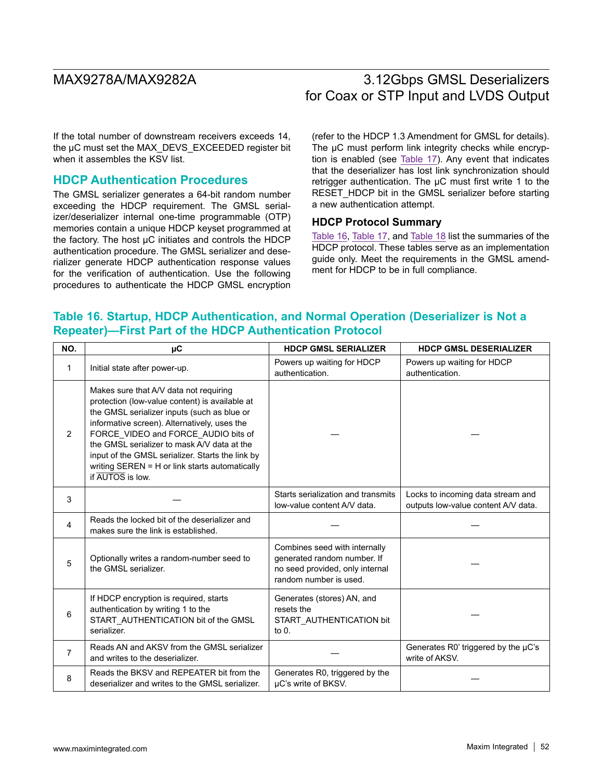If the total number of downstream receivers exceeds 14, the µC must set the MAX\_DEVS\_EXCEEDED register bit when it assembles the KSV list.

## **HDCP Authentication Procedures**

The GMSL serializer generates a 64-bit random number exceeding the HDCP requirement. The GMSL serializer/deserializer internal one-time programmable (OTP) memories contain a unique HDCP keyset programmed at the factory. The host µC initiates and controls the HDCP authentication procedure. The GMSL serializer and deserializer generate HDCP authentication response values for the verification of authentication. Use the following procedures to authenticate the HDCP GMSL encryption (refer to the HDCP 1.3 Amendment for GMSL for details). The  $\mu$ C must perform link integrity checks while encryption is enabled (see Table 17). Any event that indicates that the deserializer has lost link synchronization should retrigger authentication. The  $\mu$ C must first write 1 to the RESET\_HDCP bit in the GMSL serializer before starting a new authentication attempt.

## **HDCP Protocol Summary**

Table 16, Table 17, and Table 18 list the summaries of the HDCP protocol. These tables serve as an implementation guide only. Meet the requirements in the GMSL amendment for HDCP to be in full compliance.

# **Table 16. Startup, HDCP Authentication, and Normal Operation (Deserializer is Not a Repeater)—First Part of the HDCP Authentication Protocol**

| NO.            | μC                                                                                                                                                                                                                                                                                                                                                                                                      | <b>HDCP GMSL SERIALIZER</b>                                                                                               | <b>HDCP GMSL DESERIALIZER</b>                                            |
|----------------|---------------------------------------------------------------------------------------------------------------------------------------------------------------------------------------------------------------------------------------------------------------------------------------------------------------------------------------------------------------------------------------------------------|---------------------------------------------------------------------------------------------------------------------------|--------------------------------------------------------------------------|
| 1              | Initial state after power-up.                                                                                                                                                                                                                                                                                                                                                                           | Powers up waiting for HDCP<br>authentication.                                                                             | Powers up waiting for HDCP<br>authentication.                            |
| 2              | Makes sure that A/V data not requiring<br>protection (low-value content) is available at<br>the GMSL serializer inputs (such as blue or<br>informative screen). Alternatively, uses the<br>FORCE_VIDEO and FORCE_AUDIO bits of<br>the GMSL serializer to mask A/V data at the<br>input of the GMSL serializer. Starts the link by<br>writing SEREN = H or link starts automatically<br>if AUTOS is low. |                                                                                                                           |                                                                          |
| 3              |                                                                                                                                                                                                                                                                                                                                                                                                         | Starts serialization and transmits<br>low-value content A/V data.                                                         | Locks to incoming data stream and<br>outputs low-value content A/V data. |
| $\overline{4}$ | Reads the locked bit of the deserializer and<br>makes sure the link is established.                                                                                                                                                                                                                                                                                                                     |                                                                                                                           |                                                                          |
| 5              | Optionally writes a random-number seed to<br>the GMSL serializer.                                                                                                                                                                                                                                                                                                                                       | Combines seed with internally<br>generated random number. If<br>no seed provided, only internal<br>random number is used. |                                                                          |
| 6              | If HDCP encryption is required, starts<br>authentication by writing 1 to the<br>START_AUTHENTICATION bit of the GMSL<br>serializer.                                                                                                                                                                                                                                                                     | Generates (stores) AN, and<br>resets the<br>START_AUTHENTICATION bit<br>to $0.$                                           |                                                                          |
| 7              | Reads AN and AKSV from the GMSL serializer<br>and writes to the deserializer.                                                                                                                                                                                                                                                                                                                           |                                                                                                                           | Generates R0' triggered by the µC's<br>write of AKSV.                    |
| 8              | Reads the BKSV and REPEATER bit from the<br>deserializer and writes to the GMSL serializer.                                                                                                                                                                                                                                                                                                             | Generates R0, triggered by the<br>uC's write of BKSV.                                                                     |                                                                          |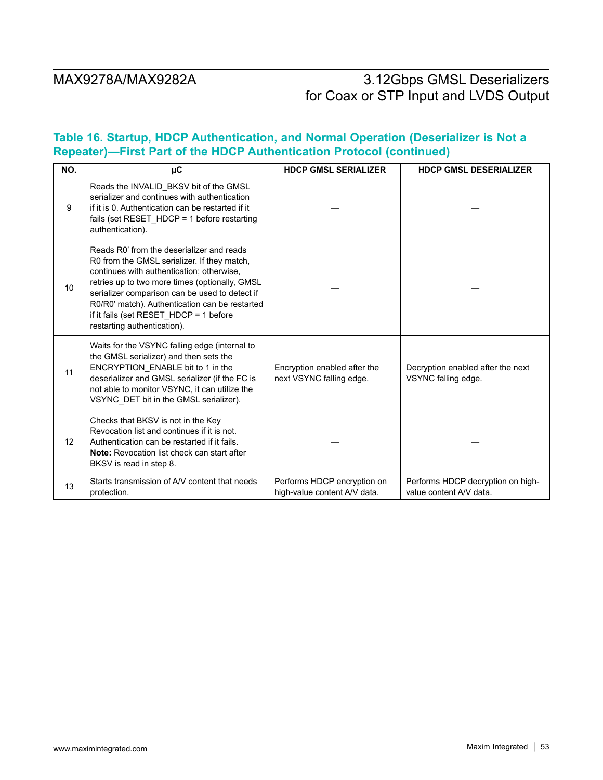# **Table 16. Startup, HDCP Authentication, and Normal Operation (Deserializer is Not a Repeater)—First Part of the HDCP Authentication Protocol (continued)**

| NO. | μC                                                                                                                                                                                                                                                                                                                                                                   | <b>HDCP GMSL SERIALIZER</b>                                 | <b>HDCP GMSL DESERIALIZER</b>                                |
|-----|----------------------------------------------------------------------------------------------------------------------------------------------------------------------------------------------------------------------------------------------------------------------------------------------------------------------------------------------------------------------|-------------------------------------------------------------|--------------------------------------------------------------|
| 9   | Reads the INVALID_BKSV bit of the GMSL<br>serializer and continues with authentication<br>if it is 0. Authentication can be restarted if it<br>fails (set RESET_HDCP = 1 before restarting<br>authentication).                                                                                                                                                       |                                                             |                                                              |
| 10  | Reads R0' from the deserializer and reads<br>R0 from the GMSL serializer. If they match,<br>continues with authentication; otherwise,<br>retries up to two more times (optionally, GMSL<br>serializer comparison can be used to detect if<br>R0/R0' match). Authentication can be restarted<br>if it fails (set RESET_HDCP = 1 before<br>restarting authentication). |                                                             |                                                              |
| 11  | Waits for the VSYNC falling edge (internal to<br>the GMSL serializer) and then sets the<br>ENCRYPTION ENABLE bit to 1 in the<br>deserializer and GMSL serializer (if the FC is<br>not able to monitor VSYNC, it can utilize the<br>VSYNC_DET bit in the GMSL serializer).                                                                                            | Encryption enabled after the<br>next VSYNC falling edge.    | Decryption enabled after the next<br>VSYNC falling edge.     |
| 12  | Checks that BKSV is not in the Key<br>Revocation list and continues if it is not.<br>Authentication can be restarted if it fails.<br>Note: Revocation list check can start after<br>BKSV is read in step 8.                                                                                                                                                          |                                                             |                                                              |
| 13  | Starts transmission of A/V content that needs<br>protection.                                                                                                                                                                                                                                                                                                         | Performs HDCP encryption on<br>high-value content A/V data. | Performs HDCP decryption on high-<br>value content A/V data. |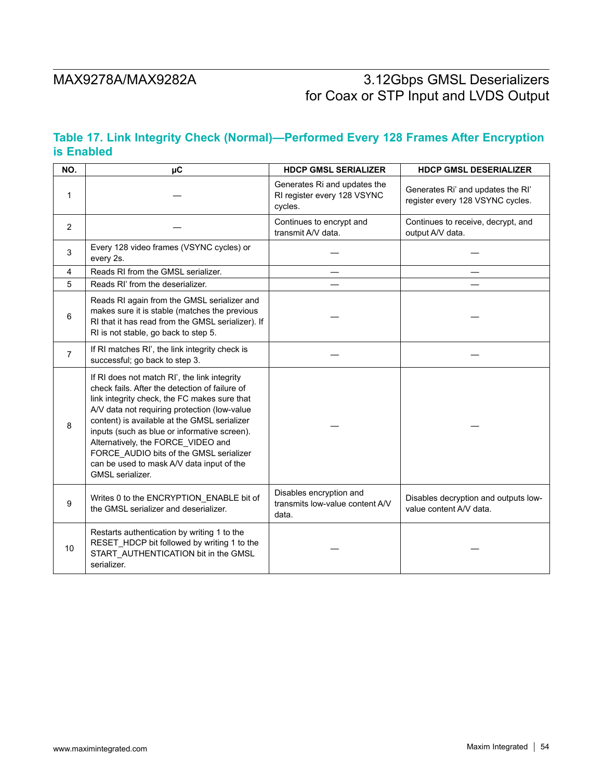# **Table 17. Link Integrity Check (Normal)—Performed Every 128 Frames After Encryption is Enabled**

| NO.            | $\mu$ C                                                                                                                                                                                                                                                                                                                                                                                                                                          | <b>HDCP GMSL SERIALIZER</b>                                            | <b>HDCP GMSL DESERIALIZER</b>                                         |
|----------------|--------------------------------------------------------------------------------------------------------------------------------------------------------------------------------------------------------------------------------------------------------------------------------------------------------------------------------------------------------------------------------------------------------------------------------------------------|------------------------------------------------------------------------|-----------------------------------------------------------------------|
| 1              |                                                                                                                                                                                                                                                                                                                                                                                                                                                  | Generates Ri and updates the<br>RI register every 128 VSYNC<br>cycles. | Generates Ri' and updates the RI'<br>register every 128 VSYNC cycles. |
| 2              |                                                                                                                                                                                                                                                                                                                                                                                                                                                  | Continues to encrypt and<br>transmit A/V data.                         | Continues to receive, decrypt, and<br>output A/V data.                |
| 3              | Every 128 video frames (VSYNC cycles) or<br>every 2s.                                                                                                                                                                                                                                                                                                                                                                                            |                                                                        |                                                                       |
| 4              | Reads RI from the GMSL serializer.                                                                                                                                                                                                                                                                                                                                                                                                               |                                                                        |                                                                       |
| 5              | Reads RI' from the deserializer.                                                                                                                                                                                                                                                                                                                                                                                                                 |                                                                        |                                                                       |
| 6              | Reads RI again from the GMSL serializer and<br>makes sure it is stable (matches the previous<br>RI that it has read from the GMSL serializer). If<br>RI is not stable, go back to step 5.                                                                                                                                                                                                                                                        |                                                                        |                                                                       |
| $\overline{7}$ | If RI matches RI', the link integrity check is<br>successful; go back to step 3.                                                                                                                                                                                                                                                                                                                                                                 |                                                                        |                                                                       |
| 8              | If RI does not match RI', the link integrity<br>check fails. After the detection of failure of<br>link integrity check, the FC makes sure that<br>A/V data not requiring protection (low-value<br>content) is available at the GMSL serializer<br>inputs (such as blue or informative screen).<br>Alternatively, the FORCE_VIDEO and<br>FORCE_AUDIO bits of the GMSL serializer<br>can be used to mask A/V data input of the<br>GMSL serializer. |                                                                        |                                                                       |
| 9              | Writes 0 to the ENCRYPTION_ENABLE bit of<br>the GMSL serializer and deserializer.                                                                                                                                                                                                                                                                                                                                                                | Disables encryption and<br>transmits low-value content A/V<br>data.    | Disables decryption and outputs low-<br>value content A/V data.       |
| 10             | Restarts authentication by writing 1 to the<br>RESET_HDCP bit followed by writing 1 to the<br>START_AUTHENTICATION bit in the GMSL<br>serializer.                                                                                                                                                                                                                                                                                                |                                                                        |                                                                       |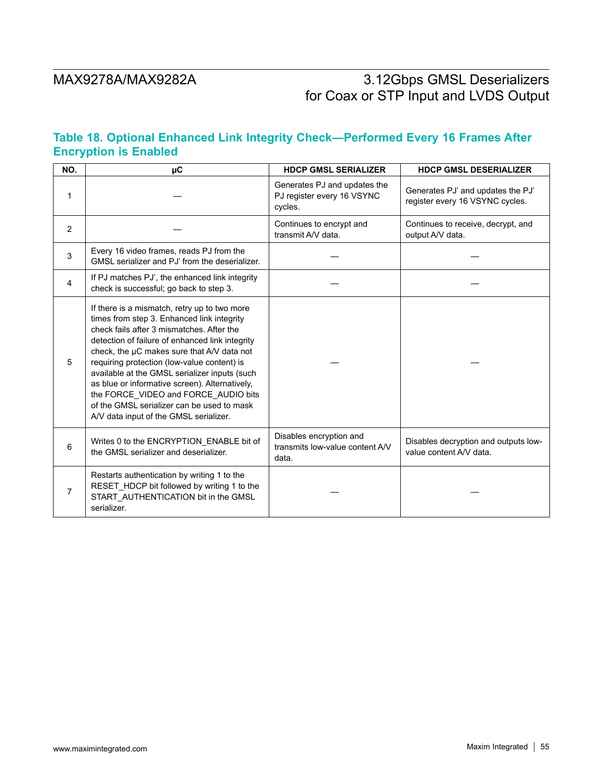# **Table 18. Optional Enhanced Link Integrity Check—Performed Every 16 Frames After Encryption is Enabled**

| NO.            | $\mu$ C                                                                                                                                                                                                                                                                                                                                                                                                                                                                                                                    | <b>HDCP GMSL SERIALIZER</b>                                           | <b>HDCP GMSL DESERIALIZER</b>                                        |
|----------------|----------------------------------------------------------------------------------------------------------------------------------------------------------------------------------------------------------------------------------------------------------------------------------------------------------------------------------------------------------------------------------------------------------------------------------------------------------------------------------------------------------------------------|-----------------------------------------------------------------------|----------------------------------------------------------------------|
| 1              |                                                                                                                                                                                                                                                                                                                                                                                                                                                                                                                            | Generates PJ and updates the<br>PJ register every 16 VSYNC<br>cycles. | Generates PJ' and updates the PJ'<br>register every 16 VSYNC cycles. |
| 2              |                                                                                                                                                                                                                                                                                                                                                                                                                                                                                                                            | Continues to encrypt and<br>transmit A/V data.                        | Continues to receive, decrypt, and<br>output A/V data.               |
| 3              | Every 16 video frames, reads PJ from the<br>GMSL serializer and PJ' from the deserializer.                                                                                                                                                                                                                                                                                                                                                                                                                                 |                                                                       |                                                                      |
| $\overline{4}$ | If PJ matches PJ', the enhanced link integrity<br>check is successful; go back to step 3.                                                                                                                                                                                                                                                                                                                                                                                                                                  |                                                                       |                                                                      |
| 5              | If there is a mismatch, retry up to two more<br>times from step 3. Enhanced link integrity<br>check fails after 3 mismatches. After the<br>detection of failure of enhanced link integrity<br>check, the µC makes sure that A/V data not<br>requiring protection (low-value content) is<br>available at the GMSL serializer inputs (such<br>as blue or informative screen). Alternatively,<br>the FORCE_VIDEO and FORCE_AUDIO bits<br>of the GMSL serializer can be used to mask<br>A/V data input of the GMSL serializer. |                                                                       |                                                                      |
| 6              | Writes 0 to the ENCRYPTION_ENABLE bit of<br>the GMSL serializer and deserializer.                                                                                                                                                                                                                                                                                                                                                                                                                                          | Disables encryption and<br>transmits low-value content A/V<br>data.   | Disables decryption and outputs low-<br>value content A/V data.      |
| $\overline{7}$ | Restarts authentication by writing 1 to the<br>RESET_HDCP bit followed by writing 1 to the<br>START_AUTHENTICATION bit in the GMSL<br>serializer.                                                                                                                                                                                                                                                                                                                                                                          |                                                                       |                                                                      |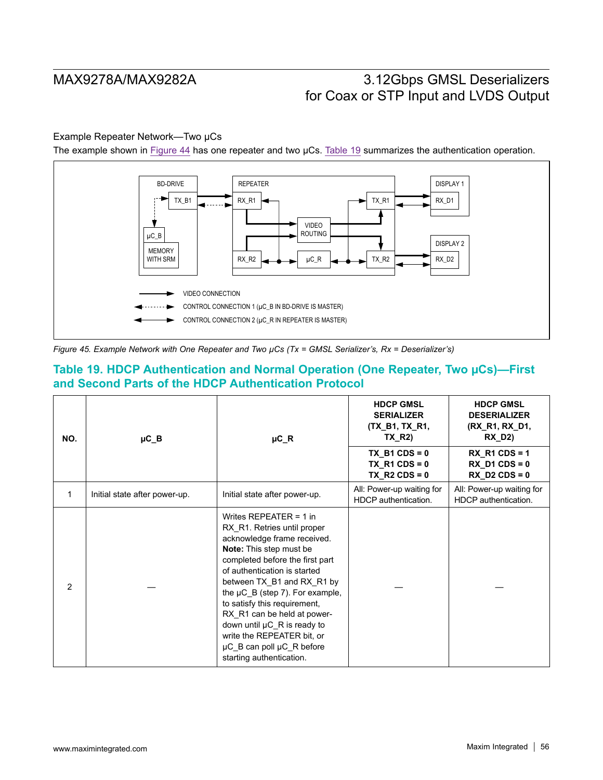## Example Repeater Network—Two µCs

The example shown in Figure 44 has one repeater and two µCs. Table 19 summarizes the authentication operation.



*Figure 45. Example Network with One Repeater and Two µCs (Tx = GMSL Serializer's, Rx = Deserializer's)*

# **Table 19. HDCP Authentication and Normal Operation (One Repeater, Two µCs)—First and Second Parts of the HDCP Authentication Protocol**

| NO.            | $\mu$ C_B                     | $\mu$ C_R                                                                                                                                                                                                                                                                                                                                                                                                                                     | <b>HDCP GMSL</b><br><b>SERIALIZER</b><br>(TX_B1, TX_R1,<br><b>TX R2)</b> | <b>HDCP GMSL</b><br><b>DESERIALIZER</b><br>(RX_R1, RX_D1,<br><b>RX D2)</b> |
|----------------|-------------------------------|-----------------------------------------------------------------------------------------------------------------------------------------------------------------------------------------------------------------------------------------------------------------------------------------------------------------------------------------------------------------------------------------------------------------------------------------------|--------------------------------------------------------------------------|----------------------------------------------------------------------------|
|                |                               |                                                                                                                                                                                                                                                                                                                                                                                                                                               | $TX$ B1 CDS = 0<br>$TX_R1CDS = 0$<br>$TX_R2CDS = 0$                      | $RX_R1CDS = 1$<br>$RX_D1CDS = 0$<br>$RX$ D2 CDS = 0                        |
| 1              | Initial state after power-up. | Initial state after power-up.                                                                                                                                                                                                                                                                                                                                                                                                                 | All: Power-up waiting for<br>HDCP authentication.                        | All: Power-up waiting for<br>HDCP authentication.                          |
| $\mathfrak{p}$ |                               | Writes REPEATER = 1 in<br>RX R1. Retries until proper<br>acknowledge frame received.<br>Note: This step must be<br>completed before the first part<br>of authentication is started<br>between TX_B1 and RX_R1 by<br>the $\mu$ C_B (step 7). For example,<br>to satisfy this requirement,<br>RX R1 can be held at power-<br>down until µC_R is ready to<br>write the REPEATER bit, or<br>µC_B can poll µC_R before<br>starting authentication. |                                                                          |                                                                            |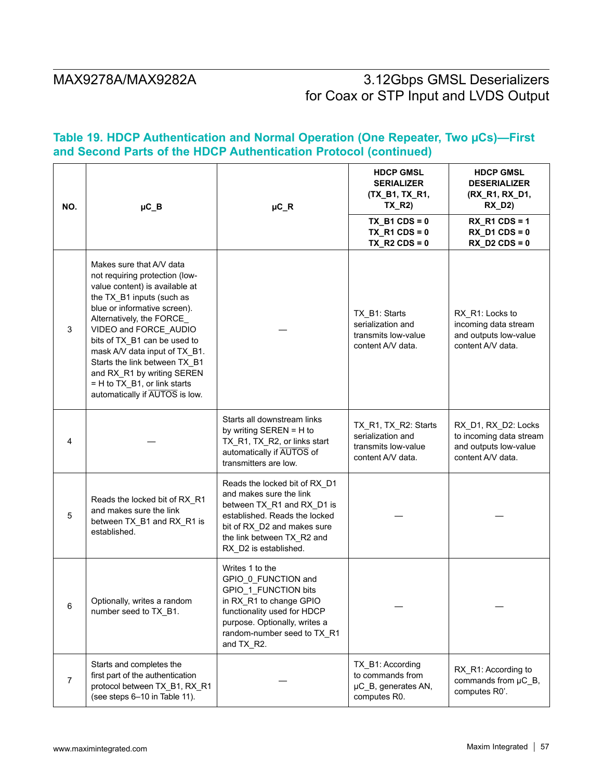# **Table 19. HDCP Authentication and Normal Operation (One Repeater, Two µCs)—First and Second Parts of the HDCP Authentication Protocol (continued)**

| NO.            | $\mu$ C_B                                                                                                                                                                                                                                                                                                                                                                                                         | $\mu$ C_R                                                                                                                                                                                                     | <b>HDCP GMSL</b><br><b>SERIALIZER</b><br>(TX_B1, TX_R1,<br>$TX_R2$                    | <b>HDCP GMSL</b><br><b>DESERIALIZER</b><br>(RX_R1, RX_D1,<br>$RX_D2)$                        |
|----------------|-------------------------------------------------------------------------------------------------------------------------------------------------------------------------------------------------------------------------------------------------------------------------------------------------------------------------------------------------------------------------------------------------------------------|---------------------------------------------------------------------------------------------------------------------------------------------------------------------------------------------------------------|---------------------------------------------------------------------------------------|----------------------------------------------------------------------------------------------|
|                |                                                                                                                                                                                                                                                                                                                                                                                                                   |                                                                                                                                                                                                               | $TX$ _B1 CDS = 0<br>$TX_R1CDS = 0$<br>$TX_R2CDS = 0$                                  | $RX_R1CDS = 1$<br>$RX_D1CDS = 0$<br>$RX$ D2 CDS = 0                                          |
| 3              | Makes sure that A/V data<br>not requiring protection (low-<br>value content) is available at<br>the TX_B1 inputs (such as<br>blue or informative screen).<br>Alternatively, the FORCE_<br>VIDEO and FORCE_AUDIO<br>bits of TX_B1 can be used to<br>mask A/V data input of TX_B1.<br>Starts the link between TX B1<br>and RX_R1 by writing SEREN<br>= H to TX_B1, or link starts<br>automatically if AUTOS is low. |                                                                                                                                                                                                               | TX_B1: Starts<br>serialization and<br>transmits low-value<br>content A/V data.        | RX_R1: Locks to<br>incoming data stream<br>and outputs low-value<br>content A/V data.        |
| 4              |                                                                                                                                                                                                                                                                                                                                                                                                                   | Starts all downstream links<br>by writing SEREN = H to<br>TX_R1, TX_R2, or links start<br>automatically if AUTOS of<br>transmitters are low.                                                                  | TX_R1, TX_R2: Starts<br>serialization and<br>transmits low-value<br>content A/V data. | RX D1, RX D2: Locks<br>to incoming data stream<br>and outputs low-value<br>content A/V data. |
| 5              | Reads the locked bit of RX_R1<br>and makes sure the link<br>between TX_B1 and RX_R1 is<br>established.                                                                                                                                                                                                                                                                                                            | Reads the locked bit of RX_D1<br>and makes sure the link<br>between TX_R1 and RX_D1 is<br>established. Reads the locked<br>bit of RX_D2 and makes sure<br>the link between TX_R2 and<br>RX_D2 is established. |                                                                                       |                                                                                              |
| 6              | Optionally, writes a random<br>number seed to TX_B1.                                                                                                                                                                                                                                                                                                                                                              | Writes 1 to the<br>GPIO 0 FUNCTION and<br>GPIO_1_FUNCTION bits<br>in RX_R1 to change GPIO<br>functionality used for HDCP<br>purpose. Optionally, writes a<br>random-number seed to TX_R1<br>and TX_R2.        |                                                                                       |                                                                                              |
| $\overline{7}$ | Starts and completes the<br>first part of the authentication<br>protocol between TX_B1, RX_R1<br>(see steps 6-10 in Table 11).                                                                                                                                                                                                                                                                                    |                                                                                                                                                                                                               | TX_B1: According<br>to commands from<br>µC_B, generates AN,<br>computes R0.           | RX_R1: According to<br>commands from µC_B,<br>computes R0'.                                  |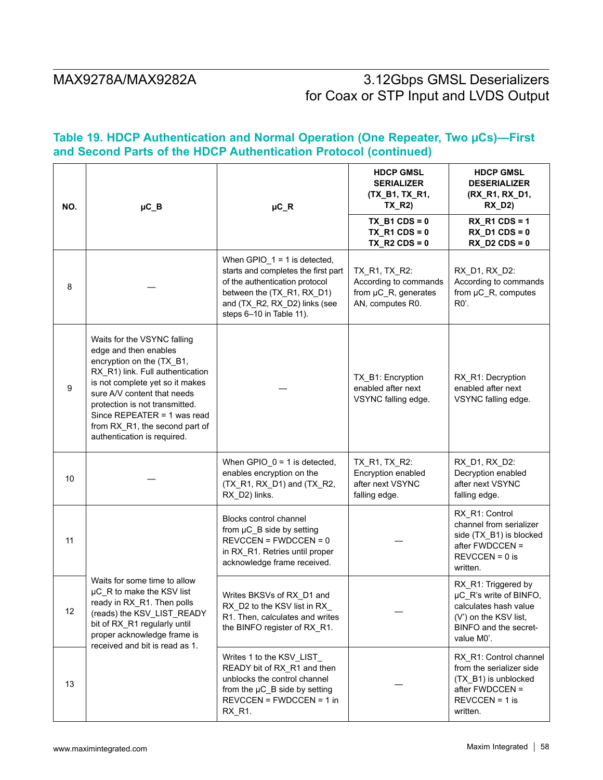# **Table 19. HDCP Authentication and Normal Operation (One Repeater, Two µCs)—First and Second Parts of the HDCP Authentication Protocol (continued)**

| NO. | $\mu$ C_B                                                                                                                                                                                                                                                                                                                 | $\mu$ C_R                                                                                                                                                                                          | <b>HDCP GMSL</b><br><b>SERIALIZER</b><br>(TX_B1, TX_R1,<br>TX_R2)                  | <b>HDCP GMSL</b><br><b>DESERIALIZER</b><br>(RX_R1, RX_D1,<br>$RX_D2)$                                                                  |
|-----|---------------------------------------------------------------------------------------------------------------------------------------------------------------------------------------------------------------------------------------------------------------------------------------------------------------------------|----------------------------------------------------------------------------------------------------------------------------------------------------------------------------------------------------|------------------------------------------------------------------------------------|----------------------------------------------------------------------------------------------------------------------------------------|
|     |                                                                                                                                                                                                                                                                                                                           |                                                                                                                                                                                                    | TX B1 CDS = $0$<br>$TX_R1CDS = 0$<br>$TX_R2CDS = 0$                                | RX R1 CDS = $1$<br>$RX_D1CDS = 0$<br>$RX$ D2 CDS = 0                                                                                   |
| 8   |                                                                                                                                                                                                                                                                                                                           | When $GPIO_1 = 1$ is detected,<br>starts and completes the first part<br>of the authentication protocol<br>between the (TX_R1, RX_D1)<br>and (TX_R2, RX_D2) links (see<br>steps 6-10 in Table 11). | TX_R1, TX_R2:<br>According to commands<br>from µC_R, generates<br>AN, computes R0. | RX_D1, RX_D2:<br>According to commands<br>from µC_R, computes<br>$R0$ .                                                                |
| 9   | Waits for the VSYNC falling<br>edge and then enables<br>encryption on the (TX_B1,<br>RX_R1) link. Full authentication<br>is not complete yet so it makes<br>sure A/V content that needs<br>protection is not transmitted.<br>Since REPEATER = 1 was read<br>from RX_R1, the second part of<br>authentication is required. |                                                                                                                                                                                                    | TX_B1: Encryption<br>enabled after next<br>VSYNC falling edge.                     | RX_R1: Decryption<br>enabled after next<br>VSYNC falling edge.                                                                         |
| 10  |                                                                                                                                                                                                                                                                                                                           | When GPIO $0 = 1$ is detected,<br>enables encryption on the<br>(TX_R1, RX_D1) and (TX_R2,<br>RX_D2) links.                                                                                         | TX_R1, TX_R2:<br>Encryption enabled<br>after next VSYNC<br>falling edge.           | RX_D1, RX_D2:<br>Decryption enabled<br>after next VSYNC<br>falling edge.                                                               |
| 11  |                                                                                                                                                                                                                                                                                                                           | Blocks control channel<br>from µC_B side by setting<br>$REVCCEN = FWDCCEN = 0$<br>in RX_R1. Retries until proper<br>acknowledge frame received.                                                    |                                                                                    | RX_R1: Control<br>channel from serializer<br>side (TX_B1) is blocked<br>after FWDCCEN =<br>$REVCCEN = 0$ is<br>written.                |
| 12  | Waits for some time to allow<br>µC_R to make the KSV list<br>ready in RX_R1. Then polls<br>(reads) the KSV_LIST_READY<br>bit of RX_R1 regularly until<br>proper acknowledge frame is<br>received and bit is read as 1.                                                                                                    | Writes BKSVs of RX_D1 and<br>RX_D2 to the KSV list in RX_<br>R1. Then, calculates and writes<br>the BINFO register of RX_R1.                                                                       |                                                                                    | RX_R1: Triggered by<br>µC_R's write of BINFO,<br>calculates hash value<br>(V') on the KSV list,<br>BINFO and the secret-<br>value M0'. |
| 13  |                                                                                                                                                                                                                                                                                                                           | Writes 1 to the KSV_LIST<br>READY bit of RX_R1 and then<br>unblocks the control channel<br>from the µC_B side by setting<br>$REVCCEN = FWDCCEN = 1$ in<br>RX_R1.                                   |                                                                                    | RX_R1: Control channel<br>from the serializer side<br>(TX_B1) is unblocked<br>after FWDCCEN =<br>$REVCCEN = 1$ is<br>written.          |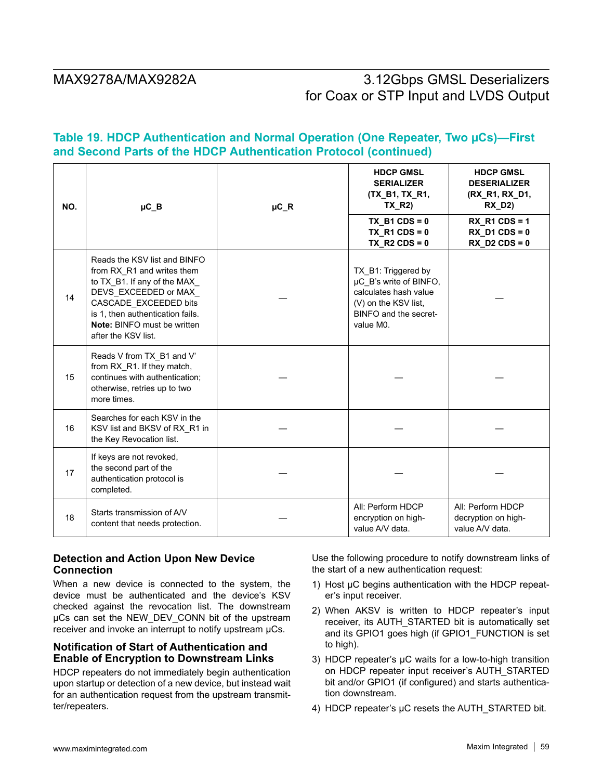# **Table 19. HDCP Authentication and Normal Operation (One Repeater, Two µCs)—First and Second Parts of the HDCP Authentication Protocol (continued)**

| NO. | $\mu$ C_B                                                                                                                                                                                                                            | $\mu$ C_R | <b>HDCP GMSL</b><br><b>SERIALIZER</b><br>(TX B1, TX R1,<br><b>TX R2)</b>                                                             | <b>HDCP GMSL</b><br><b>DESERIALIZER</b><br>(RX R1, RX D1,<br><b>RX D2)</b> |
|-----|--------------------------------------------------------------------------------------------------------------------------------------------------------------------------------------------------------------------------------------|-----------|--------------------------------------------------------------------------------------------------------------------------------------|----------------------------------------------------------------------------|
|     |                                                                                                                                                                                                                                      |           | $TX$ _B1 CDS = 0<br>TX R1 CDS = $0$<br>$TX_R2CDS = 0$                                                                                | $RX_R1CDS = 1$<br>$RX$ D1 CDS = 0<br>$RX$ D2 CDS = 0                       |
| 14  | Reads the KSV list and BINFO<br>from RX_R1 and writes them<br>to TX_B1. If any of the MAX<br>DEVS_EXCEEDED or MAX<br>CASCADE EXCEEDED bits<br>is 1, then authentication fails.<br>Note: BINFO must be written<br>after the KSV list. |           | TX_B1: Triggered by<br>µC_B's write of BINFO,<br>calculates hash value<br>(V) on the KSV list.<br>BINFO and the secret-<br>value M0. |                                                                            |
| 15  | Reads V from TX_B1 and V'<br>from RX_R1. If they match,<br>continues with authentication;<br>otherwise, retries up to two<br>more times.                                                                                             |           |                                                                                                                                      |                                                                            |
| 16  | Searches for each KSV in the<br>KSV list and BKSV of RX_R1 in<br>the Key Revocation list.                                                                                                                                            |           |                                                                                                                                      |                                                                            |
| 17  | If keys are not revoked,<br>the second part of the<br>authentication protocol is<br>completed.                                                                                                                                       |           |                                                                                                                                      |                                                                            |
| 18  | Starts transmission of A/V<br>content that needs protection.                                                                                                                                                                         |           | All: Perform HDCP<br>encryption on high-<br>value A/V data.                                                                          | All: Perform HDCP<br>decryption on high-<br>value A/V data.                |

## **Detection and Action Upon New Device Connection**

When a new device is connected to the system, the device must be authenticated and the device's KSV checked against the revocation list. The downstream µCs can set the NEW\_DEV\_CONN bit of the upstream receiver and invoke an interrupt to notify upstream  $\mu$ Cs.

## **Notification of Start of Authentication and Enable of Encryption to Downstream Links**

HDCP repeaters do not immediately begin authentication upon startup or detection of a new device, but instead wait for an authentication request from the upstream transmitter/repeaters.

Use the following procedure to notify downstream links of the start of a new authentication request:

- 1) Host µC begins authentication with the HDCP repeater's input receiver.
- 2) When AKSV is written to HDCP repeater's input receiver, its AUTH\_STARTED bit is automatically set and its GPIO1 goes high (if GPIO1\_FUNCTION is set to high).
- 3) HDCP repeater's µC waits for a low-to-high transition on HDCP repeater input receiver's AUTH\_STARTED bit and/or GPIO1 (if configured) and starts authentication downstream.
- 4) HDCP repeater's µC resets the AUTH\_STARTED bit.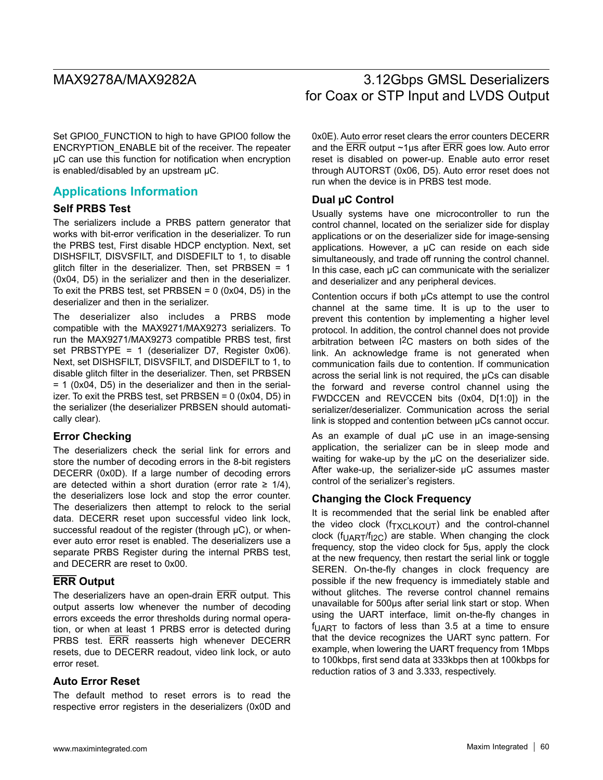Set GPIO0 FUNCTION to high to have GPIO0 follow the ENCRYPTION\_ENABLE bit of the receiver. The repeater µC can use this function for notification when encryption is enabled/disabled by an upstream µC.

# **Applications Information**

## **Self PRBS Test**

The serializers include a PRBS pattern generator that works with bit-error verification in the deserializer. To run the PRBS test, First disable HDCP enctyption. Next, set DISHSFILT, DISVSFILT, and DISDEFILT to 1, to disable glitch filter in the deserializer. Then, set PRBSEN =  $1$ (0x04, D5) in the serializer and then in the deserializer. To exit the PRBS test, set PRBSEN =  $0$  (0x04, D5) in the deserializer and then in the serializer.

The deserializer also includes a PRBS mode compatible with the MAX9271/MAX9273 serializers. To run the MAX9271/MAX9273 compatible PRBS test, first set PRBSTYPE = 1 (deserializer D7, Register 0x06). Next, set DISHSFILT, DISVSFILT, and DISDEFILT to 1, to disable glitch filter in the deserializer. Then, set PRBSEN = 1 (0x04, D5) in the deserializer and then in the serializer. To exit the PRBS test, set PRBSEN = 0 (0x04, D5) in the serializer (the deserializer PRBSEN should automatically clear).

## **Error Checking**

The deserializers check the serial link for errors and store the number of decoding errors in the 8-bit registers DECERR (0x0D). If a large number of decoding errors are detected within a short duration (error rate  $\geq$  1/4), the deserializers lose lock and stop the error counter. The deserializers then attempt to relock to the serial data. DECERR reset upon successful video link lock, successful readout of the register (through  $\mu$ C), or whenever auto error reset is enabled. The deserializers use a separate PRBS Register during the internal PRBS test, and DECERR are reset to 0x00.

## **ERR Output**

The deserializers have an open-drain ERR output. This output asserts low whenever the number of decoding errors exceeds the error thresholds during normal operation, or when at least 1 PRBS error is detected during PRBS test. ERR reasserts high whenever DECERR resets, due to DECERR readout, video link lock, or auto error reset.

## **Auto Error Reset**

The default method to reset errors is to read the respective error registers in the deserializers (0x0D and

# MAX9278A/MAX9282A 3.12Gbps GMSL Deserializers for Coax or STP Input and LVDS Output

0x0E). Auto error reset clears the error counters DECERR and the ERR output ~1µs after ERR goes low. Auto error reset is disabled on power-up. Enable auto error reset through AUTORST (0x06, D5). Auto error reset does not run when the device is in PRBS test mode.

## **Dual µC Control**

Usually systems have one microcontroller to run the control channel, located on the serializer side for display applications or on the deserializer side for image-sensing applications. However, a µC can reside on each side simultaneously, and trade off running the control channel. In this case, each  $\mu$ C can communicate with the serializer and deserializer and any peripheral devices.

Contention occurs if both µCs attempt to use the control channel at the same time. It is up to the user to prevent this contention by implementing a higher level protocol. In addition, the control channel does not provide arbitration between I2C masters on both sides of the link. An acknowledge frame is not generated when communication fails due to contention. If communication across the serial link is not required, the µCs can disable the forward and reverse control channel using the FWDCCEN and REVCCEN bits (0x04, D[1:0]) in the serializer/deserializer. Communication across the serial link is stopped and contention between µCs cannot occur.

As an example of dual  $\mu$ C use in an image-sensing application, the serializer can be in sleep mode and waiting for wake-up by the µC on the deserializer side. After wake-up, the serializer-side µC assumes master control of the serializer's registers.

## **Changing the Clock Frequency**

It is recommended that the serial link be enabled after the video clock  $(f_{\text{TXCI KOUT}})$  and the control-channel clock ( $f_{UART}/f_{I2C}$ ) are stable. When changing the clock frequency, stop the video clock for 5µs, apply the clock at the new frequency, then restart the serial link or toggle SEREN. On-the-fly changes in clock frequency are possible if the new frequency is immediately stable and without glitches. The reverse control channel remains unavailable for 500µs after serial link start or stop. When using the UART interface, limit on-the-fly changes in  $f_{\text{UART}}$  to factors of less than 3.5 at a time to ensure that the device recognizes the UART sync pattern. For example, when lowering the UART frequency from 1Mbps to 100kbps, first send data at 333kbps then at 100kbps for reduction ratios of 3 and 3.333, respectively.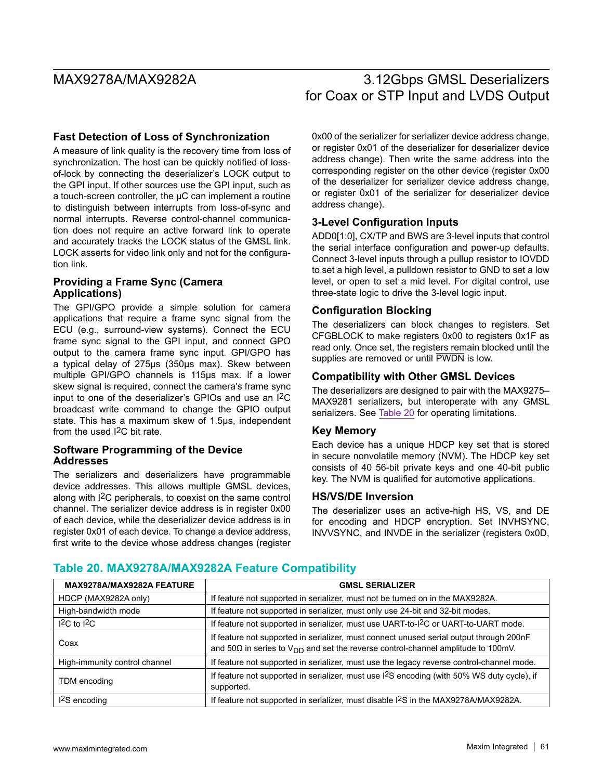## **Fast Detection of Loss of Synchronization**

A measure of link quality is the recovery time from loss of synchronization. The host can be quickly notified of lossof-lock by connecting the deserializer's LOCK output to the GPI input. If other sources use the GPI input, such as a touch-screen controller, the µC can implement a routine to distinguish between interrupts from loss-of-sync and normal interrupts. Reverse control-channel communication does not require an active forward link to operate and accurately tracks the LOCK status of the GMSL link. LOCK asserts for video link only and not for the configuration link.

## **Providing a Frame Sync (Camera Applications)**

The GPI/GPO provide a simple solution for camera applications that require a frame sync signal from the ECU (e.g., surround-view systems). Connect the ECU frame sync signal to the GPI input, and connect GPO output to the camera frame sync input. GPI/GPO has a typical delay of 275µs (350µs max). Skew between multiple GPI/GPO channels is 115µs max. If a lower skew signal is required, connect the camera's frame sync input to one of the deserializer's GPIOs and use an I2C broadcast write command to change the GPIO output state. This has a maximum skew of 1.5µs, independent from the used I2C bit rate.

### **Software Programming of the Device Addresses**

The serializers and deserializers have programmable device addresses. This allows multiple GMSL devices, along with I2C peripherals, to coexist on the same control channel. The serializer device address is in register 0x00 of each device, while the deserializer device address is in register 0x01 of each device. To change a device address, first write to the device whose address changes (register 0x00 of the serializer for serializer device address change, or register 0x01 of the deserializer for deserializer device address change). Then write the same address into the corresponding register on the other device (register 0x00 of the deserializer for serializer device address change, or register 0x01 of the serializer for deserializer device address change).

## **3-Level Configuration Inputs**

ADD0[1:0], CX/TP and BWS are 3-level inputs that control the serial interface configuration and power-up defaults. Connect 3-level inputs through a pullup resistor to IOVDD to set a high level, a pulldown resistor to GND to set a low level, or open to set a mid level. For digital control, use three-state logic to drive the 3-level logic input.

## **Configuration Blocking**

The deserializers can block changes to registers. Set CFGBLOCK to make registers 0x00 to registers 0x1F as read only. Once set, the registers remain blocked until the supplies are removed or until PWDN is low.

## **Compatibility with Other GMSL Devices**

The deserializers are designed to pair with the MAX9275– MAX9281 serializers, but interoperate with any GMSL serializers. See Table 20 for operating limitations.

### **Key Memory**

Each device has a unique HDCP key set that is stored in secure nonvolatile memory (NVM). The HDCP key set consists of 40 56-bit private keys and one 40-bit public key. The NVM is qualified for automotive applications.

### **HS/VS/DE Inversion**

The deserializer uses an active-high HS, VS, and DE for encoding and HDCP encryption. Set INVHSYNC, INVVSYNC, and INVDE in the serializer (registers 0x0D,

# **Table 20. MAX9278A/MAX9282A Feature Compatibility**

| MAX9278A/MAX9282A FEATURE     | <b>GMSL SERIALIZER</b>                                                                                                                                                                  |
|-------------------------------|-----------------------------------------------------------------------------------------------------------------------------------------------------------------------------------------|
| HDCP (MAX9282A only)          | If feature not supported in serializer, must not be turned on in the MAX9282A.                                                                                                          |
| High-bandwidth mode           | If feature not supported in serializer, must only use 24-bit and 32-bit modes.                                                                                                          |
| $12C$ to $12C$                | If feature not supported in serializer, must use UART-to-I <sup>2</sup> C or UART-to-UART mode.                                                                                         |
| Coax                          | If feature not supported in serializer, must connect unused serial output through 200nF<br>and $50\Omega$ in series to $V_{DD}$ and set the reverse control-channel amplitude to 100mV. |
| High-immunity control channel | If feature not supported in serializer, must use the legacy reverse control-channel mode.                                                                                               |
| TDM encoding                  | If feature not supported in serializer, must use I <sup>2</sup> S encoding (with 50% WS duty cycle), if<br>supported.                                                                   |
| 1 <sup>2</sup> S encoding     | If feature not supported in serializer, must disable I <sup>2</sup> S in the MAX9278A/MAX9282A.                                                                                         |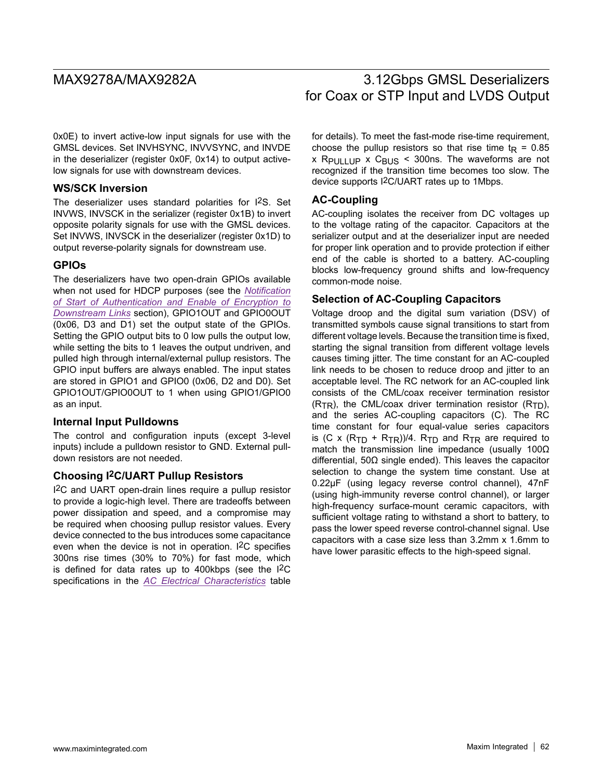0x0E) to invert active-low input signals for use with the GMSL devices. Set INVHSYNC, INVVSYNC, and INVDE in the deserializer (register 0x0F, 0x14) to output activelow signals for use with downstream devices.

## **WS/SCK Inversion**

The deserializer uses standard polarities for I2S. Set INVWS, INVSCK in the serializer (register 0x1B) to invert opposite polarity signals for use with the GMSL devices. Set INVWS, INVSCK in the deserializer (register 0x1D) to output reverse-polarity signals for downstream use.

## **GPIOs**

The deserializers have two open-drain GPIOs available when not used for HDCP purposes (see the *Notification of Start of Authentication and Enable of Encryption to Downstream Links* section), GPIO1OUT and GPIO0OUT (0x06, D3 and D1) set the output state of the GPIOs. Setting the GPIO output bits to 0 low pulls the output low, while setting the bits to 1 leaves the output undriven, and pulled high through internal/external pullup resistors. The GPIO input buffers are always enabled. The input states are stored in GPIO1 and GPIO0 (0x06, D2 and D0). Set GPIO1OUT/GPIO0OUT to 1 when using GPIO1/GPIO0 as an input.

## **Internal Input Pulldowns**

The control and configuration inputs (except 3-level inputs) include a pulldown resistor to GND. External pulldown resistors are not needed.

## **Choosing I2C/UART Pullup Resistors**

I2C and UART open-drain lines require a pullup resistor to provide a logic-high level. There are tradeoffs between power dissipation and speed, and a compromise may be required when choosing pullup resistor values. Every device connected to the bus introduces some capacitance even when the device is not in operation. I2C specifies 300ns rise times (30% to 70%) for fast mode, which is defined for data rates up to 400kbps (see the I2C specifications in the *AC Electrical Characteristics* table

# MAX9278A/MAX9282A 3.12Gbps GMSL Deserializers for Coax or STP Input and LVDS Output

for details). To meet the fast-mode rise-time requirement, choose the pullup resistors so that rise time  $t_R = 0.85$ x R<sub>PULLUP</sub> x  $C_{\text{BUS}}$  < 300ns. The waveforms are not recognized if the transition time becomes too slow. The device supports I2C/UART rates up to 1Mbps.

## **AC-Coupling**

AC-coupling isolates the receiver from DC voltages up to the voltage rating of the capacitor. Capacitors at the serializer output and at the deserializer input are needed for proper link operation and to provide protection if either end of the cable is shorted to a battery. AC-coupling blocks low-frequency ground shifts and low-frequency common-mode noise.

## **Selection of AC-Coupling Capacitors**

Voltage droop and the digital sum variation (DSV) of transmitted symbols cause signal transitions to start from different voltage levels. Because the transition time is fixed, starting the signal transition from different voltage levels causes timing jitter. The time constant for an AC-coupled link needs to be chosen to reduce droop and jitter to an acceptable level. The RC network for an AC-coupled link consists of the CML/coax receiver termination resistor  $(R_{TR})$ , the CML/coax driver termination resistor  $(R_{TD})$ , and the series AC-coupling capacitors (C). The RC time constant for four equal-value series capacitors is (C x  $(R_{TD} + R_{TR})/4$ .  $R_{TD}$  and  $R_{TR}$  are required to match the transmission line impedance (usually 100Ω differential, 50Ω single ended). This leaves the capacitor selection to change the system time constant. Use at 0.22μF (using legacy reverse control channel), 47nF (using high-immunity reverse control channel), or larger high-frequency surface-mount ceramic capacitors, with sufficient voltage rating to withstand a short to battery, to pass the lower speed reverse control-channel signal. Use capacitors with a case size less than 3.2mm x 1.6mm to have lower parasitic effects to the high-speed signal.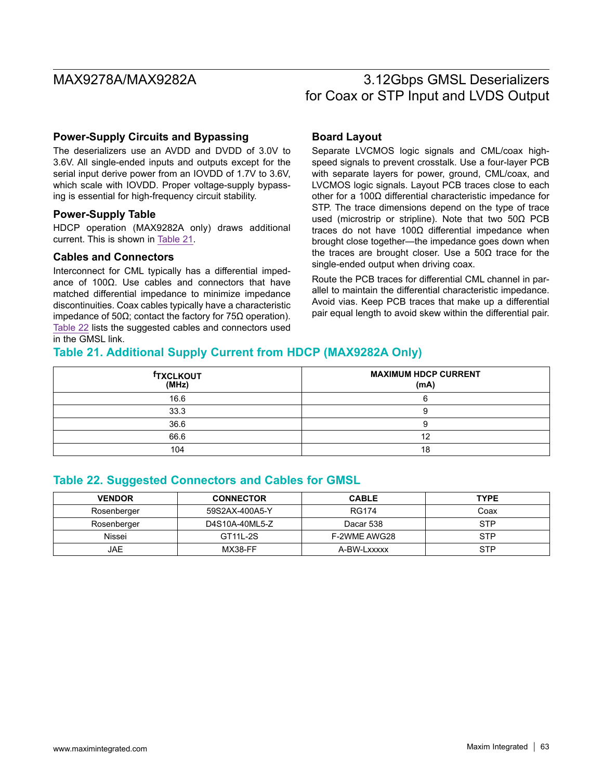## **Power-Supply Circuits and Bypassing**

The deserializers use an AVDD and DVDD of 3.0V to 3.6V. All single-ended inputs and outputs except for the serial input derive power from an IOVDD of 1.7V to 3.6V, which scale with IOVDD. Proper voltage-supply bypassing is essential for high-frequency circuit stability.

## **Power-Supply Table**

HDCP operation (MAX9282A only) draws additional current. This is shown in Table 21.

### **Cables and Connectors**

Interconnect for CML typically has a differential impedance of 100Ω. Use cables and connectors that have matched differential impedance to minimize impedance discontinuities. Coax cables typically have a characteristic impedance of 50Ω; contact the factory for 75Ω operation). Table 22 lists the suggested cables and connectors used in the GMSL link.

## **Board Layout**

Separate LVCMOS logic signals and CML/coax highspeed signals to prevent crosstalk. Use a four-layer PCB with separate layers for power, ground, CML/coax, and LVCMOS logic signals. Layout PCB traces close to each other for a 100Ω differential characteristic impedance for STP. The trace dimensions depend on the type of trace used (microstrip or stripline). Note that two 50Ω PCB traces do not have 100Ω differential impedance when brought close together—the impedance goes down when the traces are brought closer. Use a 50Ω trace for the single-ended output when driving coax.

Route the PCB traces for differential CML channel in parallel to maintain the differential characteristic impedance. Avoid vias. Keep PCB traces that make up a differential pair equal length to avoid skew within the differential pair.

# **Table 21. Additional Supply Current from HDCP (MAX9282A Only)**

| <b>TXCLKOUT</b><br>(MHz) | <b>MAXIMUM HDCP CURRENT</b><br>(mA) |
|--------------------------|-------------------------------------|
| 16.6                     |                                     |
| 33.3                     |                                     |
| 36.6                     |                                     |
| 66.6                     |                                     |
| 104                      |                                     |

# **Table 22. Suggested Connectors and Cables for GMSL**

| <b>VENDOR</b> | <b>CONNECTOR</b> | <b>CABLE</b> | <b>TYPE</b> |
|---------------|------------------|--------------|-------------|
| Rosenberger   | 59S2AX-400A5-Y   | <b>RG174</b> | Coax        |
| Rosenberger   | D4S10A-40ML5-Z   | Dacar 538    | <b>STP</b>  |
| Nissei        | GT11L-2S         | F-2WME AWG28 | <b>STP</b>  |
| JAE           | MX38-FF          | A-BW-Lxxxxx  | <b>STP</b>  |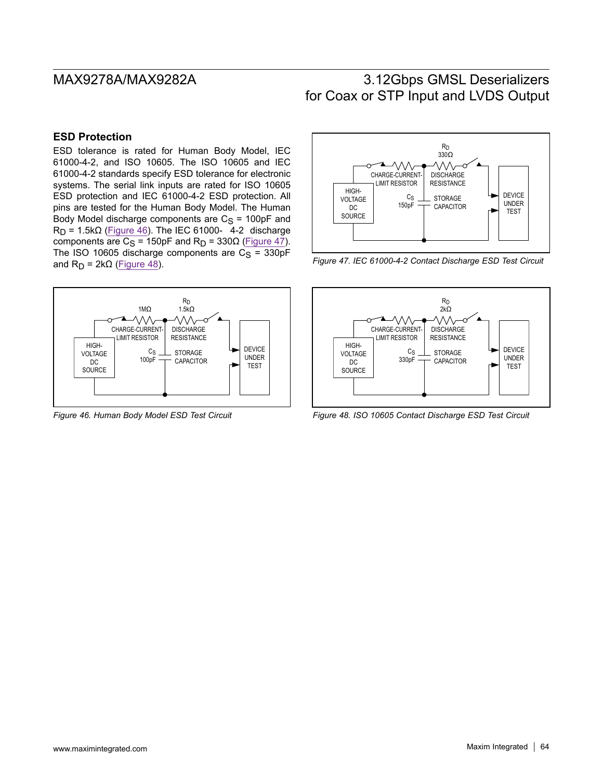# **ESD Protection**

ESD tolerance is rated for Human Body Model, IEC 61000-4-2, and ISO 10605. The ISO 10605 and IEC 61000-4-2 standards specify ESD tolerance for electronic systems. The serial link inputs are rated for ISO 10605 ESD protection and IEC 61000-4-2 ESD protection. All pins are tested for the Human Body Model. The Human Body Model discharge components are  $C_S = 100pF$  and  $R_D$  = 1.5k $\Omega$  (Figure 46). The IEC 61000- 4-2 discharge components are C<sub>S</sub> = 150pF and R<sub>D</sub> = 330Ω (Figure 47). The ISO 10605 discharge components are  $C_S = 330pF$ and  $R_D = 2k\Omega$  (Figure 48).



*Figure 46. Human Body Model ESD Test Circuit*



*Figure 47. IEC 61000-4-2 Contact Discharge ESD Test Circuit*



*Figure 48. ISO 10605 Contact Discharge ESD Test Circuit*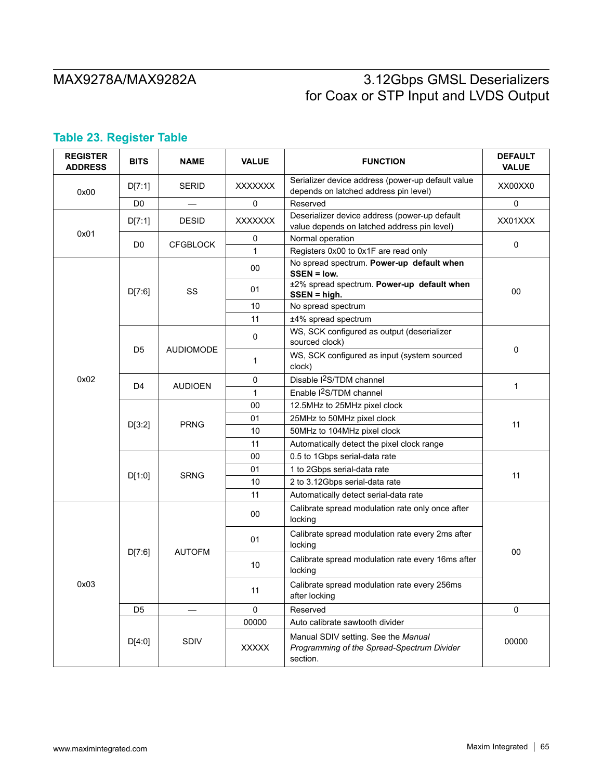# **Table 23. Register Table**

| <b>REGISTER</b><br><b>ADDRESS</b> | <b>BITS</b>    | <b>NAME</b>      | <b>VALUE</b>   | <b>FUNCTION</b>                                                                               | <b>DEFAULT</b><br><b>VALUE</b> |
|-----------------------------------|----------------|------------------|----------------|-----------------------------------------------------------------------------------------------|--------------------------------|
| 0x00                              | D[7:1]         | <b>SERID</b>     | <b>XXXXXXX</b> | Serializer device address (power-up default value<br>depends on latched address pin level)    | XX00XX0                        |
|                                   | D0             |                  | 0              | Reserved                                                                                      | 0                              |
| 0x01                              | D[7:1]         | <b>DESID</b>     | <b>XXXXXXX</b> | Deserializer device address (power-up default<br>value depends on latched address pin level)  | XX01XXX                        |
|                                   | D <sub>0</sub> | <b>CFGBLOCK</b>  | 0              | Normal operation                                                                              | $\pmb{0}$                      |
|                                   |                |                  | 1              | Registers 0x00 to 0x1F are read only                                                          |                                |
|                                   |                |                  | 00             | No spread spectrum. Power-up default when<br>SSEN = low.                                      |                                |
|                                   | D[7:6]         | SS               | 01             | ±2% spread spectrum. Power-up default when<br>$SSEN = high.$                                  | 00                             |
|                                   |                |                  | 10             | No spread spectrum                                                                            |                                |
|                                   |                |                  | 11             | ±4% spread spectrum                                                                           |                                |
|                                   |                |                  | $\pmb{0}$      | WS, SCK configured as output (deserializer<br>sourced clock)                                  |                                |
| 0x02                              | D <sub>5</sub> | <b>AUDIOMODE</b> | 1              | WS, SCK configured as input (system sourced<br>clock)                                         | 0                              |
|                                   | D4             | <b>AUDIOEN</b>   | 0              | Disable I <sup>2</sup> S/TDM channel                                                          | 1                              |
|                                   |                |                  | $\mathbf{1}$   | Enable I <sup>2</sup> S/TDM channel                                                           |                                |
|                                   | D[3:2]         | <b>PRNG</b>      | 00             | 12.5MHz to 25MHz pixel clock                                                                  | 11                             |
|                                   |                |                  | 01             | 25MHz to 50MHz pixel clock                                                                    |                                |
|                                   |                |                  | 10             | 50MHz to 104MHz pixel clock                                                                   |                                |
|                                   |                |                  | 11             | Automatically detect the pixel clock range                                                    |                                |
|                                   | D[1:0]         |                  | 00             | 0.5 to 1Gbps serial-data rate                                                                 |                                |
|                                   |                | <b>SRNG</b>      | 01             | 1 to 2Gbps serial-data rate                                                                   | 11                             |
|                                   |                |                  | 10             | 2 to 3.12Gbps serial-data rate                                                                |                                |
|                                   |                |                  | 11             | Automatically detect serial-data rate                                                         |                                |
|                                   |                |                  | 00             | Calibrate spread modulation rate only once after<br>locking                                   |                                |
|                                   |                |                  | 01             | Calibrate spread modulation rate every 2ms after<br>locking                                   |                                |
|                                   | D[7:6]         | <b>AUTOFM</b>    | 10             | Calibrate spread modulation rate every 16ms after<br>locking                                  | 00                             |
| 0x03                              |                |                  | 11             | Calibrate spread modulation rate every 256ms<br>after locking                                 |                                |
|                                   | D <sub>5</sub> |                  | 0              | Reserved                                                                                      | 0                              |
|                                   |                |                  | 00000          | Auto calibrate sawtooth divider                                                               |                                |
|                                   | D[4:0]         | <b>SDIV</b>      | <b>XXXXX</b>   | Manual SDIV setting. See the Manual<br>Programming of the Spread-Spectrum Divider<br>section. | 00000                          |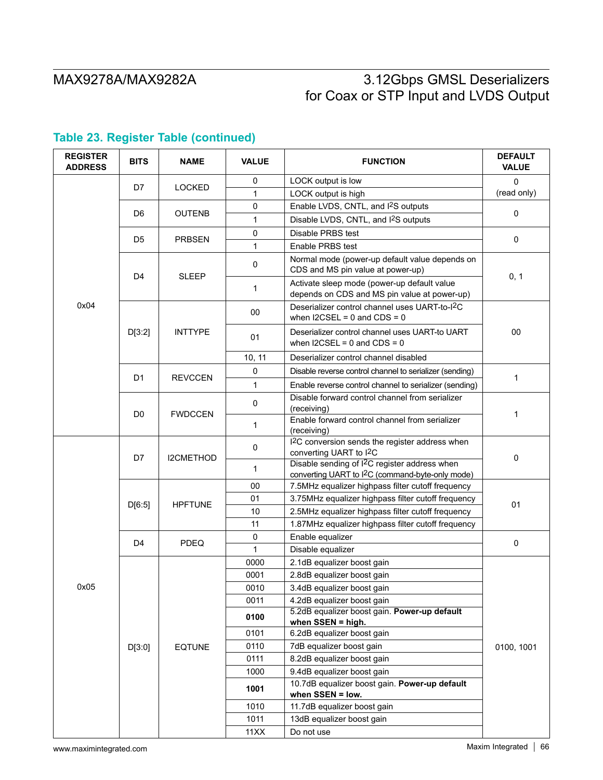| <b>REGISTER</b><br><b>ADDRESS</b> | <b>BITS</b>    | <b>NAME</b>    | <b>VALUE</b> | <b>FUNCTION</b>                                                                                                           | <b>DEFAULT</b><br><b>VALUE</b> |  |
|-----------------------------------|----------------|----------------|--------------|---------------------------------------------------------------------------------------------------------------------------|--------------------------------|--|
|                                   | D7             | <b>LOCKED</b>  | 0            | LOCK output is low                                                                                                        | $\Omega$                       |  |
|                                   |                |                | 1            | LOCK output is high                                                                                                       | (read only)                    |  |
|                                   |                |                | 0            | Enable LVDS, CNTL, and I <sup>2</sup> S outputs                                                                           | 0                              |  |
|                                   | D <sub>6</sub> | <b>OUTENB</b>  | 1            | Disable LVDS, CNTL, and I <sup>2</sup> S outputs                                                                          |                                |  |
|                                   |                |                | $\pmb{0}$    | Disable PRBS test                                                                                                         |                                |  |
|                                   | D <sub>5</sub> | <b>PRBSEN</b>  | 1            | Enable PRBS test                                                                                                          | $\mathbf 0$                    |  |
|                                   | D <sub>4</sub> | <b>SLEEP</b>   | $\mathsf 0$  | Normal mode (power-up default value depends on<br>CDS and MS pin value at power-up)                                       |                                |  |
|                                   |                |                | 1            | Activate sleep mode (power-up default value<br>depends on CDS and MS pin value at power-up)                               | 0, 1                           |  |
| 0x04                              |                |                | 00           | Deserializer control channel uses UART-to-I <sup>2</sup> C<br>when $12CSEL = 0$ and $CDS = 0$                             |                                |  |
|                                   | D[3:2]         | <b>INTTYPE</b> | 01           | Deserializer control channel uses UART-to UART<br>when $12CSEL = 0$ and $CDS = 0$                                         | 00                             |  |
|                                   |                |                | 10, 11       | Deserializer control channel disabled                                                                                     |                                |  |
|                                   |                |                | $\mathbf 0$  | Disable reverse control channel to serializer (sending)                                                                   |                                |  |
|                                   | D <sub>1</sub> | <b>REVCCEN</b> | 1            | Enable reverse control channel to serializer (sending)                                                                    | $\mathbf{1}$                   |  |
|                                   | D <sub>0</sub> | <b>FWDCCEN</b> | $\pmb{0}$    | Disable forward control channel from serializer<br>(receiving)                                                            |                                |  |
|                                   |                |                | 1            | Enable forward control channel from serializer<br>(receiving)                                                             | $\mathbf 1$                    |  |
|                                   | D7             | I2CMETHOD      | 0            | I <sup>2</sup> C conversion sends the register address when<br>converting UART to I <sup>2</sup> C                        | $\mathbf 0$                    |  |
|                                   |                |                | 1            | Disable sending of I <sup>2</sup> C register address when<br>converting UART to I <sup>2</sup> C (command-byte-only mode) |                                |  |
|                                   |                |                | 00           | 7.5MHz equalizer highpass filter cutoff frequency                                                                         |                                |  |
|                                   | D[6:5]         | <b>HPFTUNE</b> | 01           | 3.75MHz equalizer highpass filter cutoff frequency                                                                        | 01                             |  |
|                                   |                |                | 10           | 2.5MHz equalizer highpass filter cutoff frequency                                                                         |                                |  |
|                                   |                |                | 11           | 1.87MHz equalizer highpass filter cutoff frequency                                                                        |                                |  |
|                                   | D4             | <b>PDEQ</b>    | 0            | Enable equalizer                                                                                                          | $\mathbf 0$                    |  |
|                                   |                |                | 1            | Disable equalizer                                                                                                         |                                |  |
|                                   |                |                | 0000         | 2.1dB equalizer boost gain                                                                                                |                                |  |
|                                   |                |                | 0001         | 2.8dB equalizer boost gain                                                                                                |                                |  |
| 0x05                              |                |                | 0010         | 3.4dB equalizer boost gain                                                                                                |                                |  |
|                                   |                |                | 0011         | 4.2dB equalizer boost gain                                                                                                |                                |  |
|                                   |                |                | 0100         | 5.2dB equalizer boost gain. Power-up default<br>when SSEN = high.                                                         |                                |  |
|                                   |                |                | 0101         | 6.2dB equalizer boost gain                                                                                                |                                |  |
|                                   | D[3:0]         | <b>EQTUNE</b>  | 0110         | 7dB equalizer boost gain                                                                                                  | 0100, 1001                     |  |
|                                   |                |                | 0111         | 8.2dB equalizer boost gain                                                                                                |                                |  |
|                                   |                |                | 1000         | 9.4dB equalizer boost gain                                                                                                |                                |  |
|                                   |                |                |              | 10.7dB equalizer boost gain. Power-up default                                                                             |                                |  |
|                                   |                |                | 1001         | when SSEN = low.                                                                                                          |                                |  |
|                                   |                |                | 1010         | 11.7dB equalizer boost gain                                                                                               |                                |  |
|                                   |                |                | 1011         | 13dB equalizer boost gain                                                                                                 |                                |  |
|                                   |                |                | 11XX         | Do not use                                                                                                                |                                |  |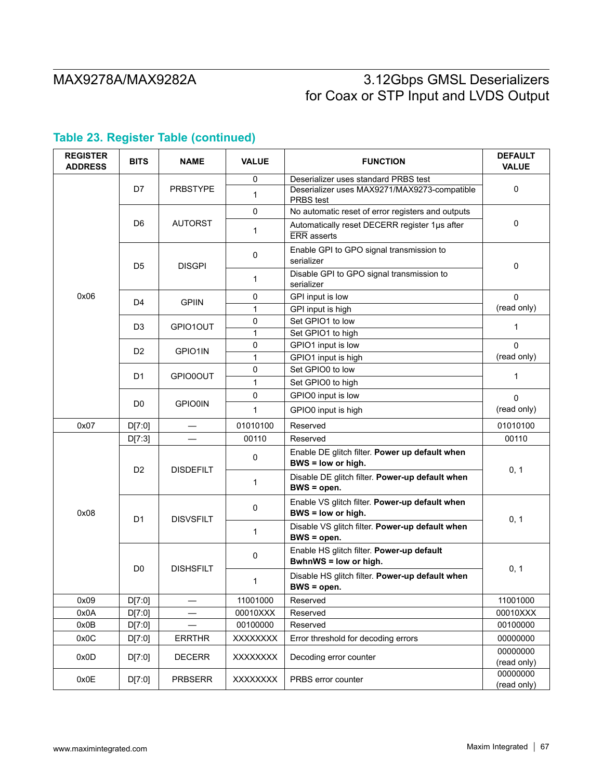| <b>REGISTER</b><br><b>ADDRESS</b> | <b>BITS</b>    | <b>NAME</b>      | <b>VALUE</b>    | <b>FUNCTION</b>                                                                      | <b>DEFAULT</b><br><b>VALUE</b> |  |
|-----------------------------------|----------------|------------------|-----------------|--------------------------------------------------------------------------------------|--------------------------------|--|
|                                   | D7             | <b>PRBSTYPE</b>  | 0<br>1          | Deserializer uses standard PRBS test<br>Deserializer uses MAX9271/MAX9273-compatible | 0                              |  |
|                                   |                |                  | $\mathbf 0$     | PRBS test<br>No automatic reset of error registers and outputs                       |                                |  |
|                                   | D <sub>6</sub> | <b>AUTORST</b>   | 1               | Automatically reset DECERR register 1µs after<br><b>ERR</b> asserts                  | 0                              |  |
|                                   | D <sub>5</sub> | <b>DISGPI</b>    | 0               | Enable GPI to GPO signal transmission to<br>serializer                               | $\mathbf 0$                    |  |
|                                   |                |                  | 1               | Disable GPI to GPO signal transmission to<br>serializer                              |                                |  |
| 0x06                              | D <sub>4</sub> | <b>GPIIN</b>     | 0               | GPI input is low                                                                     | $\Omega$                       |  |
|                                   |                |                  | $\mathbf{1}$    | GPI input is high                                                                    | (read only)                    |  |
|                                   | D <sub>3</sub> | GPIO1OUT         | 0               | Set GPIO1 to low                                                                     | 1                              |  |
|                                   |                |                  | 1               | Set GPIO1 to high                                                                    |                                |  |
|                                   | D <sub>2</sub> | GPIO1IN          | 0               | GPIO1 input is low                                                                   | $\Omega$                       |  |
|                                   |                |                  | $\mathbf{1}$    | GPIO1 input is high                                                                  | (read only)                    |  |
|                                   | D1             | GPIO0OUT         | 0               | Set GPIO0 to low                                                                     | $\mathbf 1$                    |  |
|                                   |                |                  | 1               | Set GPIO0 to high                                                                    |                                |  |
|                                   |                |                  | 0               | GPIO0 input is low                                                                   | 0                              |  |
|                                   | D <sub>0</sub> | <b>GPIO0IN</b>   | 1               | GPIO0 input is high                                                                  | (read only)                    |  |
| 0x07                              | D[7:0]         |                  | 01010100        | Reserved                                                                             | 01010100                       |  |
|                                   | D[7:3]         |                  | 00110           | Reserved                                                                             | 00110                          |  |
|                                   | D <sub>2</sub> | <b>DISDEFILT</b> | 0               | Enable DE glitch filter. Power up default when<br>BWS = low or high.                 | 0, 1                           |  |
|                                   |                |                  | 1               | Disable DE glitch filter. Power-up default when<br>$BWS = open.$                     |                                |  |
| 0x08                              | D1             | <b>DISVSFILT</b> | 0               | Enable VS glitch filter. Power-up default when<br>BWS = low or high.                 | 0, 1                           |  |
|                                   |                |                  | 1               | Disable VS glitch filter. Power-up default when<br>BWS = open.                       |                                |  |
|                                   |                | <b>DISHSFILT</b> | $\pmb{0}$       | Enable HS glitch filter. Power-up default<br>BwhnWS = low or high.                   |                                |  |
|                                   | D <sub>0</sub> |                  | 1               | Disable HS glitch filter. Power-up default when<br>BWS = open.                       | 0, 1                           |  |
| 0x09                              | D[7:0]         |                  | 11001000        | Reserved                                                                             | 11001000                       |  |
| 0x0A                              | D[7:0]         |                  | 00010XXX        | Reserved                                                                             | 00010XXX                       |  |
| 0x0B                              | D[7:0]         |                  | 00100000        | Reserved                                                                             | 00100000                       |  |
| 0x0C                              | D[7:0]         | <b>ERRTHR</b>    | <b>XXXXXXXX</b> | Error threshold for decoding errors                                                  | 00000000                       |  |
| 0x0D                              | D[7:0]         | <b>DECERR</b>    | <b>XXXXXXXX</b> | Decoding error counter                                                               | 00000000<br>(read only)        |  |
| 0x0E                              | D[7:0]         | <b>PRBSERR</b>   | XXXXXXX         | PRBS error counter                                                                   | 00000000<br>(read only)        |  |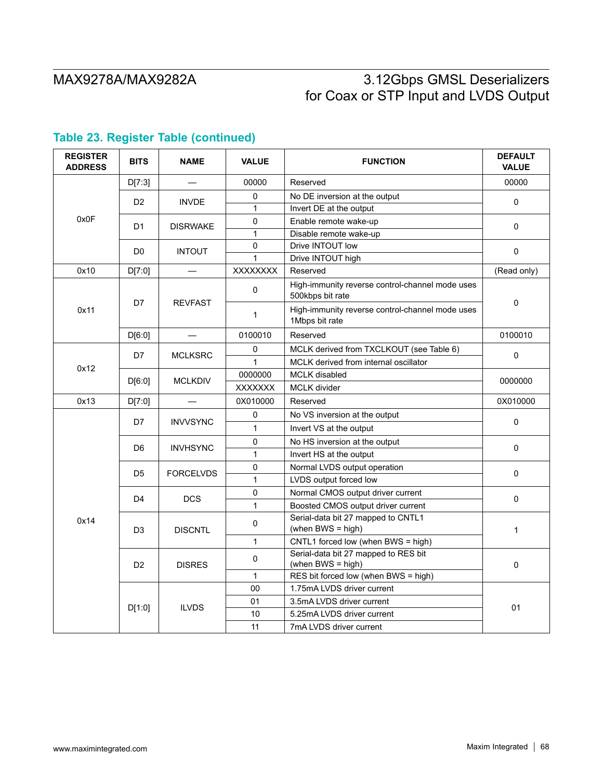| <b>REGISTER</b><br><b>ADDRESS</b> | <b>BITS</b>    | <b>NAME</b>      | <b>VALUE</b>    | <b>FUNCTION</b>                                                     | <b>DEFAULT</b><br><b>VALUE</b> |  |
|-----------------------------------|----------------|------------------|-----------------|---------------------------------------------------------------------|--------------------------------|--|
| 0x0F                              | D[7:3]         |                  | 00000           | Reserved                                                            | 00000                          |  |
|                                   | D <sub>2</sub> | <b>INVDE</b>     | 0               | No DE inversion at the output                                       | $\Omega$                       |  |
|                                   |                |                  | $\mathbf{1}$    | Invert DE at the output                                             |                                |  |
|                                   | D <sub>1</sub> | <b>DISRWAKE</b>  | 0               | Enable remote wake-up                                               | 0                              |  |
|                                   |                |                  | $\mathbf{1}$    | Disable remote wake-up                                              |                                |  |
|                                   | D <sub>0</sub> | <b>INTOUT</b>    | 0               | Drive INTOUT low                                                    | $\Omega$                       |  |
|                                   |                |                  | $\mathbf{1}$    | Drive INTOUT high                                                   |                                |  |
| 0x10                              | D[7:0]         |                  | <b>XXXXXXXX</b> | Reserved                                                            | (Read only)                    |  |
| 0x11                              |                | <b>REVFAST</b>   | 0               | High-immunity reverse control-channel mode uses<br>500kbps bit rate |                                |  |
|                                   | D7             |                  | 1               | High-immunity reverse control-channel mode uses<br>1Mbps bit rate   | $\Omega$                       |  |
|                                   | D[6:0]         |                  | 0100010         | Reserved                                                            | 0100010                        |  |
|                                   | D7             | <b>MCLKSRC</b>   | 0               | MCLK derived from TXCLKOUT (see Table 6)                            |                                |  |
|                                   |                |                  | $\mathbf{1}$    | MCLK derived from internal oscillator                               | $\pmb{0}$                      |  |
| 0x12                              | D[6:0]         | <b>MCLKDIV</b>   | 0000000         | <b>MCLK</b> disabled                                                | 0000000                        |  |
|                                   |                |                  | <b>XXXXXXX</b>  | <b>MCLK</b> divider                                                 |                                |  |
| 0x13                              | D[7:0]         |                  | 0X010000        | Reserved                                                            | 0X010000                       |  |
|                                   | D7             | <b>INVVSYNC</b>  | 0               | No VS inversion at the output                                       | 0                              |  |
|                                   |                |                  | $\mathbf{1}$    | Invert VS at the output                                             |                                |  |
|                                   | D <sub>6</sub> | <b>INVHSYNC</b>  | $\mathbf 0$     | No HS inversion at the output                                       | $\Omega$                       |  |
|                                   |                |                  | $\mathbf{1}$    | Invert HS at the output                                             |                                |  |
|                                   | D <sub>5</sub> | <b>FORCELVDS</b> | $\mathbf 0$     | Normal LVDS output operation                                        |                                |  |
| 0x14                              |                |                  | $\mathbf{1}$    | LVDS output forced low                                              | 0                              |  |
|                                   | D <sub>4</sub> | <b>DCS</b>       | $\pmb{0}$       | Normal CMOS output driver current                                   | 0                              |  |
|                                   |                |                  | $\mathbf{1}$    | Boosted CMOS output driver current                                  |                                |  |
|                                   | D <sub>3</sub> | <b>DISCNTL</b>   | 0               | Serial-data bit 27 mapped to CNTL1<br>(when BWS = high)             | $\mathbf{1}$                   |  |
|                                   |                |                  | $\mathbf{1}$    | CNTL1 forced low (when BWS = high)                                  |                                |  |
|                                   | D <sub>2</sub> | <b>DISRES</b>    | 0               | Serial-data bit 27 mapped to RES bit<br>(when BWS = high)           | 0                              |  |
|                                   |                |                  | $\mathbf{1}$    | RES bit forced low (when BWS = high)                                |                                |  |
|                                   |                | <b>ILVDS</b>     | 00              | 1.75mA LVDS driver current                                          |                                |  |
|                                   | D[1:0]         |                  | 01              | 3.5mA LVDS driver current                                           | 01                             |  |
|                                   |                |                  | 10              | 5.25mA LVDS driver current                                          |                                |  |
|                                   |                |                  | 11              | 7mA LVDS driver current                                             |                                |  |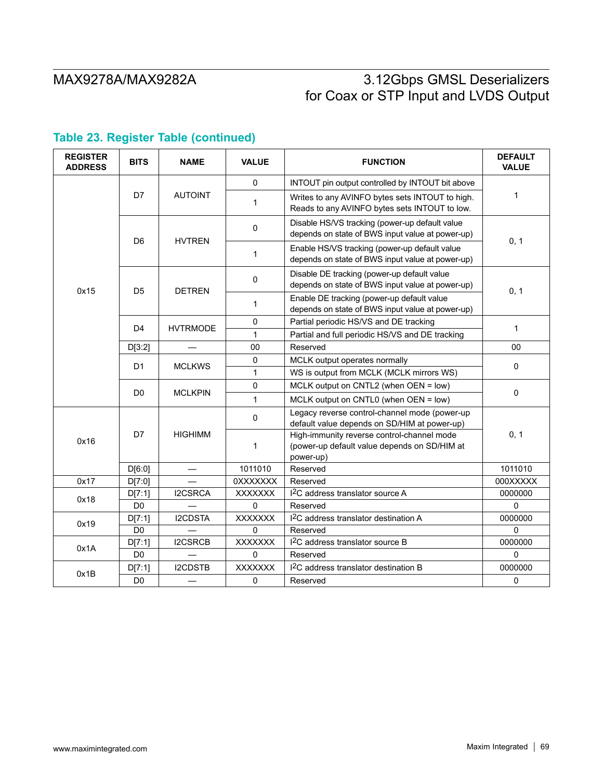| <b>REGISTER</b><br><b>ADDRESS</b> | <b>BITS</b>    | <b>NAME</b>     | <b>VALUE</b>    | <b>FUNCTION</b>                                                                                         | <b>DEFAULT</b><br><b>VALUE</b> |  |
|-----------------------------------|----------------|-----------------|-----------------|---------------------------------------------------------------------------------------------------------|--------------------------------|--|
| 0x15                              | D7             | <b>AUTOINT</b>  | $\Omega$        | INTOUT pin output controlled by INTOUT bit above                                                        |                                |  |
|                                   |                |                 | $\mathbf{1}$    | Writes to any AVINFO bytes sets INTOUT to high.<br>Reads to any AVINFO bytes sets INTOUT to low.        | $\mathbf{1}$                   |  |
|                                   | D <sub>6</sub> | <b>HVTREN</b>   | 0               | Disable HS/VS tracking (power-up default value<br>depends on state of BWS input value at power-up)      | 0, 1                           |  |
|                                   |                |                 | 1               | Enable HS/VS tracking (power-up default value<br>depends on state of BWS input value at power-up)       |                                |  |
|                                   | D <sub>5</sub> | <b>DETREN</b>   | 0               | Disable DE tracking (power-up default value<br>depends on state of BWS input value at power-up)         |                                |  |
|                                   |                |                 | 1               | Enable DE tracking (power-up default value<br>depends on state of BWS input value at power-up)          | 0, 1                           |  |
|                                   | $\mathsf{D}4$  | <b>HVTRMODE</b> | 0               | Partial periodic HS/VS and DE tracking                                                                  | $\mathbf{1}$                   |  |
|                                   |                |                 | $\mathbf{1}$    | Partial and full periodic HS/VS and DE tracking                                                         |                                |  |
|                                   | D[3:2]         |                 | 00              | Reserved                                                                                                | 00                             |  |
|                                   | D <sub>1</sub> | <b>MCLKWS</b>   | 0               | MCLK output operates normally                                                                           | $\Omega$                       |  |
|                                   |                |                 | $\mathbf{1}$    | WS is output from MCLK (MCLK mirrors WS)                                                                |                                |  |
|                                   | D <sub>0</sub> | <b>MCLKPIN</b>  | 0               | MCLK output on CNTL2 (when OEN = low)                                                                   |                                |  |
|                                   |                |                 | $\mathbf{1}$    | MCLK output on CNTL0 (when OEN = low)                                                                   | $\mathbf 0$                    |  |
| 0x16                              | D7             | <b>HIGHIMM</b>  | 0               | Legacy reverse control-channel mode (power-up<br>default value depends on SD/HIM at power-up)           |                                |  |
|                                   |                |                 | $\mathbf{1}$    | High-immunity reverse control-channel mode<br>(power-up default value depends on SD/HIM at<br>power-up) | 0, 1                           |  |
|                                   | D[6:0]         |                 | 1011010         | Reserved                                                                                                | 1011010                        |  |
| 0x17                              | D[7:0]         |                 | <b>OXXXXXXX</b> | Reserved                                                                                                | 000XXXXX                       |  |
| 0x18                              | D[7:1]         | I2CSRCA         | XXXXXXX         | I <sup>2</sup> C address translator source A                                                            | 0000000                        |  |
|                                   | D <sub>0</sub> |                 | $\Omega$        | Reserved                                                                                                | $\Omega$                       |  |
| 0x19                              | D[7:1]         | <b>I2CDSTA</b>  | <b>XXXXXXX</b>  | I <sup>2</sup> C address translator destination A                                                       | 0000000                        |  |
|                                   | D <sub>0</sub> |                 | $\Omega$        | Reserved                                                                                                | $\Omega$                       |  |
| 0x1A                              | D[7:1]         | I2CSRCB         | <b>XXXXXXX</b>  | I <sup>2</sup> C address translator source B                                                            | 0000000                        |  |
|                                   | D <sub>0</sub> |                 | 0               | Reserved                                                                                                | $\Omega$                       |  |
| 0x1B                              | D[7:1]         | I2CDSTB         | <b>XXXXXXX</b>  | I <sup>2</sup> C address translator destination B                                                       | 0000000                        |  |
|                                   | D <sub>0</sub> |                 | 0               | Reserved                                                                                                | $\mathbf 0$                    |  |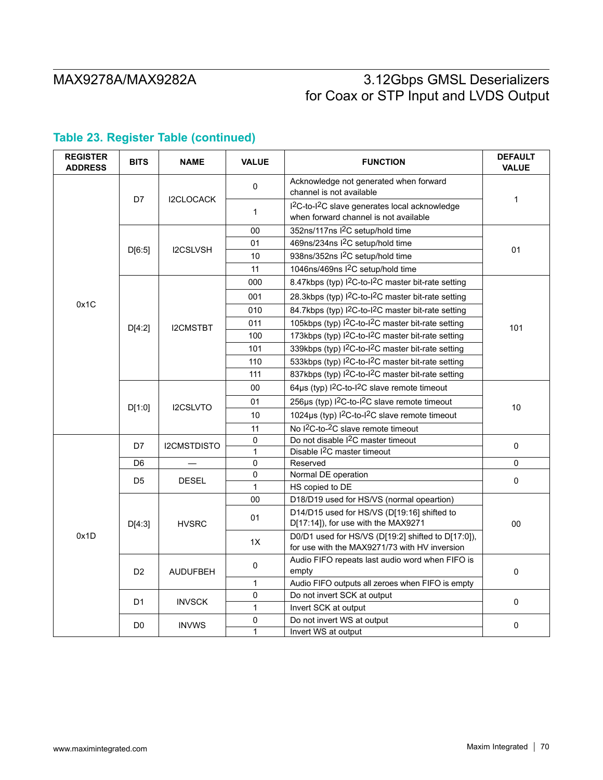| <b>REGISTER</b><br><b>ADDRESS</b> | <b>BITS</b>    | <b>NAME</b>     | <b>VALUE</b> | <b>FUNCTION</b>                                                                                                 | <b>DEFAULT</b><br><b>VALUE</b> |  |
|-----------------------------------|----------------|-----------------|--------------|-----------------------------------------------------------------------------------------------------------------|--------------------------------|--|
|                                   | D7             | I2CLOCACK       | 0            | Acknowledge not generated when forward<br>channel is not available                                              | $\mathbf{1}$                   |  |
|                                   |                |                 | 1            | I <sup>2</sup> C-to-I <sup>2</sup> C slave generates local acknowledge<br>when forward channel is not available |                                |  |
|                                   |                | <b>I2CSLVSH</b> | 00           | 352ns/117ns I <sup>2</sup> C setup/hold time                                                                    |                                |  |
|                                   | D[6.5]         |                 | 01           | 469ns/234ns I <sup>2</sup> C setup/hold time                                                                    | 01                             |  |
|                                   |                |                 | 10           | 938ns/352ns I <sup>2</sup> C setup/hold time                                                                    |                                |  |
|                                   |                |                 | 11           | 1046ns/469ns I <sup>2</sup> C setup/hold time                                                                   |                                |  |
|                                   |                |                 | 000          | 8.47kbps (typ) I <sup>2</sup> C-to-I <sup>2</sup> C master bit-rate setting                                     |                                |  |
|                                   |                | <b>I2CMSTBT</b> | 001          | 28.3kbps (typ) I <sup>2</sup> C-to-I <sup>2</sup> C master bit-rate setting                                     |                                |  |
| 0x1C                              |                |                 | 010          | 84.7kbps (typ) I <sup>2</sup> C-to-I <sup>2</sup> C master bit-rate setting                                     |                                |  |
|                                   | D[4:2]         |                 | 011          | 105kbps (typ) I <sup>2</sup> C-to-I <sup>2</sup> C master bit-rate setting                                      | 101                            |  |
|                                   |                |                 | 100          | 173kbps (typ) I <sup>2</sup> C-to-I <sup>2</sup> C master bit-rate setting                                      |                                |  |
|                                   |                |                 | 101          | 339kbps (typ) I <sup>2</sup> C-to-I <sup>2</sup> C master bit-rate setting                                      |                                |  |
|                                   |                |                 | 110          | 533kbps (typ) I <sup>2</sup> C-to-I <sup>2</sup> C master bit-rate setting                                      |                                |  |
|                                   |                |                 | 111          | 837kbps (typ) I <sup>2</sup> C-to-I <sup>2</sup> C master bit-rate setting                                      |                                |  |
|                                   | D[1:0]         | I2CSLVTO        | 00           | 64µs (typ) l <sup>2</sup> C-to-l <sup>2</sup> C slave remote timeout                                            | 10                             |  |
|                                   |                |                 | 01           | 256µs (typ) I <sup>2</sup> C-to-I <sup>2</sup> C slave remote timeout                                           |                                |  |
|                                   |                |                 | 10           | 1024µs (typ) I <sup>2</sup> C-to-I <sup>2</sup> C slave remote timeout                                          |                                |  |
|                                   |                |                 | 11           | No I <sup>2</sup> C-to- <sup>2</sup> C slave remote timeout                                                     |                                |  |
|                                   | D7             | I2CMSTDISTO     | 0            | Do not disable I <sup>2</sup> C master timeout                                                                  | $\Omega$                       |  |
|                                   |                |                 | $\mathbf{1}$ | Disable I <sup>2</sup> C master timeout                                                                         |                                |  |
|                                   | D <sub>6</sub> |                 | 0            | Reserved                                                                                                        | 0                              |  |
|                                   | D <sub>5</sub> | <b>DESEL</b>    | 0            | Normal DE operation                                                                                             | $\mathsf 0$                    |  |
| 0x1D                              |                |                 | $\mathbf{1}$ | HS copied to DE                                                                                                 |                                |  |
|                                   | D[4:3]         | <b>HVSRC</b>    | 00           | D18/D19 used for HS/VS (normal opeartion)                                                                       | 00                             |  |
|                                   |                |                 | 01           | D14/D15 used for HS/VS (D[19:16] shifted to<br>D[17:14]), for use with the MAX9271                              |                                |  |
|                                   |                |                 | 1X           | D0/D1 used for HS/VS (D[19:2] shifted to D[17:0]),<br>for use with the MAX9271/73 with HV inversion             |                                |  |
|                                   | D <sub>2</sub> | <b>AUDUFBEH</b> | 0            | Audio FIFO repeats last audio word when FIFO is<br>empty                                                        | $\mathbf 0$                    |  |
|                                   |                |                 | $\mathbf{1}$ | Audio FIFO outputs all zeroes when FIFO is empty                                                                |                                |  |
|                                   | D <sub>1</sub> | <b>INVSCK</b>   | 0            | Do not invert SCK at output                                                                                     | 0                              |  |
|                                   |                |                 | 1            | Invert SCK at output                                                                                            |                                |  |
|                                   | D <sub>0</sub> | <b>INVWS</b>    | 0            | Do not invert WS at output                                                                                      |                                |  |
|                                   |                |                 | $\mathbf{1}$ | Invert WS at output                                                                                             | $\pmb{0}$                      |  |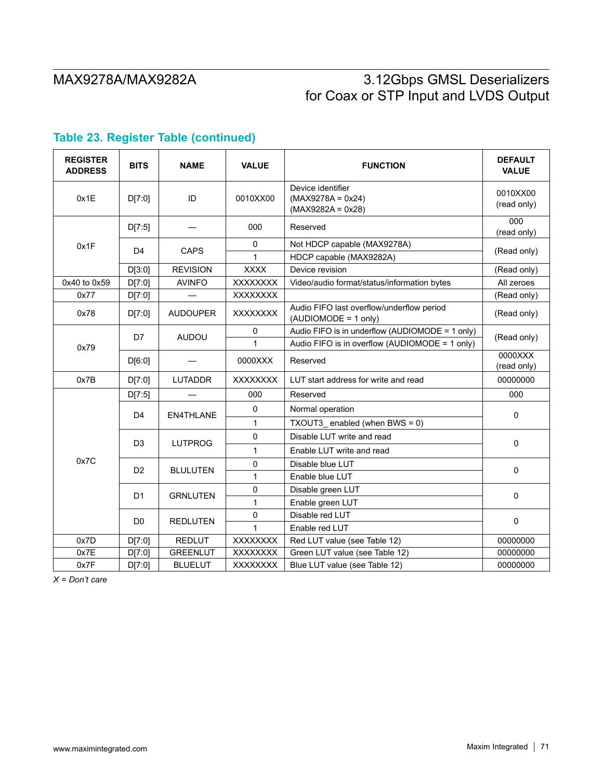| <b>REGISTER</b><br><b>ADDRESS</b> | <b>BITS</b>    | <b>NAME</b>      | <b>VALUE</b>    | <b>FUNCTION</b>                                                   | <b>DEFAULT</b><br><b>VALUE</b> |  |
|-----------------------------------|----------------|------------------|-----------------|-------------------------------------------------------------------|--------------------------------|--|
| 0x1E                              | D[7:0]         | ID               | 0010XX00        | Device identifier<br>$(MAX9278A = 0x24)$<br>$(MAX9282A = 0x28)$   | 0010XX00<br>(read only)        |  |
|                                   | D[7:5]         |                  | 000             | Reserved                                                          | 000<br>(read only)             |  |
| 0x1F                              |                | CAPS             | $\mathbf 0$     | Not HDCP capable (MAX9278A)                                       |                                |  |
|                                   | D <sub>4</sub> |                  | 1               | HDCP capable (MAX9282A)                                           | (Read only)                    |  |
|                                   | D[3:0]         | <b>REVISION</b>  | <b>XXXX</b>     | Device revision                                                   | (Read only)                    |  |
| 0x40 to 0x59                      | D[7:0]         | <b>AVINFO</b>    | <b>XXXXXXXX</b> | Video/audio format/status/information bytes                       | All zeroes                     |  |
| 0x77                              | D[7:0]         |                  | XXXXXXX         |                                                                   | (Read only)                    |  |
| 0x78                              | D[7:0]         | <b>AUDOUPER</b>  | <b>XXXXXXXX</b> | Audio FIFO last overflow/underflow period<br>(AUDIOMODE = 1 only) | (Read only)                    |  |
|                                   | D7             | <b>AUDOU</b>     | $\Omega$        | Audio FIFO is in underflow (AUDIOMODE = 1 only)                   | (Read only)                    |  |
| 0x79                              |                |                  | 1               | Audio FIFO is in overflow (AUDIOMODE = 1 only)                    |                                |  |
|                                   | D[6:0]         |                  | 0000XXX         | Reserved                                                          | 0000XXX<br>(read only)         |  |
| 0x7B                              | D[7:0]         | <b>LUTADDR</b>   | <b>XXXXXXXX</b> | LUT start address for write and read                              | 00000000                       |  |
|                                   | D[7:5]         |                  | 000             | Reserved                                                          | 000                            |  |
|                                   | D <sub>4</sub> | <b>EN4THLANE</b> | $\mathbf 0$     | Normal operation                                                  | $\Omega$                       |  |
|                                   |                |                  | $\mathbf{1}$    | TXOUT3_enabled (when BWS = $0$ )                                  |                                |  |
|                                   | D <sub>3</sub> |                  |                 | $\mathbf 0$                                                       | Disable LUT write and read     |  |
| 0x7C                              |                | <b>LUTPROG</b>   | 1               | Enable LUT write and read                                         | $\mathbf 0$                    |  |
|                                   | D <sub>2</sub> |                  | 0               | Disable blue LUT                                                  |                                |  |
|                                   |                | <b>BLULUTEN</b>  | $\mathbf{1}$    | Enable blue LUT                                                   | $\mathbf 0$                    |  |
|                                   | D1             | <b>GRNLUTEN</b>  | $\pmb{0}$       | Disable green LUT                                                 | $\mathbf 0$                    |  |
|                                   |                |                  | $\mathbf{1}$    | Enable green LUT                                                  |                                |  |
|                                   | D <sub>0</sub> | <b>REDLUTEN</b>  | 0               | Disable red LUT                                                   | $\pmb{0}$                      |  |
|                                   |                |                  | 1               | Enable red LUT                                                    |                                |  |
| 0x7D                              | D[7:0]         | <b>REDLUT</b>    | <b>XXXXXXXX</b> | Red LUT value (see Table 12)                                      | 00000000                       |  |
| 0x7E                              | D[7:0]         | <b>GREENLUT</b>  | XXXXXXX         | Green LUT value (see Table 12)                                    | 00000000                       |  |
| 0x7F                              | D[7:0]         | <b>BLUELUT</b>   | <b>XXXXXXXX</b> | Blue LUT value (see Table 12)                                     | 00000000                       |  |

# **Table 23. Register Table (continued)**

*X = Don't care*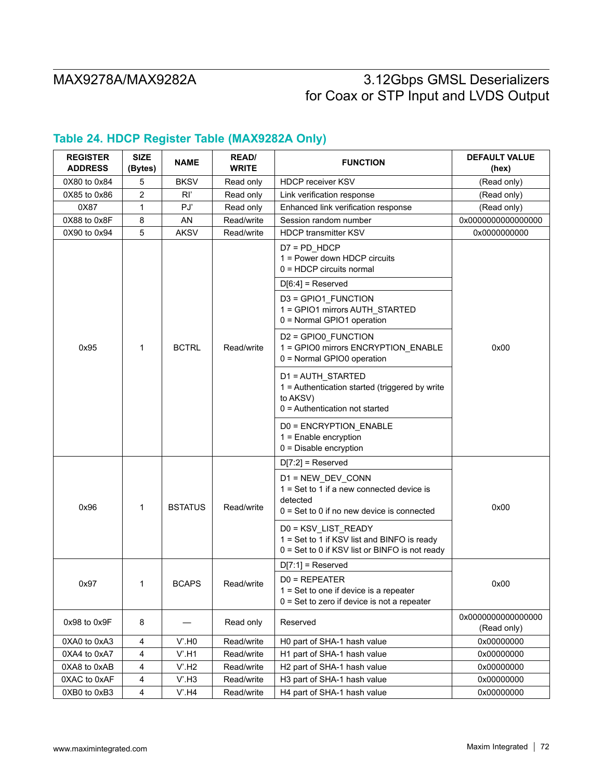# **Table 24. HDCP Register Table (MAX9282A Only)**

| <b>REGISTER</b><br><b>ADDRESS</b> | <b>SIZE</b><br>(Bytes) | <b>NAME</b>    | <b>READ/</b><br><b>WRITE</b> | <b>FUNCTION</b>                                                                                                              | <b>DEFAULT VALUE</b><br>(hex)     |
|-----------------------------------|------------------------|----------------|------------------------------|------------------------------------------------------------------------------------------------------------------------------|-----------------------------------|
| 0X80 to 0x84                      | 5                      | <b>BKSV</b>    | Read only                    | <b>HDCP receiver KSV</b>                                                                                                     | (Read only)                       |
| 0X85 to 0x86                      | 2                      | R              | Read only                    | Link verification response                                                                                                   | (Read only)                       |
| 0X87                              | 1                      | PJ             | Read only                    | Enhanced link verification response                                                                                          | (Read only)                       |
| 0X88 to 0x8F                      | 8                      | AN             | Read/write                   | Session random number                                                                                                        | 0x0000000000000000                |
| 0X90 to 0x94                      | 5                      | <b>AKSV</b>    | Read/write                   | <b>HDCP transmitter KSV</b>                                                                                                  | 0x0000000000                      |
|                                   |                        | <b>BCTRL</b>   | Read/write                   | $D7 = PD_HDCP$<br>1 = Power down HDCP circuits<br>$0 = HDCP$ circuits normal                                                 |                                   |
|                                   |                        |                |                              | $D[6:4]$ = Reserved                                                                                                          |                                   |
| 0x95                              | 1                      |                |                              | D3 = GPIO1_FUNCTION<br>1 = GPIO1 mirrors AUTH_STARTED<br>0 = Normal GPIO1 operation                                          |                                   |
|                                   |                        |                |                              | D2 = GPIO0_FUNCTION<br>1 = GPIO0 mirrors ENCRYPTION ENABLE<br>0 = Normal GPIO0 operation                                     | 0x00                              |
|                                   |                        |                |                              | D1 = AUTH_STARTED<br>1 = Authentication started (triggered by write<br>to AKSV)<br>0 = Authentication not started            |                                   |
|                                   |                        |                |                              | D0 = ENCRYPTION_ENABLE<br>$1 =$ Enable encryption<br>$0 =$ Disable encryption                                                |                                   |
|                                   |                        |                |                              | $D[7:2]$ = Reserved                                                                                                          |                                   |
| 0x96                              | 1                      | <b>BSTATUS</b> | Read/write                   | D1 = NEW_DEV_CONN<br>$1 = Set to 1$ if a new connected device is<br>detected<br>$0 = Set to 0$ if no new device is connected | 0x00                              |
|                                   |                        |                |                              | D0 = KSV_LIST_READY<br>1 = Set to 1 if KSV list and BINFO is ready<br>$0 = Set to 0$ if KSV list or BINFO is not ready       |                                   |
|                                   |                        |                |                              | $D[7:1]$ = Reserved                                                                                                          |                                   |
| 0x97                              | 1                      | <b>BCAPS</b>   | Read/write                   | $D0 = REPEATER$<br>$1 = Set$ to one if device is a repeater<br>$0 = Set$ to zero if device is not a repeater                 | 0x00                              |
| 0x98 to 0x9F                      | 8                      |                | Read only                    | Reserved                                                                                                                     | 0x0000000000000000<br>(Read only) |
| 0XA0 to 0xA3                      | 4                      | $V'$ .HO       | Read/write                   | H0 part of SHA-1 hash value                                                                                                  | 0x00000000                        |
| 0XA4 to 0xA7                      | 4                      | $V'$ .H1       | Read/write                   | H1 part of SHA-1 hash value                                                                                                  | 0x00000000                        |
| 0XA8 to 0xAB                      | 4                      | V.H2           | Read/write                   | H2 part of SHA-1 hash value                                                                                                  | 0x00000000                        |
| 0XAC to 0xAF                      | 4                      | $V'$ .H3       | Read/write                   | H3 part of SHA-1 hash value                                                                                                  | 0x00000000                        |
| 0XB0 to 0xB3                      | 4                      | $V'$ .H4       | Read/write                   | H4 part of SHA-1 hash value                                                                                                  | 0x00000000                        |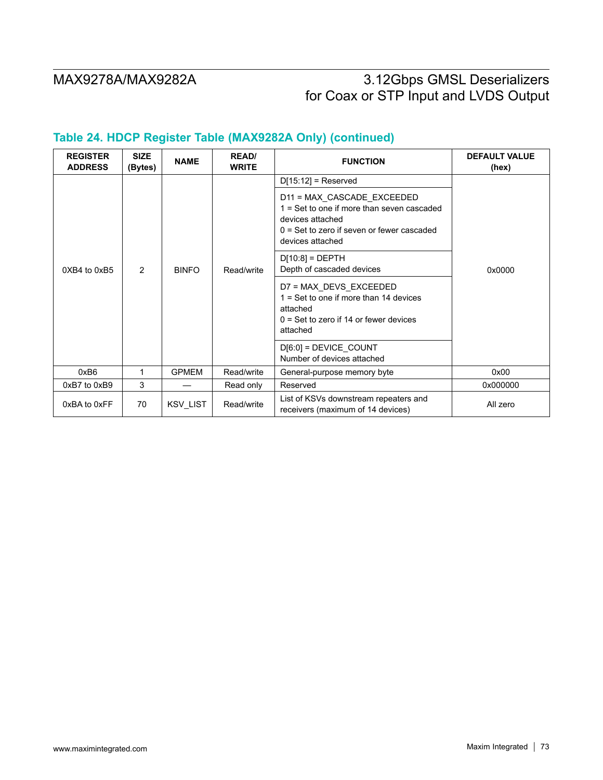# MAX9278A/MAX9282A 3.12Gbps GMSL Deserializers for Coax or STP Input and LVDS Output

## **Table 24. HDCP Register Table (MAX9282A Only) (continued)**

| <b>REGISTER</b><br><b>ADDRESS</b> | <b>SIZE</b><br>(Bytes) | <b>NAME</b>  | <b>READ/</b><br><b>WRITE</b> | <b>FUNCTION</b>                                                                                                                                                                                                                                                                                                                                                                       | <b>DEFAULT VALUE</b><br>(hex) |
|-----------------------------------|------------------------|--------------|------------------------------|---------------------------------------------------------------------------------------------------------------------------------------------------------------------------------------------------------------------------------------------------------------------------------------------------------------------------------------------------------------------------------------|-------------------------------|
| 0XB4 to 0xB5                      | $\overline{2}$         | <b>BINFO</b> | Read/write                   | $D[15.12]$ = Reserved<br>D11 = MAX_CASCADE_EXCEEDED<br>1 = Set to one if more than seven cascaded<br>devices attached<br>$0 = Set$ to zero if seven or fewer cascaded<br>devices attached<br>$D[10.8] = DEPTH$<br>Depth of cascaded devices<br>D7 = MAX DEVS EXCEEDED<br>$1 = Set$ to one if more than 14 devices<br>attached<br>$0 = Set$ to zero if 14 or fewer devices<br>attached | 0x0000                        |
|                                   |                        |              |                              | $D[6:0] = DEVICE$ COUNT<br>Number of devices attached                                                                                                                                                                                                                                                                                                                                 |                               |
| 0xB6                              | 1                      | <b>GPMEM</b> | Read/write                   | General-purpose memory byte                                                                                                                                                                                                                                                                                                                                                           | 0x00                          |
| 0xB7 to 0xB9                      | 3                      |              | Read only                    | Reserved                                                                                                                                                                                                                                                                                                                                                                              | 0x000000                      |
| 0xBA to 0xFF                      | 70                     | KSV_LIST     | Read/write                   | List of KSVs downstream repeaters and<br>receivers (maximum of 14 devices)                                                                                                                                                                                                                                                                                                            | All zero                      |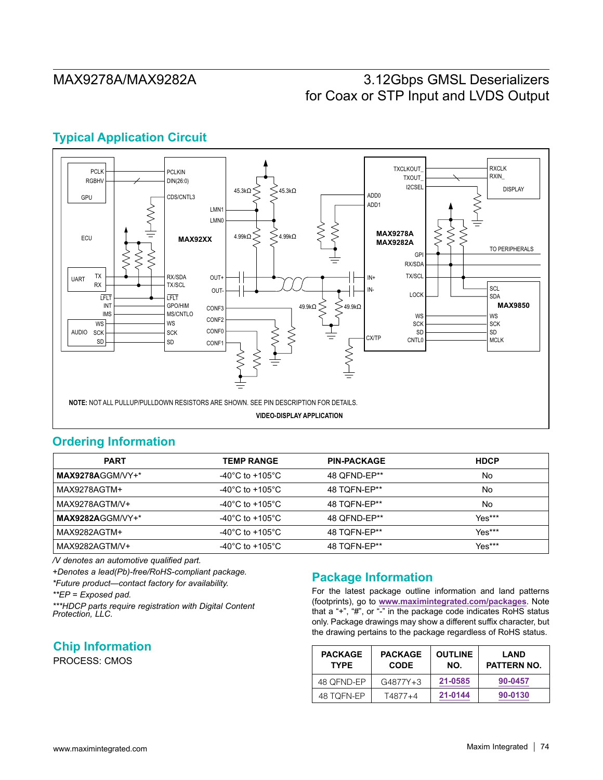# MAX9278A/MAX9282A 3.12Gbps GMSL Deserializers for Coax or STP Input and LVDS Output

## **Typical Application Circuit**



### **Ordering Information**

| <b>PART</b>      | <b>TEMP RANGE</b> | <b>PIN-PACKAGE</b> | <b>HDCP</b> |
|------------------|-------------------|--------------------|-------------|
| MAX9278AGGM/VY+* | -40°C to +105°C   | 48 OFND-EP**       | No          |
| MAX9278AGTM+     | -40°C to +105°C   | 48 TOFN-EP**       | No          |
| MAX9278AGTM/V+   | -40°C to +105°C   | 48 TOFN-EP**       | No          |
| MAX9282AGGM/VY+* | -40°C to +105°C   | 48 OFND-EP**       | $Yes***$    |
| MAX9282AGTM+     | -40°C to +105°C   | 48 TOFN-EP**       | $Yes***$    |
| MAX9282AGTM/V+   | -40°C to +105°C   | 48 TOFN-EP**       | Yes***      |

*/V denotes an automotive qualified part.*

*+Denotes a lead(Pb)-free/RoHS-compliant package.*

*\*Future product—contact factory for availability.*

*\*\*EP = Exposed pad.*

*\*\*\*HDCP parts require registration with Digital Content Protection, LLC.*

**Chip Information**

PROCESS: CMOS

## **Package Information**

For the latest package outline information and land patterns (footprints), go to **www.maximintegrated.com/packages**. Note that a "+", "#", or "-" in the package code indicates RoHS status only. Package drawings may show a different suffix character, but the drawing pertains to the package regardless of RoHS status.

| <b>PACKAGE</b><br><b>TYPE</b> | <b>PACKAGE</b><br><b>CODE</b> | <b>OUTLINE</b><br>NO. | <b>LAND</b><br>PATTERN NO. |
|-------------------------------|-------------------------------|-----------------------|----------------------------|
| 48 OFND-EP                    | $G4877Y+3$                    | 21-0585               | 90-0457                    |
| 48 TQFN-EP                    | T4877+4                       | 21-0144               | 90-0130                    |